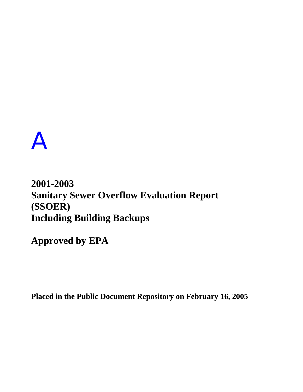## A

## **2001-2003 Sanitary Sewer Overflow Evaluation Report (SSOER) Including Building Backups**

**Approved by EPA** 

**Placed in the Public Document Repository on February 16, 2005**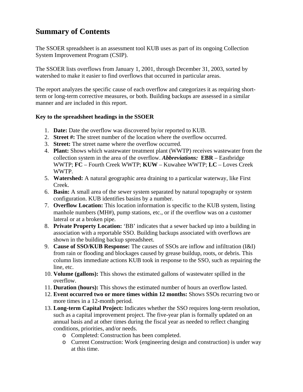## **Summary of Contents**

The SSOER spreadsheet is an assessment tool KUB uses as part of its ongoing Collection System Improvement Program (CSIP).

The SSOER lists overflows from January 1, 2001, through December 31, 2003, sorted by watershed to make it easier to find overflows that occurred in particular areas.

The report analyzes the specific cause of each overflow and categorizes it as requiring shortterm or long-term corrective measures, or both. Building backups are assessed in a similar manner and are included in this report.

## **Key to the spreadsheet headings in the SSOER**

- 1. **Date:** Date the overflow was discovered by/or reported to KUB.
- 2. **Street #:** The street number of the location where the overflow occurred.
- 3. **Street:** The street name where the overflow occurred.
- 4. **Plant:** Shows which wastewater treatment plant (WWTP) receives wastewater from the collection system in the area of the overflow. *Abbreviations:* **EBR** – Eastbridge WWTP; **FC** – Fourth Creek WWTP; **KUW** – Kuwahee WWTP; **LC** – Loves Creek WWTP.
- 5. **Watershed:** A natural geographic area draining to a particular waterway, like First Creek.
- 6. **Basin:** A small area of the sewer system separated by natural topography or system configuration. KUB identifies basins by a number.
- 7. **Overflow Location:** This location information is specific to the KUB system, listing manhole numbers (MH#), pump stations, etc., or if the overflow was on a customer lateral or at a broken pipe.
- 8. **Private Property Location:** 'BB' indicates that a sewer backed up into a building in association with a reportable SSO. Building backups associated with overflows are shown in the building backup spreadsheet.
- 9. **Cause of SSO/KUB Response:** The causes of SSOs are inflow and infiltration (I&I) from rain or flooding and blockages caused by grease buildup, roots, or debris. This column lists immediate actions KUB took in response to the SSO, such as repairing the line, etc.
- 10. **Volume (gallons):** This shows the estimated gallons of wastewater spilled in the overflow.
- 11. **Duration (hours):** This shows the estimated number of hours an overflow lasted.
- 12. **Event occurred two or more times within 12 months:** Shows SSOs recurring two or more times in a 12-month period.
- 13. **Long-term Capital Project:** Indicates whether the SSO requires long-term resolution, such as a capital improvement project. The five-year plan is formally updated on an annual basis and at other times during the fiscal year as needed to reflect changing conditions, priorities, and/or needs.
	- o Completed: Construction has been completed.
	- o Current Construction: Work (engineering design and construction) is under way at this time.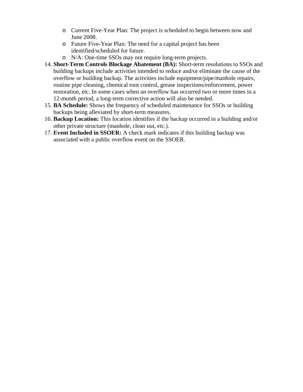- o Current Five-Year Plan: The project is scheduled to begin between now and June 2008.
- o Future Five-Year Plan: The need for a capital project has been identified/scheduled for future.
- o N/A: One-time SSOs may not require long-term projects.
- 14. **Short-Term Controls Blockage Abatement (BA):** Short-term resolutions to SSOs and building backups include activities intended to reduce and/or eliminate the cause of the overflow or building backup. The activities include equipment/pipe/manhole repairs, routine pipe cleaning, chemical root control, grease inspections/enforcement, power restoration, etc. In some cases when an overflow has occurred two or more times in a 12-month period, a long-term corrective action will also be needed.
- 15. **BA Schedule:** Shows the frequency of scheduled maintenance for SSOs or building backups being alleviated by short-term measures.
- 16. **Backup Location:** This location identifies if the backup occurred in a building and/or other private structure (manhole, clean out, etc.).
- 17. **Event Included in SSOER:** A check mark indicates if this building backup was associated with a public overflow event on the SSOER.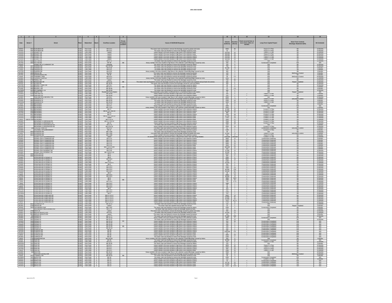| $-1$                                    |          |                                                                                         |                                                                                                                          |                       |                                              |                      |                                                                                                                                                                                                                                        |                                                                                                                  | 11                                                |                                                                                                                                        |                                                                         |                                                |                                                            |
|-----------------------------------------|----------|-----------------------------------------------------------------------------------------|--------------------------------------------------------------------------------------------------------------------------|-----------------------|----------------------------------------------|----------------------|----------------------------------------------------------------------------------------------------------------------------------------------------------------------------------------------------------------------------------------|------------------------------------------------------------------------------------------------------------------|---------------------------------------------------|----------------------------------------------------------------------------------------------------------------------------------------|-------------------------------------------------------------------------|------------------------------------------------|------------------------------------------------------------|
| Date                                    | Street # | Street                                                                                  | Watershed                                                                                                                |                       | <b>Overflow Location</b>                     | Property<br>Location | Cause of SSO/KUB Response                                                                                                                                                                                                              | Volume<br>(Gallons)                                                                                              | Juratior<br>(Hours)                               | $\begin{array}{c} \textbf{Event} \textbf{ occurred two} \textbf{ or} \\ \textbf{more times within 12} \\ \textbf{months.} \end{array}$ | Long-Term Capital Project                                               | Short-Term Controls<br>Blockage Abatement (BA) | <b>BA</b> Schedule                                         |
| 4/30/01<br>2/24/02                      |          | 4024 AUDUBON DR<br>4005 AUDUBON DR                                                      | KUW First Creek 1<br>KUW First Creek 1                                                                                   |                       | MH 15-4<br>MH 15-3                           |                      | The sewer main was flushed to remove the blockage caused by grease and roots.<br>The sewer main was flushed to remove the blockage caused by roots.                                                                                    | $\frac{6000}{15}$ 96                                                                                             |                                                   |                                                                                                                                        | Future 5 Yr Plan                                                        |                                                | 12 Months<br>12 Months                                     |
| 2/22/03                                 |          | 3701 ESSARY DR<br>3616 ESSARY DR                                                        | KUW First Creek                                                                                                          | $\overline{1}$<br>- 1 | Lateral<br>Lateral                           |                      | Heavy rainfall in the area resulted in high flows in the collection syst<br>Heavy rainfall in the area resulted in high flows in the collection syst                                                                                   | 150,000 50<br>159,000 53                                                                                         |                                                   |                                                                                                                                        | Future 5 Yr Plan                                                        | RA                                             | 24 Months<br>24 Months                                     |
| 2/22/07                                 |          | 3620 ESSARY DF                                                                          | KUW First Creek 1                                                                                                        |                       | Lateral                                      |                      | Heavy rainfall in the area resulted in high flows in the collection syster                                                                                                                                                             | 159,000 53                                                                                                       |                                                   |                                                                                                                                        | Future 5 Yr Plan                                                        | <b>BA</b>                                      | 24 Months                                                  |
| 2/22/03                                 |          | 3704 ESSARY DR<br>3716 ESSARY DR<br>208 FULTON DR                                       | KUW First Creek 1<br>KUW First Creek 1                                                                                   |                       | Lateral<br>Lateral<br>MH 5-71                |                      | Heavy rainfall in the area resulted in high flows in the collection syster<br>Heavy rainfall in the area resulted in high flows in the collection syster<br>The sewer main was flush<br>hed to remove the blockage ca                  | 159,000 53<br>159,000 53                                                                                         | $\overline{\mathbf{8}}$                           |                                                                                                                                        | Future 5 Yr Plan<br>Future 5 Yr Plan                                    |                                                | 24 Months<br>24 Months                                     |
|                                         |          |                                                                                         | W First Creek<br>W First Creek                                                                                           |                       | MH 48                                        |                      | II in the area resulted in high flows in the collection system/Blockage cau:                                                                                                                                                           |                                                                                                                  | $\overline{2}$                                    |                                                                                                                                        | sction Com                                                              |                                                | 12 Months                                                  |
| 6/25/02                                 | 4007     | GAINES RD & CLAIRMONT                                                                   | KUW First Creek 1                                                                                                        |                       | Seepage<br>MH 15-124<br>MH 5-49<br>MH 5-51   |                      | The sewer main was flushed to remove the blockage caused by debris                                                                                                                                                                     | 120<br>750                                                                                                       | $\frac{8}{4}$                                     |                                                                                                                                        | N/A<br>N/A                                                              | RA                                             |                                                            |
| $\frac{1/5/02}{2/16/02}$                |          | 4014 GARDEN DR                                                                          | KUW First Creek<br>KUW First Creek 1<br>KUW First Creek 1                                                                |                       |                                              |                      | The sewer main was nuclear or vertex to be blockage caused by roots.<br>The sewer main was flushed to remove the blockage caused by roots.<br>The sewer main was flushed to remove the blockage caused by roots.                       | 43,200                                                                                                           | $\frac{72}{1}$                                    |                                                                                                                                        | $rac{1}{2}$                                                             |                                                | 12 Months<br>12 Months<br>6 Months<br>6 Months<br>6 Months |
| 6/13/02                                 |          | ARDEN DI<br>4609 ORIOLE DR                                                              | First Creek<br>KUW First Creek 1                                                                                         |                       | MH 5-52<br>MH 38-1                           |                      | fall in the area resulted in high flows in the collection system/Blockage caused by deb                                                                                                                                                | 120                                                                                                              | $\overline{2}$                                    |                                                                                                                                        | N/A                                                                     | <b>BA/Grease Control</b>                       | 6 Months                                                   |
| 2/17/0<br>4/1/02                        |          | 5315 SHANNONDALE<br>4321 TAZEWELL PIKE                                                  | First Creek                                                                                                              |                       | MH 36                                        |                      | The sewer main was flushed to remove the blockage caused by grease.<br>The sewer main was flushed to remove the blockage caused by debris.<br>The sewer main was flushed to remove the blockage caused by grease                       | 100                                                                                                              | $\overline{1}$                                    |                                                                                                                                        | N/A                                                                     | BA<br>rease                                    | 6 Months<br>24 Months                                      |
| 3/19/02                                 |          | 4002 TERRACE VIEW                                                                       | KUW First Creek<br>KUW First Creek<br>KUW First Creek                                                                    | ┯                     | MH 24-4<br>MH 14-9<br>Latera                 |                      | Heavy rainfall in the area resulted in high flows in the collection system/Blockage caused by root<br>The sewer main was flushed to remove the blockage caused by roots.                                                               | $\frac{30}{1000}$                                                                                                | $\begin{array}{r} 0.5 \\ -8 \\ -95 \end{array}$   |                                                                                                                                        | N/A<br>N/A<br>N/A                                                       |                                                | 12 Months<br>12 Months                                     |
| 2/19/01<br>6/21/01<br>3/17/03           |          | 3814 WOODLAKE DR<br>3917 ACORN DR<br>5311 BEVERLY PARK<br>5002 BEVERLY RD               |                                                                                                                          |                       | MH 5-22<br>MH 39-30                          | B <sub>B</sub>       | The sewer main was flushed to remove the blockage caused by roots and a broken sewer was repaired and put back into service. The sewer main was flushed to remove the blockage caused by roots and debris.                             | 250                                                                                                              | $\begin{array}{c}\n2 \\ 5 \\ 4\n\end{array}$      |                                                                                                                                        | N/A<br>N/A                                                              | Repair Complete                                | 12 Months<br>12 Months<br>12 Months<br>6 Months            |
|                                         |          |                                                                                         | KLUW First Creek 1<br>KLUW First Creek 2<br>KLUW First Creek 2<br>KLUW First Creek 2                                     |                       | MH 79-1<br>MH 43-17                          | BB                   | The sewer main was flushed to remove the blockage caused by debri-<br>The sewer main was flushed to remove the blockage caused by debri:                                                                                               | 300<br>60<br>50                                                                                                  | $\overline{4}$                                    |                                                                                                                                        | N/A                                                                     |                                                |                                                            |
|                                         |          |                                                                                         |                                                                                                                          |                       | MH 39-48                                     |                      | The sewer main was flushed to remove the blockage caused by roots                                                                                                                                                                      |                                                                                                                  |                                                   |                                                                                                                                        | N/A                                                                     |                                                |                                                            |
| 11/19/0<br>8/29/02                      |          | 4963 BEVERLY RD<br>4418 MCCAMPBELL<br>4710 MURPHY RD<br>4144 OAKLAND DR                 | KUW First Creek 2<br>KUW First Creek 2<br>KUW First Creek 2<br>KUW First Creek 2                                         |                       | ntial Pump S<br>MH 39-48                     |                      | The sewer main was flushed to remove the blockage caused by roots.<br>The wastewater puring station overflowed due to a mechanical failure at the state.<br>Heavy rainfall in the area resulted in high flows in the collection syst   | $\frac{480}{10}$ $\frac{10}{360}$                                                                                | $\begin{array}{r}0.5\\4\\2\\6\end{array}$         |                                                                                                                                        | N/A<br>N/A<br>Future 5 Yr Pla                                           | Repair Complete                                | 6 Months<br>12 Months<br>N/A<br>6 Months                   |
|                                         |          |                                                                                         |                                                                                                                          |                       | MH 39-48                                     |                      |                                                                                                                                                                                                                                        |                                                                                                                  |                                                   |                                                                                                                                        |                                                                         |                                                |                                                            |
| 2/22/03<br>1/19/01<br>9/12/01           |          | 4144 OAKLAND DR<br>OAKLAND DR & BEVERLY RD<br>4904 SHANNON LN                           | KUW First Creek 2<br>KUW First Creek 2<br>KUW First Creek 2                                                              |                       | MH 39-4<br>MH 43-26                          |                      | Heavy rainfall in the area resulted in high flows in the collection system<br>Irical in the area resulted in high flows in the collection system<br>Blockage can<br>The sewer main was flushed to remove the blockage caused by grease | $\frac{240}{2000}$                                                                                               | $\begin{array}{r} 2 \\ 4 \\ 72 \end{array}$       |                                                                                                                                        | Future 5 Yr Plan<br>N/A<br>Future 5 Yr Plan                             | 000                                            | 6 Months<br>12 Months<br>6 Months                          |
| $1/100$<br>$12/250$                     |          | 4904 SHANNON LN<br>4904 SHANNON LN                                                      | KUW First Creek 2<br>KUW First Creek 2                                                                                   |                       | MH 43-26<br>MH 43-26                         |                      | The sewer main was flushed to remove the blockage caused by roots<br>The sewer main was flushed to remove the blockage caused by roots                                                                                                 | 1500                                                                                                             | $\frac{24}{10}$                                   |                                                                                                                                        | Future 5 Yr Plan                                                        | BA                                             | 6 Months<br>6 Months                                       |
| 1/2/02                                  |          | 5604 BROADWAY                                                                           | First Creek<br>First Creek 3                                                                                             |                       | MH 17-9<br>MH 13-1                           |                      | The sewer main was flushed to remove the blockage caused by root<br>Heavy rainfall in the area resulted in high flows in the collection syste                                                                                          | $\frac{50}{1800}$                                                                                                | $\begin{array}{c}\n3 \\ 2 \\ 6\n\end{array}$      |                                                                                                                                        | N/A<br>Ion Co                                                           | BA                                             | 9 Months<br>N/A                                            |
| 9/23/02<br>2/15/03                      |          | 5218 BROADWAY<br>5511 BROADWAY                                                          | KUW First Creek 3<br>KUW First Creek 3                                                                                   |                       | MH 2-220<br>MH 17                            |                      | Heavy rainfall in the area resulted in high flows in the collection system/Blockage caused by deb<br>Heavy rainfall in the area resulted in high flows in the collection system                                                        | 1800<br>12,900 43                                                                                                |                                                   |                                                                                                                                        | N/A<br>Current 5 Yr Plan                                                | BA                                             | 6 Months<br>12 Months                                      |
| 2/15/03                                 |          | 5300 BROADWAY                                                                           | KUW First Creek 3<br>KUW First Creek 3                                                                                   |                       | MH 10, 12, 13 & 14                           |                      | Heavy rainfall in the area resulted in high flows in the collection system                                                                                                                                                             | $64,500$ $43$                                                                                                    |                                                   |                                                                                                                                        | Current 5 Yr Plan                                                       | BA<br>BA                                       | 12 Months<br>12 Months                                     |
| 2/22/03                                 |          | 5511 BROADWAY                                                                           | KUW First Creek 3<br>KUW First Creek 3                                                                                   |                       | MH 17<br>MH 10, 11, 12 &                     |                      | Heavy rainfall in the area resulted in high flows in the collection system<br>Heavy rainfall in the area resulted in high flows in the collection system                                                                               | 7350<br>25,500                                                                                                   | $\frac{49}{50}$                                   |                                                                                                                                        | Current 5 Yr Plan<br>Current 5 Yr Plan                                  | $\frac{BA}{2}$                                 | 12 Months<br>12 Months                                     |
| 2/22/03                                 |          | 5319 BROADWAY<br>5300 & 5334 BROADWAY                                                   |                                                                                                                          |                       | Lateral<br>MH 11 & 13                        |                      |                                                                                                                                                                                                                                        | 5760 24<br>2400                                                                                                  |                                                   |                                                                                                                                        | Current 5 Yr Plan<br>Current 5 Yr Plan                                  | <b>BA</b>                                      | 12 Months<br>12 Months                                     |
| 3/18/02                                 |          | ROADWAY & GRESHAM RD                                                                    | KUW First Creek 3<br>KUW First Creek 3<br>KUW First Creek 3                                                              |                       | MH 11, 13 & 14                               |                      | Heavy rainfall in the area resulted in high flows in the collection system<br>Heavy rainfall in the area resulted in high flows in the collection system<br>Heavy rainfall in the area resulted in high flows in the collection syst   | 7500                                                                                                             | $\frac{21}{10}$                                   |                                                                                                                                        | Current 5 Yr Pla                                                        |                                                | 12 Months                                                  |
| 2/22/0                                  |          | <b>BROADWAY &amp; RIDGEWAY LN</b><br>ROADWAY & RIDGEWOOD R                              | KUW First Creek 3                                                                                                        |                       | MH 21<br>MH 17-6                             |                      | Heavy rainfall in the area resulted in high flows in the collection syster<br>The sever main was flushed to remove the blockage caused by roots.<br>He say rainfall in the area resulted in high flows in the collection system.       | 2880<br>$\frac{120}{2500}$ 1                                                                                     | $-48$                                             |                                                                                                                                        | Current 5 Yr Plan<br>N/A                                                | <b>RA</b>                                      | 12 Months                                                  |
| 1/3/02<br>3/18/02<br>4/26/02<br>1/23/02 |          | ROADWAY & RIDGEWOOD RD<br>COLLEGE PARK LN<br>COLONIAL CIR & BROADWAY                    | NUW First Creek 3<br>NUW First Creek 3<br>NUW First Creek 3<br>NUW First Creek 3                                         |                       | MH 19 & 20<br>MH 6-15<br>MH 14               |                      |                                                                                                                                                                                                                                        |                                                                                                                  |                                                   |                                                                                                                                        | Current 5 Yr Plan                                                       | <b>BA/C</b>                                    | 9 Months<br>9 Months<br>6 Months<br>9 Months               |
| 11/15/0                                 |          | 602 DOGWOOD RD                                                                          | KUW First Creek 3                                                                                                        |                       | MH 2-190                                     |                      | The sewer main was flushed to remove the blockage caused by grease<br>Heavy rainfall in the area resulted in high flows in the collection system<br>The sewer main was flushed to remove the blockage caused by roots                  | $\frac{60}{1400}$ $\frac{1}{2}$<br>30                                                                            |                                                   |                                                                                                                                        | onstruction Complete<br>N/A                                             | RA                                             | 12 Months                                                  |
| 2/3/02<br>3/17/02<br>3/23/01            |          | Dogwood RD<br>Dogwood RD                                                                | First Creek<br>First Creek 3<br>First Creek 3                                                                            |                       | MH 2-185<br>MH 2-185                         |                      | the sewer main was flushed to remove the blockage caused by grease and root.<br>The sewer main was flushed to remove the blockage caused by grease and root.<br>Heavy rainfall in the area resulted in high flows in the collection    | 21,600                                                                                                           | $\frac{72}{6}$                                    |                                                                                                                                        | Future 5 Yr Plan                                                        | <b>BA/Grease Contro</b>                        | 9 Months<br>9 Months<br>12 Months                          |
|                                         |          | SARY DR & GLENHAVEN RD<br>ESSARY DR & LYNNWOOD DR                                       | UW First Creek 3                                                                                                         |                       | Lateral<br>MH 2-14                           |                      | inected lateral was discovered when a replacement sewer main was being i<br>Heavy rainfall in the area resulted in high flows in the collection syste                                                                                  | Unknown<br>3000                                                                                                  | Unknow<br>$\overline{1}$ 12                       |                                                                                                                                        | Current 5 Yr Plan<br>Construction Underwa                               |                                                |                                                            |
| 2/16/01<br>1/25/02<br>3/18/02           |          | ESSARY DR & LYNNWOOD DR<br>ESSARY DR & LYNNWOOD DR                                      | W First Creek 3<br>W First Creek 3                                                                                       |                       | MH 2-14<br>MH 2-14                           |                      | Heavy rainfall in the area resulted in high flows in the collection system.<br>Heavy rainfall in the area resulted in high flows in the collection syste                                                                               | $\frac{1500}{2500}$ 8                                                                                            |                                                   |                                                                                                                                        | Construction Under                                                      |                                                | 6 Months<br>6 Months<br>6 Months                           |
| 3/21/02<br>2/15/03                      |          | ESSARY DR & LYNNWOOD DR<br>ESSARY DR & LYNNWOOD DR                                      | KUW First Creek 3<br>KUW First Creek 3                                                                                   |                       | MH 2-14<br>MH 2-14                           |                      | Heavy rainfall in the area resulted in high flows in the collection system<br>Heavy rainfall in the area resulted in high flows in the collection system                                                                               | 4200                                                                                                             | $\frac{10}{61}$                                   |                                                                                                                                        | Construction Underway                                                   | BA                                             | 6 Months<br>6 Months                                       |
| 2/22/03                                 |          | ESSARY DR & LYNNWOOD DR<br>ESSARY DR & LYNNWOOD DR                                      | KUW First Creek 3<br>KUW First Creek 3                                                                                   |                       | MH 2-14 & 2-220<br>MH 2-14                   |                      | Heavy rainfall in the area resulted in high flows in the collection system.<br>Heavy rainfall in the area resulted in high flows in the collection system                                                                              | 163.620 54<br>500                                                                                                |                                                   |                                                                                                                                        | Construction Underway<br>Construction Underway<br>Construction Underway | <b>BA</b><br>RA                                | 6 Months<br>6 Months                                       |
| 2/16/0                                  |          | <b>ISSARY DR &amp; ROSEBAY RD</b>                                                       | First Creek 3                                                                                                            |                       | MH 2-40                                      |                      | Heavy rainfall in the area resulted in high flows in the collection syste                                                                                                                                                              | 11,000                                                                                                           | $^{\circ}$<br>12                                  |                                                                                                                                        | Construction Underway                                                   |                                                | 12 Months                                                  |
| 3/18/02                                 |          | ESSARY DR & ROSEBAY RD<br>301 FOUNTAIN RD                                               | KUW First Creek 3<br>KUW First Creek 3                                                                                   |                       | MH 2-39 & 2-4                                |                      | Heavy rainfall in the area resulted in high flows in the collection system                                                                                                                                                             | $\begin{array}{c cc} 10,000 & 8 \\ 6000 & 24 \end{array}$                                                        |                                                   |                                                                                                                                        | Construction Underwa                                                    |                                                | 12 Months<br>12 Months                                     |
| 12/20/02                                |          | 5301 FOUNTAIN RD                                                                        |                                                                                                                          |                       |                                              |                      | Heavy rainfall in the area resulted in high flows in the collection system<br>Heavy rainfall in the area resulted in high flows in the collection system                                                                               | 600<br>1500                                                                                                      | $\begin{array}{r} 5 \\ 5 \\ 10 \end{array}$       |                                                                                                                                        | <b>Construction Underway</b><br>Construction Underway                   |                                                | 12 Months                                                  |
| 2/16/01                                 |          | FOUNTAIN RD & CEDAR LN<br>FOUNTAIN RD & CEDAR LN<br>FOUNTAIN RD & CEDAR LN              | KUW First Creek<br>KUW First Creek 3<br>KUW First Creek 3<br>KUW First Creek 3                                           |                       | MH6<br>MH6<br>MH5&6<br>MH5                   |                      | Heavy rainfall in the area resulted in high flows in the collection syste<br>Heavy rainfall in the area resulted in high flows in the collection syster                                                                                | $6000$<br>$1200$                                                                                                 | $-4$                                              |                                                                                                                                        | <b>Construction Underwa</b>                                             |                                                | 12 Months<br>12 Months<br>12 Months                        |
| 3/18/02                                 |          | <b>FOUNTAIN RD &amp; CEDAR LN</b><br>FOUNTAIN RD & CEDAR LN                             | KUW First Creek 3<br>KUW First Creek 3<br>KUW First Creek 3                                                              |                       | MH5,6&6-1<br>MH5<br>MH5&6                    |                      | Heavy rainfall in the area resulted in high flows in the collection system                                                                                                                                                             | $\begin{array}{c cc} 10,000 & 8 \\ 250 & 2 \\ 1500 & 6 \end{array}$                                              |                                                   |                                                                                                                                        | Construction Underwa                                                    | BA                                             | 12 Months<br>12 Months<br>12 Months                        |
| 9/2200                                  |          | FOUNTAIN RD & CED<br>FOUNTAIN RD & CEDAR LN                                             | KUW First Creek 3                                                                                                        |                       | <b>MH5&amp;6</b>                             |                      | Heavy rainfall in the area resulted in high flows in the collection system<br>Heavy rainfall in the area resulted in high flows in the collection system<br>Heavy rainfall in the area resulted in high flows in the collection syster | 7200 12                                                                                                          |                                                   |                                                                                                                                        | Construction Underwa<br><b>Construction Underway</b>                    | RA                                             | 12 Months                                                  |
| 12/5/02<br>2/14/03<br>2/22/03<br>4/7/03 |          | FOUNTAIN RD & CEDAR LN<br>FOUNTAIN RD & CEDAR LN                                        | KUW First Creek 3<br>KUW First Creek 3                                                                                   |                       | MH 5 & 6                                     |                      | Heavy rainfall in the area resulted in high flows in the collection syster<br>Heavy rainfall in the area resulted in high flows in the collection syste                                                                                | 93,000 124                                                                                                       |                                                   |                                                                                                                                        | <b>Construction Underwa</b>                                             |                                                | 12 Months<br>12 Months<br>12 Months                        |
|                                         |          | FOUNTAIN RD & CEDAR LN                                                                  | KUW First Creek 3                                                                                                        |                       | MH <sub>5</sub>                              |                      | Heavy rainfall in the area resulted in high flows in the collection system                                                                                                                                                             | $\frac{54,000}{30}$ 60                                                                                           |                                                   |                                                                                                                                        |                                                                         | BA                                             |                                                            |
| 4/9/03<br>4/17/03                       |          | FOUNTAIN RD & CEDAR LN<br>FOUNTAIN RD & CEDAR LN                                        | KUW First Creek 3<br>KUW First Creek 3                                                                                   |                       | MH 5 & 6<br>MH5&6                            |                      | Heavy rainfall in the area resulted in high flows in the collection system<br>Heavy rainfall in the area resulted in high flows in the collection system                                                                               | 8400 70<br>39,600 12                                                                                             |                                                   |                                                                                                                                        | Construction Underway<br>Construction Underway                          | <b>RA</b>                                      | 12 Months<br>12 Months<br>12 Months                        |
| 5/6/03                                  |          | <b>FOUNTAIN RD &amp; CEDAR LN</b><br>FOUNTAIN PD & CEDAR LN                             | First Creek<br>First Creek 3<br>First Creek 3                                                                            |                       | MHS                                          | <b>RR</b>            | Heavy rainfall in the area resulted in high flows in the collection syster<br>rieavy, ramian in the area resulted in high hows in the collection system<br>Heavy, rainfall in the area resulted in high flows in the collection system | 3990                                                                                                             | $\begin{array}{r} 66.5 \\ 43 \\ 5.75 \end{array}$ |                                                                                                                                        |                                                                         |                                                | 12 Month                                                   |
| 7/2/03<br>7/9/03                        |          | FOUNTAIN RD & CEDAR LN<br>FOUNTAIN RD & CEDAR LN                                        | KUW First Creek 3                                                                                                        |                       | MH 5 & 6<br>MH 5 & 6                         |                      | Heavy rainfall in the area resulted in high flows in the collection syster                                                                                                                                                             | 1680                                                                                                             | $-7$                                              |                                                                                                                                        | Construction Underway<br>Construction Under                             | <b>BA</b>                                      | 12 Months<br>12 Months                                     |
| 7/31/03<br>8/5/03                       |          | <b>FOUNTAIN RD &amp; CEDAR LN</b><br>FOUNTAIN RD & CEDAR LN                             | KUW First Creek 3<br>KUW First Creek 3<br>KUW First Creek 3                                                              |                       | MH5&6<br>MH5&6                               |                      | Heavy rainfall in the area resulted in high flows in the collection system<br>Heavy rainfall in the area resulted in high flows in the collection syster                                                                               | 60<br>60                                                                                                         | $\frac{1}{t}$                                     |                                                                                                                                        | Construction Underway                                                   |                                                | 12 Months<br>12 Months                                     |
| 9/22/03<br>9/27/03                      |          | FOUNTAIN RD & CEDAR LN<br>FOUNTAIN RD & CEDAR LN<br>FOUNTAIN RD & CEDAR LN              | UW First Creek 3<br>UW First Creek 3                                                                                     |                       | MH <sub>5</sub><br>MH 5 & 6                  |                      | Heavy rainfall in the area resulted in high flows in the collection syster<br>Heavy rainfall in the area resulted in high flows in the collection system Heavy rainfall in the area resulted in high flows in the collection system    | 420<br>600                                                                                                       | $\overline{2}$                                    |                                                                                                                                        | Construction Underway<br>Construction Underway                          |                                                | 12 Months<br>12 Months<br>12 Months                        |
| 11/19/0                                 |          | FOUNTAIN RD & CEDAR LN                                                                  |                                                                                                                          |                       | MH 5 & 6<br>MH <sub>5</sub>                  |                      | vy rainfall in the area resulted in high flows in the collection                                                                                                                                                                       | $1200$ 5<br>120                                                                                                  |                                                   |                                                                                                                                        | Construction Underway<br><b>Construction Underwa</b>                    |                                                |                                                            |
| 2/16/01                                 |          | FOUNTAIN RD & MIDLAKE DE                                                                | First Creek<br>First Creek 3<br>First Creek 3                                                                            |                       | MH61&62                                      |                      | Heavy rainfall in the area resulted in high flows in the collection syster                                                                                                                                                             | $\frac{6000}{23,850}$                                                                                            | $\frac{10}{91}$                                   |                                                                                                                                        | Construction Underway                                                   |                                                | 12 Months<br>12 Months<br>12 Months                        |
| 2/22/03<br>4/10/03<br>5/6/03            |          | FOUNTAIN RD & MIDLAKE DR                                                                | KUW First Creek 3                                                                                                        |                       | MH 6-1 & 6-2                                 |                      | Heavy rainfall in the area resulted in high flows in the collection system                                                                                                                                                             | 15,600 52                                                                                                        |                                                   |                                                                                                                                        | Construction Underwa<br>Construction Underway                           |                                                | 12 Months<br>12 Months<br>12 Months<br>12 Months           |
| 3/19/0                                  |          | <b>FOUNTAIN RD &amp; MIDLAKE DE</b><br>FOUNTAIN RD & MIDLAKE DE<br><b>GLENNIFER LN</b>  | KUW First Creek 3<br>KUW First Creek 3<br>KUW First Creek 3                                                              |                       | MH6-1&6-2<br>MH6-1&6-2<br>MH 26-13           |                      | Heavy rainfall in the area resulted in high flows in the collection system<br>The sewer main was flushed to remove the blockage caused by root                                                                                         | $\frac{3210}{2700}$ 26.75<br>240                                                                                 | $^{\circ}$                                        |                                                                                                                                        |                                                                         |                                                |                                                            |
| 8/13/01                                 |          | 5759 GROVE DR                                                                           | KUW First Creek 3                                                                                                        |                       | Lateral<br>MH 2-187<br>MH 2-74               |                      | The sewer main was repaired and put back into service.                                                                                                                                                                                 | 15                                                                                                               | 1                                                 |                                                                                                                                        | N/A<br><b>Construction Completed</b>                                    | Repair Complete                                | 6 Months                                                   |
| 4/25/02                                 |          | <b>5504 JACKSBORO PIK</b>                                                               | First Creek 3<br>First Creek 3                                                                                           |                       |                                              |                      | main was flushed to remove the blockinge caused by debri                                                                                                                                                                               | $\frac{1500}{120}$                                                                                               | $\frac{4}{1}$                                     |                                                                                                                                        |                                                                         |                                                | 9 Months<br>6 Months                                       |
| 4/23/01                                 |          | 3708 KNOX LN<br>6024 MEDLIN HEIGHTS R                                                   | KUW First Creek 3<br>KUW First Creek 3                                                                                   |                       | Lateral<br>MH 6-81                           |                      | The sewer main was flushed to remove the blockage caused by grease and root<br>The sewer main was flushed to remove the blockage caused by roots                                                                                       | 500 24<br>25,000                                                                                                 | 10                                                |                                                                                                                                        | N/A<br>N/A                                                              | <b>BA</b>                                      | 12 Months<br>12 Months                                     |
| 2/28/01<br>3/22/01<br>3/13/01           |          | 5824 MEDLIN HEIGHTS RD<br>606 CEDAR LN                                                  | KUW First Creek 3<br>KUW First Creek 4                                                                                   |                       | Lateral<br>MH 17-77                          |                      | The sever main was flushed to remove the blockage caused by grease.<br>The sewer main was flushed to remove the blockage caused by grease.<br>The sewer main was flushed to remove the blockage caused by roots.                       | 57.600                                                                                                           | $\frac{2}{240}$                                   |                                                                                                                                        | N/A<br>N/A                                                              | BA<br>RA                                       | 9 Months<br>12 Months                                      |
| 3/18/02                                 |          | 2500 CEDAR LN<br>2207 CEDAR LN                                                          | First Creek 4<br>First Creek 4                                                                                           |                       | MH 22-13<br>MH 22-37                         |                      | Heavy rainfall in the area resulted in high flows in the collection system<br>The sewer main was flushed to remove the blockage caused by roots                                                                                        | 2000<br>200                                                                                                      | $_{\rm 8}$<br>12                                  |                                                                                                                                        | <b>Construction Complete</b><br>N/A                                     | N/A<br><b>BA</b>                               | N/A<br>12 Months                                           |
| 2/15/03                                 |          | 2406 CEDAR LN<br>2328 CEDAR LN<br>2308 CEDAR LN                                         | KUW First Creek 4                                                                                                        |                       | MH 22-13                                     | BB                   | Heavy rainfall in the area resulted in high flows in the collection syste<br>Heavy rainfall in the area resulted in high flows in the collection syster                                                                                | $\begin{array}{r}\n 510 \quad 34 \\  \hline\n 120 \quad 2 \\  \hline\n 240 \quad 2\n \end{array}$                |                                                   |                                                                                                                                        | <b>Construction Comple</b><br><b>Construction Completed</b>             | N/A<br>N/J                                     | NA<br>NA<br>NA<br>NA                                       |
| 2/20/07<br>2/22/07                      |          | 2328 CEDAR LN                                                                           | First Creek<br>First Creek 4<br>First Creek 4                                                                            |                       | MH 22-30<br>MH 22-33<br>MH 22-30             | B <sub>B</sub>       | Heavy rainfall in the area resulted in high flows in the collection syster<br>Heavy rainfall in the area resulted in high flows in the collection syster                                                                               | 120                                                                                                              | $\overline{2}$                                    |                                                                                                                                        | <b>Construction Completed</b><br>Construction Completer                 | N/A<br>N/A                                     |                                                            |
|                                         |          |                                                                                         |                                                                                                                          |                       |                                              |                      | Heavy rainfall in the area resulted in high flows in the collection system<br>Heavy rainfall in the area resulted in high flows in the collection system                                                                               | $\frac{240}{480}$                                                                                                | $\begin{array}{r} 2 \\ 2 \\ 0.5 \end{array}$      |                                                                                                                                        | Construction Completed<br><b>Construction Completed</b>                 | N/A<br>N/A                                     | $\frac{NA}{NA}$                                            |
| 2/22/03<br>2/22/03<br>4/11/03<br>5/6/03 |          | 2528 CEDAR LN<br>2500 CEDAR LN<br>1804 CHARLES DR<br>1804 CHARLES DR<br>1804 CHARLES DR | RUW First Creek<br>KUW First Creek 4<br>KUW First Creek 4<br>KUW First Creek 4<br>KUW First Creek 4<br>KUW First Creek 4 |                       | MH 22-13<br>MH 36<br>MH 36<br>MH 36<br>MH 36 |                      | Heavy rainfall in the area resulted in high flows in the collection syste                                                                                                                                                              | Unknow                                                                                                           |                                                   |                                                                                                                                        | <b>Construction Complete</b>                                            |                                                | $\frac{N/A}{N/A}$                                          |
|                                         |          |                                                                                         |                                                                                                                          |                       | MH 34                                        |                      | Heavy rainfall in the area resulted in high flows in the collection system<br>Heavy rainfall in the area resulted in high flows in the collection system                                                                               | $\frac{60}{3960}$                                                                                                | $\frac{1}{33}$                                    |                                                                                                                                        | <b>Construction Complete</b>                                            |                                                |                                                            |
| 3/14/01<br>5/6/03<br>8/1/01             |          | 1804 CHARLES PL<br>1726 DONINGHAM<br>2130 FAIR DR                                       | KUW First Creek 4<br>KUW First Creek 4<br>KUW First Creek 4                                                              |                       | MH 22-20<br>MH 26                            |                      | The sewer main was flushed to remove the blockage caused by roots.<br>The sewer main was flushed to remove the blockage caused by roots.<br>The sewer main was flushed to remove the blockage caused by roots.                         | $\begin{array}{ccc} 1200 & \hspace{1.5cm} 2 \\ 500 & \hspace{1.5cm} 8 \\ 28,800 & \hspace{1.5cm} 24 \end{array}$ |                                                   |                                                                                                                                        | Construction Comple                                                     | N/A<br>RA                                      | N/A<br>3 Months<br>N/A                                     |
| 3/18/03                                 |          | 2544 FAIR DR                                                                            | KUW First Creek 4                                                                                                        |                       | MH 20-1                                      |                      | Heavy rainfall in the area resulted in high flows in the collection syster                                                                                                                                                             | $\begin{array}{c cc}\n500 & 8 \\ \hline\n120 & 1\n\end{array}$                                                   |                                                   |                                                                                                                                        | <b>Construction Comple</b><br>Future 5 Yr Plan                          | RA                                             | 12 Months                                                  |
| 10/22/0                                 |          | 1631 FAIR DR<br>2538 FAIR DR                                                            | KUW First Creek 4<br>KUW First Creek 4                                                                                   |                       | MH 35-35<br>MH 20-1                          |                      | The sewer main was flushed to remove the blockage caused by debrised by the Heavy rainfall in the area resulted in high flows in the collection system                                                                                 | 9600                                                                                                             | 32                                                |                                                                                                                                        | N/A<br>Future 5 Yr Plan                                                 | RA<br><b>DA</b>                                | 6 Months<br>12 Months                                      |
| 2/22/03<br>4/17/03                      |          | 2538 FAIR DR<br>2538 FAIR DR<br>2544 FAIR DR                                            | KUW First Creek 4<br>KUW First Creek 4                                                                                   |                       | MH 20-1<br>MH 20-1<br>MH 20-2                |                      | Heavy rainfall in the area resulted in high flows in the collection system<br>Heavy rainfall in the area resulted in high flows in the collection system<br>Heavy rainfall in the area resulted in high flows in the collection syster | 6900<br>600                                                                                                      | 46<br>$\frac{10}{43}$                             |                                                                                                                                        | Future 5 Yr Plan<br>Future 5 Yr Plan<br>Future 5 Yr Plan                |                                                | 12 Months<br>12 Months<br>12 Months                        |
| 3/18/02                                 |          | 500 KNOX RD                                                                             | KUW First Creek 4<br>KUW First Creek 4                                                                                   |                       | MH 18-12                                     |                      | hall in the area resulted in high flows in the collection system@lockage ca                                                                                                                                                            | 7600                                                                                                             | 12                                                |                                                                                                                                        | <b>N/A</b>                                                              | BA                                             | 12 Months                                                  |
| 2/27/0<br>6/3/03                        |          | KNOX RD & OCALA D<br>5407 LYNNDELL RD                                                   | KUW First Creek 4                                                                                                        |                       | MH 18-8<br>MH 35-53                          | BB                   | The sewer main was flushed to remove the blockage caused by grease and roo<br>The sewer main was flushed to remove the blockage caused by roots                                                                                        | 500<br>30                                                                                                        | $\overline{4}$<br>$\overline{2}$                  |                                                                                                                                        | N/A<br>N/A                                                              | A/Grease Co<br><b>BA</b>                       | 12 Months<br>3 Months                                      |
| 11/28/0<br>3/20/02                      |          | 1421 MAPLE DF<br>1703 MAPLE DR                                                          | KUW First Creek 4<br>KUW First Creek 4                                                                                   |                       | MH 44<br>MH 40                               |                      | The sewer main was flushed to remove the blockage caused by roots<br>Heavy rainfall in the area resulted in high flows in the collection syst                                                                                          | 2400<br>150                                                                                                      | $-4$<br>$\overline{2}$                            |                                                                                                                                        | Construction Comp<br>Current 5 Yr Plan                                  | <b>PA</b>                                      | <b>N/A</b><br>6 Months                                     |
| 9/25/02                                 |          | 2535 MAPLE DR                                                                           | KUW First Creek 4<br>KUW First Creek 4                                                                                   |                       | MH 19<br>MH 19                               |                      | Heavy rainfall in the area resulted in high flows in the collection system<br>Heavy rainfall in the area resulted in high flows in the collection system                                                                               | $\frac{15}{18,700}$ 63                                                                                           |                                                   |                                                                                                                                        | <b>Construction Completed</b><br>Construction Completed                 | N/A<br>N/A                                     | N/A<br>N/A                                                 |
| 2/22/07<br>4/10/0                       |          | 2535 MAPLE DR<br>2535 MAPLE DR                                                          | KUW First Creek 4<br>KUW First Creek 4                                                                                   |                       | MH 19<br>MH 19                               |                      | Heavy rainfall in the area resulted in high flows in the collection syster<br>leavy rainfall in the area resulted in high flows in the collection syste                                                                                | 13,800 46                                                                                                        | 2115 23.5                                         |                                                                                                                                        | Construction Complete                                                   |                                                | <b>N/A</b><br>N/A                                          |

a and the contract of the contract of the contract of the contract of the contract of the contract of the contract of the contract of the contract of the contract of the contract of the contract of the contract of the cont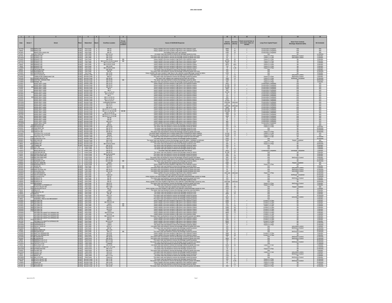| $\begin{array}{ccc} & 1 & \end{array}$               |                                 |                                                                              |                          |           |                                                                                 |                                                                     |                             |                                                                                                                                                                                                                                                                                                                     |                                                                            | 11                                                                                |                                                                                                              |                                                                |                                                                               |                                                              |
|------------------------------------------------------|---------------------------------|------------------------------------------------------------------------------|--------------------------|-----------|---------------------------------------------------------------------------------|---------------------------------------------------------------------|-----------------------------|---------------------------------------------------------------------------------------------------------------------------------------------------------------------------------------------------------------------------------------------------------------------------------------------------------------------|----------------------------------------------------------------------------|-----------------------------------------------------------------------------------|--------------------------------------------------------------------------------------------------------------|----------------------------------------------------------------|-------------------------------------------------------------------------------|--------------------------------------------------------------|
| Date                                                 | Street #                        | Street                                                                       |                          | Watershed |                                                                                 | Overflow Location                                                   | Property<br>Location        | Cause of SSO/KUB Response                                                                                                                                                                                                                                                                                           | Volume<br>(Gallons)                                                        | Juration<br>(Hours)                                                               | $\begin{array}{c} \text{Event occurred two or} \\ \text{more times within 12} \\ \text{months.} \end{array}$ | Long-Term Capital Project                                      | Short-Term Controls<br>Blockage Abatement (BA)                                | <b>BA</b> Schedule                                           |
| 4/17/03                                              |                                 | 2535 MAPLE DR                                                                | KUV                      |           | First Creek 4<br>First Creek<br>First Creek 4                                   | MH 19                                                               |                             | Heavy rainfall in the area resulted in high flows in the collection syster<br>Heavy rainfall in the area resulted in high flows in the collection system.                                                                                                                                                           | 6000                                                                       | 8<br>$\frac{42}{10}$                                                              |                                                                                                              | <b>Construction Completed</b><br><b>Construction Completed</b> | N/A<br>N/A                                                                    | <b>N/A</b>                                                   |
| 5/6/03<br>3/13/01<br>2/1/02                          |                                 | 2535 MAPLE DR<br>MAPLE DR & KNOX RD<br>404 OAK PARK DR                       | KUV<br>KUV<br>KUV        |           |                                                                                 | MH 19<br>MH 19<br>MH 13-12                                          |                             | ie leaking sewer main was repai<br>The sewer r<br>ove the blockage ca                                                                                                                                                                                                                                               | $7560$<br>$1200$<br>$720$                                                  |                                                                                   |                                                                                                              |                                                                |                                                                               | N/A<br>N/A<br>12 Months                                      |
| 3/17/01<br>12/14/02<br>2/16/03                       |                                 | 2922 RENNOC RD                                                               | KU                       |           | First Creek 4<br>First Creek 4<br>First Creek 4                                 | MH 13-64<br>MH 13-64<br>MH 13-49                                    |                             | The sewer main was flushed to remove the blockage caused by grease and roots                                                                                                                                                                                                                                        | 120<br>$\frac{60}{1020}$                                                   | $\overline{1}$                                                                    |                                                                                                              | Future 5 Yr Plan<br>Future 5 Yr Plan<br>Future 5 Yr Plan       | <b>BA/Grease Control</b><br><b>BA/Grease Contro</b>                           | 6 Months<br>6 Months<br>6 Months                             |
|                                                      | 290                             | <b>RENNOC RD</b><br>RENNOC RD                                                |                          |           | First Creek 4<br>First Creek 4<br>First Creek 4                                 | MH 13-26 & 13-49 & Later.<br>MH 13-26 & 13-49                       | <b>RR</b><br>B <sub>B</sub> | The sewer main was flushed to remove the blockage caused by grease and roots<br>Heavy rainfall in the area resulted in high flows in the collection system.<br>Heavy rainfall in the area resulted in high flows in the collection s                                                                                | 99,000                                                                     | $\overline{34}$<br>$\frac{60}{11}$                                                |                                                                                                              |                                                                |                                                                               | 6 Months<br>6 Months                                         |
| 2/22/03<br>4/17/03<br>5/6/03                         | 2900                            | RENNOC RD                                                                    | <b>KUW</b>               |           | First Creek 4                                                                   | MH 13-26 & 13-49                                                    |                             | Heavy rainfall in the area resulted in high flows in the collection syste                                                                                                                                                                                                                                           |                                                                            | 6975 46.5                                                                         |                                                                                                              | Future 5 Yr Plan<br>Future 5 Yr Plan<br>Future 5 Yr Plan       | <b>RA</b>                                                                     | 6 Months                                                     |
| 7/9/03                                               | 2910                            | RENNOC RD                                                                    | KUW<br>KUW<br>KUW        |           | First Creek 4<br>First Creek 4<br>First Creek 4                                 | MH 13-49<br>MH 13-49 & 13-5                                         |                             | Heavy rainfall in the area resulted in high flows in the collection system<br>Heavy rainfall in the area resulted in high flows in the collection syste                                                                                                                                                             | 720                                                                        | $\frac{6}{1.25}$                                                                  |                                                                                                              | Future 5 Yr Plan<br>Future 5 Yr Plar                           | BA                                                                            | 6 Months                                                     |
| 11/6/03<br>3/15/01                                   | 540                             | 2910 RENNOC RD<br>4718 UPCHURCH RD<br><b>SSMAN RE</b>                        | KUV                      |           | First Creek 4                                                                   | MH 29-60<br>MH 64                                                   |                             | The sewer main was flushed to remove the blockage caused by roots.<br>The sewer main was flushed to ren<br>nove the blockage caused by grease and root                                                                                                                                                              | 250<br>120                                                                 | $-4$<br>$\overline{1}$                                                            |                                                                                                              | N/A<br>N/A                                                     | <b>BA</b>                                                                     | 6 Months<br>6 Months<br>12 Months                            |
| 2/16/01<br>12/16/01                                  | 283                             | <b>WOODROW DR</b>                                                            | KUW<br>KUW               |           | First Creek 4<br>Second Creek 5                                                 | MH 13-55                                                            |                             | Heavy rainfall in the area resulted in high flows in the collection system/Blockage caused by debri<br>The sewer main was flushed to remove the blockage caused by grease and root                                                                                                                                  | 1200                                                                       | $-4$                                                                              |                                                                                                              | N/A                                                            | <b>PA</b><br><b>BA/Grease Contro</b>                                          | 6 Months                                                     |
| 7/16/02                                              |                                 | UCKTHORN DR<br>AMELIA RD & ME                                                |                          |           | Second Creek 5                                                                  | MH 35-80<br>MH 8-5                                                  |                             | The sewer main was flushed to remove the blockage caused by grease.                                                                                                                                                                                                                                                 | $\frac{750}{10}$                                                           | $rac{24}{0.5}$                                                                    |                                                                                                              | N/A<br>Future 5 Yr Plan                                        | <b>BA/Grease Contro</b><br><b>BA/Repair Complet</b>                           | 9 Months<br>3 Months                                         |
| 6/21/03<br>11/5/03                                   | 551 <sup>*</sup><br>5501<br>510 | CEDAR HEIGHTS RD<br>CENTRAL AVENUE PIKE                                      | KU/                      |           | Second Creek 5<br>Second Creek 5                                                | MH 35-32<br>MH 16-33                                                | B <sub>B</sub>              | The sewer main collapse was repaired and put back into service.<br>The sewer main was flushed to remove the blockage caused by debri<br>The sewer main was flushed to remove the blockage caused by grease and root                                                                                                 | 1560<br>1440<br>240                                                        | $\frac{13}{8}$                                                                    |                                                                                                              | Future 5 Yr Plan<br>Future 5 Yr Plan                           |                                                                               | 12 Months<br>18 Months                                       |
| 11/9/03<br>1/19/01<br>2/16/01                        |                                 | FENNEL RD<br>INSKIP BALL PARK<br>INSKIP BALL PARK                            | KUM<br>KUM<br>KUM        |           | Second Creek 5<br>Second Creek 5<br>Second Creek 5                              | MH 17-43<br>MH 24-14<br>MH 24-14                                    |                             | Heavy rainfall in the area resulted in high flows in the collection syste<br>Heavy rainfall in the area resulted in high flows in the collection syste                                                                                                                                                              | 11,000                                                                     | $\frac{4}{10}$                                                                    |                                                                                                              | <b>Construction Complete</b>                                   | BA<br>N/A<br>N/A                                                              | 6 Months<br>N/A<br>N/A                                       |
| 1/24/02                                              |                                 | <b>INSKIP BALL PARK</b>                                                      | KUV                      |           | Second Creek 5                                                                  | MH 24-13                                                            |                             | Heavy rainfall in the area resulted in high flows in the collection syster                                                                                                                                                                                                                                          | 14,400                                                                     | 8                                                                                 |                                                                                                              | <b>Construction Completed</b>                                  | N/A                                                                           | <b>N/A</b>                                                   |
| $\frac{2/1/02}{2/1/02}$<br>3/18/02                   |                                 | (SKIP BALL PARK<br>(SKIP BALL PARK                                           | KUV<br>KUV               |           | Second Creek 5<br>Second Creek 5                                                | $MH6$<br>$MH4$                                                      |                             | rowy rainfall in the area resulted in high flows in the collection system.<br>Heavy rainfall in the area resulted in high flows in the collection system.                                                                                                                                                           | 2000<br>500                                                                | $rac{8}{8}$                                                                       |                                                                                                              |                                                                | NA<br>NA                                                                      | N/A<br>N/A                                                   |
|                                                      |                                 | <b>INSKIP BALL PARK</b><br>INSKIP BALL PARK                                  | KUV<br><b>KUV</b>        |           | Second Creek 5                                                                  | MH 2, 3 & 24-1<br>MH 2 & 24-14                                      |                             | Heavy rainfall in the area resulted in high flows in the collection system<br>Heavy rainfall in the area resulted in high flows in the collection system                                                                                                                                                            | 43,200<br>30                                                               | 12                                                                                |                                                                                                              | <b>Construction Completed</b><br><b>Construction Completed</b> | N/A<br><b>N/A</b>                                                             | <b>N/A</b><br>$\frac{N/A}{N/A}$                              |
| 5/13/02<br>5/14/02<br>7/15/02<br>9/22/02             |                                 | INSKIP BALL PARK                                                             |                          |           | Second Creek<br>Second Creek<br>Second Creek<br>5                               | MH 5<br>MH 2, 4 & 24-1                                              |                             | Fleavy rainfall in the area resulted in high flows in the collection system.<br>Heavy rainfall in the area resulted in high flows in the collection system.                                                                                                                                                         | $\frac{120}{250}$                                                          | $\frac{2}{2}$                                                                     |                                                                                                              |                                                                | NA<br>NA                                                                      |                                                              |
| 12/5/02                                              |                                 | INSKIP BALL PARK<br>INSKIP BALL PARK                                         | <b>KUW</b>               |           | KUW Second Creek 5<br>Second Creek 5                                            | MH 2, 4 & 24-14<br>MH 4 & 24-14                                     |                             | Heavy rainfall in the area resulted in high flows in the collection system<br>Heavy rainfall in the area resulted in high flows in the collection system                                                                                                                                                            | 5000<br>10,800                                                             | $-6$<br>8                                                                         |                                                                                                              | <b>Construction Completed</b><br><b>Construction Completed</b> | <b>N/A</b><br>N/A<br><b>N/A</b>                                               | <b>NA</b><br>N/A<br><b>N/A</b>                               |
| 12/13/02<br>12/19/02                                 |                                 | VSKIP RAIT PARK                                                              | KUW<br>KUW               |           | Second Creek 5<br>Second Creek 5                                                | Unidentified Manhole<br>MH 24-14                                    |                             | Heavy rainfall in the area resulted in high flows in the collection system                                                                                                                                                                                                                                          | 500                                                                        | Unknown Unknown                                                                   |                                                                                                              | Construction Completed<br>Construction Completed               | <b>N/A</b>                                                                    | <b>N/A</b>                                                   |
| 12/20/02<br>12/24/02                                 |                                 | SKIP BALL PAF<br>INSKIP BALL PARI<br>INSKIP BALL PARI                        | KUV<br>KUV               |           | Second Creek 5<br>Second Creek 5                                                | MH 2 & 4<br>MH 24-14                                                |                             | Heavy rainfall in the area resulted in high flows in the collection system<br>Heavy rainfall in the area resulted in high flows in the collection system                                                                                                                                                            | Unknown<br>1800                                                            | Unknow<br>10                                                                      |                                                                                                              | <b>Construction Completed</b><br><b>Construction Completed</b> | N/A<br>N/A                                                                    | $\frac{N/A}{N/A}$                                            |
|                                                      |                                 |                                                                              | KUW<br>KUW<br>KUW        |           | Second Creek 5                                                                  | MH 24-14, 2, 3, 4 & 5                                               | BB BB                       | Heavy rainfall in the area resulted in high flows in the collection syste<br>Heavy rainfall in the area resulted in high flows in the collection system                                                                                                                                                             | 525.300<br>310,050                                                         | 85                                                                                |                                                                                                              | <b>Construction Complete</b><br>Construction Complete          | N/A<br><u>N/A</u>                                                             |                                                              |
| 2/14/03<br>2/22/03<br>4/10/03<br>4/17/03             |                                 | INSKIP BALL PARK<br>INSKIP BALL PARK<br>INSKIP BALL PARK<br>INSKIP BALL PARK |                          |           | Second Creek<br>Second Creek<br>Second Creek<br>5<br>Second Creek<br>5          | MH 2, 3, 4, 24-14 & 58<br>MH 3, 4 & 24-14<br>MH 24-14, 2, 3, 4 & 58 |                             | Heavy rainfall in the area resulted in high flows in the collection syster<br>Heavy rainfall in the area resulted in high flows in the collection syster                                                                                                                                                            | $\frac{1000}{7200}$                                                        | $\frac{6}{12}$                                                                    |                                                                                                              | <b>Construction Completed</b><br><b>Construction Complete</b>  | N/A                                                                           | NA<br>NA<br>NA<br>NA                                         |
| 5/6/03<br>7/10/03<br>8/5/03                          |                                 |                                                                              | <b>KUV</b><br>KUV<br>KUV |           | Second Creek 5<br>Second Creek 5<br>Second Creek 5                              | MH 24-14, 2, 3, 4 & 58<br>MH 58<br>MH 58                            |                             | Heavy rainfall in the area resulted in high flows in the collection syster<br>Heavy rainfall in the area resulted in high flows in the collection system                                                                                                                                                            | 4500<br>88                                                                 | - 6<br>$\frac{1}{1}$                                                              |                                                                                                              | <b>Construction Complete</b><br><b>Construction Complete</b>   | NA<br>NA                                                                      |                                                              |
| 9/22/03                                              |                                 | INSKIP BALL PARK<br>INSKIP BALL PARK<br>INSKIP BALL PARK                     | <b>KUW</b>               |           | Second Creek 5                                                                  | MH 3 & 4                                                            |                             | Heavy rainfall in the area resulted in high flows in the collec<br>Heavy rainfall in the area resulted in high flows in the collection system                                                                                                                                                                       | 960                                                                        | $\overline{2}$                                                                    |                                                                                                              | Construction Complete                                          |                                                                               | NA<br>NA<br>NA                                               |
| 11/19/03                                             |                                 | <b>INSKIP BALL PARK</b>                                                      | <b>KUV</b><br><b>KUV</b> |           | Second Creek 5                                                                  | MH <sub>2</sub><br>MH 8-8                                           |                             | Heavy rainfall in the area resulted in high flows in the collection system                                                                                                                                                                                                                                          | 240<br>500                                                                 | $\overline{1}$                                                                    |                                                                                                              | <b>Construction Complete</b><br>Future 5 Yr Plan               | <b>N/A</b><br><b>N/A</b>                                                      | <b>N/A</b><br><b>N/A</b>                                     |
| 2/25/01<br>2/12/03<br>10/201<br>7/31/02              |                                 | 112 MERCHANT DR<br>500 NICHOLAS RD<br>106 OAKCREST RD                        | KUV<br>KUV               |           | Second Creek<br>Second Creek<br>5<br>Second Creek<br>5                          | MH 14-28<br>MH 16-79                                                |                             | The sewer main was flushed to remove the blockage caused by grease.<br>The sewer main was flushed to remove the blockage caused by drease.<br>The sewer main was flushed to remove the blockage caused by debris.                                                                                                   | $\frac{270}{300}$                                                          | $\frac{2}{\frac{15}{1}}$                                                          |                                                                                                              | Future 5 Yr Plan                                               | BA<br>BA                                                                      | 6 Months<br>24 Months                                        |
| 11/17/03                                             |                                 | 923 OAKLETT DR<br>923 OAKLETT DR                                             | <b>KUM</b><br>KU/<br>KU/ |           | Second Creek 5<br>Second Creek 5<br>Second Creek 5                              | MH 35-74<br>MH 35-74                                                |                             | The sewer main was flushed to remove the blockage caused by roots<br>The sevent main was flushed to remove the blockage caused by grease and roots.<br>The seven main was flushed to remove the blockage caused by grease and roots.<br>The pump station overllowed due to rainfall-related flows exceedi           | 30                                                                         | $\overline{0.5}$                                                                  |                                                                                                              | N/A<br>Future 5 Yr Plan                                        | BA<br><b>BA</b>                                                               | 24 Months<br>24 Months<br>N/A                                |
| 1/23/02                                              |                                 | <b>PILLEAUX LIFT STATIO</b><br>PILLEAUX LIFT<br>PINECREST RD                 | KUM<br>KUM               |           |                                                                                 | Wetwell<br>Wetwell<br>MH 35-32                                      |                             |                                                                                                                                                                                                                                                                                                                     | 14.400                                                                     | 74<br>$\frac{10}{3}$                                                              |                                                                                                              | Future 5 Yr Plan                                               | <b>N/A</b><br>N/A                                                             |                                                              |
| 3/18/02<br>5/20/03<br>3/22/01<br>3/28/01             |                                 | 5708 SCENICHILLS RD                                                          | <b>KUW</b>               |           | Second Creek 5<br>Second Creek 5<br>Second Creek 5                              | MH 8-76                                                             |                             | he pump station overflowed due to rainfall-related flows exceeding the station capacity.<br>The sewer main was flushed to remove the blockage caused by roots and debri<br>The sewer main was flushed to remove the blockage caused by grease                                                                       | 12,000<br>2000<br>2400                                                     | $_{\rm 8}$                                                                        |                                                                                                              | Future 5 Yr Plan<br>Future 5 Yr Plan<br>N/A                    | RA                                                                            | N/A<br>12 Months<br>36 Months                                |
| 3/28/01                                              |                                 | 5823 SECOND DR                                                               | KUV<br>KUW               |           |                                                                                 | MH 8-103<br>MH 17-30<br>MH 16-64 & 16-63                            |                             | The sewer main was flushed to remove the blockage caused by debris. Vandalism is in                                                                                                                                                                                                                                 | 2400<br>60                                                                 | $\frac{2}{1}$                                                                     |                                                                                                              | <b>N/A</b><br>Future 5 Yr Plan                                 | Repair Complete                                                               | <b>N/A</b>                                                   |
| 3/6/01<br>2/9/02                                     |                                 | 805 SHASTA DR<br>5609 SIERRA RD<br>120 TOWER DR                              | KU                       |           | Second Creek 5<br>Second Creek 5<br>Second Creek 5<br>Second Creek 5            | MH 16-7                                                             |                             | The sewer main was flushed to remove the blockage caused by roots.<br>The sewer main was flushed to remove the blockage caused by debris                                                                                                                                                                            | 500                                                                        | $^{\circ}$                                                                        |                                                                                                              | Future 5 Yr Plan                                               |                                                                               | 6 Months<br>18 Months<br>6 Months                            |
| 7/5/03<br>7/9/03                                     |                                 | 2306 AULT RD<br>3505 BELLEVIEW RD                                            | ΠC                       |           | Loves Creek 6<br>Loves Creek 6<br>Loves Creek 6                                 | MH 29-301<br>MH 82-38                                               |                             | The sewer main was flushed to remove the blockage caused by roots<br>The se<br>wer main was flushed to remove the blockage ca<br>sed by debi                                                                                                                                                                        | $-120$                                                                     | $\frac{1}{0.5}$                                                                   |                                                                                                              | <b>N/A</b><br>NA                                               |                                                                               | 3 Months<br>3 Months                                         |
| 7/26/01<br>3/7/03                                    | 477                             | <b>ENTWOOD RD</b><br><b>CENTERLINE DR</b>                                    | <b>LC</b>                |           | Loyes Creek 6                                                                   | MH 66-14<br>MH 66-15                                                |                             | The sewer main was repaired and put back into service.<br>The sewer main was flushed to remove the blockage caused by debris                                                                                                                                                                                        | 3600<br>31,200 52                                                          | 12                                                                                |                                                                                                              | struction Complet<br><b>N/A</b>                                | <b>BA/Repair Comp</b>                                                         | 3 Months<br>3 Months                                         |
| 2/1/01                                               |                                 | ROSS VALLEY R                                                                | LC<br>$\frac{LC}{LC}$    |           | Loves Creek 6                                                                   | MH 82-94 & 82-                                                      |                             | The sewer main was flushed to remove the blockage caused by greas<br>The sewer main was flushed to remove the blockage caused by grease                                                                                                                                                                             |                                                                            | 5<br>$rac{24}{0.5}$                                                               |                                                                                                              | $N/\Delta$<br>N/A<br>N/A                                       |                                                                               | 6 Months                                                     |
| 2/5/01<br>5/3/02<br>2/22/03                          | 5300<br>5338<br>1600            | MILLERTOWN PIK                                                               |                          |           | Loves Creek 6<br>Loves Creek 6<br>Loves Creek 6                                 | MH 48-22<br>MH 48-12<br>MH 29-191                                   |                             | The sewer main was flushed to remove the blockage caused by grease and debris.<br>Heavy rainfall in the area resulted in high flows in the collection system/Blockage caused by<br>Heavy rainfall in the area resulted in high flows                                                                                | $\begin{array}{r}\n 1500 \\  \hline\n 600 \\  \hline\n 6900\n \end{array}$ | 46                                                                                |                                                                                                              |                                                                | <b>BA/Grease Contro</b>                                                       | 6 Months<br>9 Months<br>12 Months                            |
| 11/8/01<br>4/30/01                                   | $\frac{43}{44}$                 | 4213 SHANGRI-LA DE<br>ALLEY VIEW                                             |                          |           | Loves Creek 6<br>Loves Creek 6<br>Loves Creek 6                                 | MH 29-436<br>Lateral<br>MH 74-17                                    | B <sub>B</sub>              | The sewer main was flushed to remove the blockage caused by debri<br>The sewer lateral was repaired and put back into service.<br>Heavy rainfall in the area resulted in high flows in the collection system                                                                                                        | $\frac{250}{1500}$                                                         | $\begin{array}{c}\n2 \\ 24 \\ 3\n\end{array}$                                     |                                                                                                              | N/A<br>NIZ                                                     | RA<br>Repair Complete                                                         | 24 Months<br>NA<br>NA                                        |
| 3/16/01                                              |                                 | 1317 ADAIR DR                                                                | <b>KUW</b>               |           | First Creek 7                                                                   | MH 28-2                                                             | BB                          | The sewer main was flushed to remove the blockage caused by debris.                                                                                                                                                                                                                                                 | 240                                                                        | 4                                                                                 |                                                                                                              | N/A                                                            | BA                                                                            | 6 Months                                                     |
| 9/10/02<br>6/10/02                                   |                                 | 4513 FAWNIE LN<br>4308 HIGH SCHOOL RD<br>1002 HIGHLAND AVE                   | KU<br>KU                 |           | First Creek 7<br>First Creek 7<br>First Creek 7                                 | MH 17-1<br>MH 44-13<br>MH 29-49                                     | B <sub>B</sub>              | The sewer main was flushed to remove the blockage caused by grease and root<br>The sewer main was flushed to remove the blockage caused by grease and root.<br>The sewer main was flushed to remove the blockage caused by grease and root.<br>The sewer main was flushed to remove the blockage caused by grease a | 120<br>$\frac{60}{180}$                                                    | $\overline{2}$<br>$\begin{array}{ccc} \text{ } & \text{ } & \text{ } \end{array}$ |                                                                                                              | N/A<br>N/A<br>N/A                                              | <b>BA/Grease Contre</b><br><b>BA/Grease Contra</b><br><b>BA/Grease Contra</b> | 6 Months<br>12 Months<br>12 Months                           |
| 3/28/03                                              |                                 | 4713 OLD BROADWA                                                             | KUV                      |           | First Creek 7                                                                   | MH <sub>2</sub>                                                     |                             | leavy rainfall in the area resulted in high flows in the collection syste                                                                                                                                                                                                                                           |                                                                            | Unknown Unknown                                                                   |                                                                                                              | Future 5 Yr Plan                                               | BA                                                                            | 12 Months                                                    |
| 6/18/02<br>2/19/03                                   | 440                             | SOUTH WAHLI DR<br>4606 UPCHURCH RD<br>3016 BORIGHT PL                        | KUV<br>KU                |           | First Creek 7<br>First Creek 7                                                  | Clean-out<br>MH 45                                                  |                             | The sewer main was repaired and put back into service.<br>Heavy rainfall in the area resulted in high flows in the collection system/Blockage caused by swags.                                                                                                                                                      | 30<br>90                                                                   | $\overline{2}$<br>$3 -$                                                           |                                                                                                              | N/A<br><b>N/A</b>                                              | <b>BA/Repair Complete</b><br>BA                                               | 24 Months<br>12 Months                                       |
| 12/29/01<br>1/3/02                                   | 3016                            | 3006 BORIGHT PL<br>3408 BORIGHT PL                                           | KU<br>ΚUΙ                |           | First Creek 8<br>First Creek 8<br>First Creek 8                                 | MH 34<br>MH 32<br>MH 42<br>MH 5-13                                  |                             | The sewer main was flushed to remove the blockage caused by grease and root<br>The sewer main was flushed to remove the blockage caused by roots.                                                                                                                                                                   | 240<br>250                                                                 | $\overline{z}$<br>$\overline{2}$                                                  |                                                                                                              |                                                                | BA/Grease C                                                                   | 6 Months<br>6 Months<br>18 Months                            |
| 1/30/02                                              |                                 | 4224 BROADWAY                                                                | KU                       |           | First Creek 8                                                                   |                                                                     |                             | Heavy rainfall in the area resulted in high flows in the collection system/Blockage caused by root<br>The sewer main was flushed to remove the blockage caused by grease and roots.                                                                                                                                 | 300                                                                        | Unknown Unknown                                                                   |                                                                                                              | Future 5 Yr Plar                                               | <b>BA/Grease Contro</b>                                                       | 6 Months                                                     |
| 2/15/01<br>5/7/02<br>3/17/02<br>3/5/01               |                                 | BROADWAY & POWERS ST<br>TCH VALLEY D<br>ORILAND BLVI                         | KUW<br>KUW               |           | First Creek 8<br>First Creek 8                                                  | MH 5-13<br>MH 7-180<br>MH 15<br>YARD                                |                             | The sewer main was flushed to remove the blockage caused by debris.<br>The sewer main was repaired and put back into service.<br>leavy rainfall in the area resulted in high flows in the collection system/Blockage caused by roo                                                                                  | 200<br>2200                                                                | $\frac{2}{48}$                                                                    |                                                                                                              | Future 5 Yr Plan                                               | BA<br>Repair Complete                                                         | 6 Months<br>N/A<br>9 Months<br>9 Months                      |
|                                                      | 240                             | FORESTAL DE                                                                  |                          |           | First Creek   8<br>First Creek 8                                                | MH 7-82                                                             |                             | The sewer main was flushed to remove the blockage caused by roots and debris                                                                                                                                                                                                                                        | 100<br>100                                                                 | $\overline{4}$<br>$\overline{\mathbf{3}}$<br>$-15$                                |                                                                                                              | N/A<br>N/A                                                     | <b>PA</b>                                                                     |                                                              |
| $\frac{1/9/02}{7/30/01}$                             |                                 | KIMLN                                                                        | KU<br>KU                 |           | First Creek<br>First Creek 8                                                    |                                                                     |                             | The sewer main was flushed to remove the blockage caused by roots<br>The sewer main was flushed to remove the blockage caused by roots.                                                                                                                                                                             | 3000                                                                       | $^{24}$                                                                           |                                                                                                              |                                                                |                                                                               | 9 Months<br>6 Months                                         |
| 12/12/03<br>12/10/01                                 | 2916                            | 4601 OLD BROADWAY<br><b>TAZEWELL PIK</b>                                     | <b>KUM</b><br>KU         |           | First Creek 8<br>First Creek 8                                                  | MH 7-12<br>Lateral                                                  |                             | The sewer main was flushed to remove the blockage caused by grease.<br>The sewer main was flushed to remove the blockage caused by grease                                                                                                                                                                           | 30<br>4800                                                                 | 1<br>$^{\circ}$                                                                   |                                                                                                              | N/A<br>N/A                                                     | BA<br><b>BA/Grease Cont</b>                                                   | 12 Months<br>6 Months                                        |
| $\frac{1/8/01}{1/23/02}$                             | 2528<br>2900                    | TAZEWELL PIKE & OLD BROADWAY<br>TECOMA DR<br>TECOMA DR                       | KUV<br>KUV               |           | First Creek<br>First Creek<br>First Creek 8<br>First Creek 8                    | Lateral<br>Lateral<br>MH 9-34 & 9-3                                 |                             | The sewer main was flushed to remove the blockage caused by grease.<br>The sewer main was flushed to remove the blockage caused by grease.<br>Heavy rainfall in the area resulted in high flows in the collection system.                                                                                           | $\frac{250}{2400}$                                                         | $\frac{2}{8}$                                                                     |                                                                                                              | N/A<br>Current 5 Yr Plan<br>Current 5 Yr Plan                  |                                                                               | 6 Months<br>6 Months<br>6 Months                             |
| 1/23/02                                              | 280                             | 2514 TECOMA DR<br><b>TECOMA DR</b>                                           | KUV<br>KU                |           | First Creek 8                                                                   | Lateral<br>MH 9-52                                                  | $rac{B}{B}$                 | Heavy rainfall in the area resulted in high flows in the collection system                                                                                                                                                                                                                                          | 500<br>7200                                                                | 8<br>- 24                                                                         |                                                                                                              | Current 5 Yr Plan<br>Future 5 Yr Plan                          | BA<br><b>PA</b>                                                               | 6 Months<br>6 Months                                         |
| 1/24/02<br>2/15/03                                   | 2808                            | COMA DR<br>COMA DR                                                           | KU                       |           | First Creek 8<br>First Creek<br>First Creek 8                                   | MH 9-52                                                             |                             | Heavy rainfall in the area resulted in high flows in the collection system<br>Heavy rainfall in the area resulted in high flows in the collection syst                                                                                                                                                              | 5280                                                                       | $\frac{44}{48}$                                                                   |                                                                                                              | Current 5 Yr Pla                                               |                                                                               | 6 Months<br>6 Months                                         |
| 2/22/03<br>2/22/03<br>2/16/03                        | 2808<br>2700                    | <b>TECOMA DF</b><br><b>ECOMA DR &amp; WHITTLE SPRINGS RD</b>                 | <b>KUV</b><br><b>KUV</b> |           | First Creek 8<br>First Creek 8                                                  | Lateral<br>MH 9-6 & 9-34                                            |                             | Heavy rainfall in the area resulted in high flows in the collection syster<br>Heavy rainfall in the area resulted in high flows in the collection system<br>Heavy rainfall in the area resulted in high flows in the collection syster                                                                              | 7200<br>7200<br>8640                                                       | 48<br>T <sub>2</sub>                                                              |                                                                                                              | Current 5 Yr Plan<br>Current 5 Yr Plan<br>Current 5 Yr Plan    |                                                                               | 6 Months<br>6 Months                                         |
| 2/22/03                                              |                                 | TECOMA DR & WHITTLE SPRINGS RD                                               | KUV                      |           |                                                                                 | MH 9-34                                                             |                             | Heavy rainfall in the area resulted in high flows in the collection syste                                                                                                                                                                                                                                           | 960                                                                        | $\frac{4}{2}$                                                                     |                                                                                                              | Current 5 Yr Plan                                              | <b>RA</b>                                                                     | 6 Months                                                     |
| 3/29/03<br>5/6/03<br>3/17/02                         |                                 | COMA DR & WHITTLE SPRINGS RD<br>ECOMA DR & WHITTLE SPRINGS RD<br>ECOMA ST    | KUV                      |           | First Creek 8<br>First Creek 8<br>First Creek 8<br>First Creek 8                | IH 9-34 & 9-3<br>MH 9-6<br>MH 9-4                                   |                             | he sewer main was flushed to remove the blockage caused by grease and de<br>Heavy rainfall in the area resulted in high flows in the collection system Heavy rainfall in the area resulted in high flows in the collection system                                                                                   | 960<br>$\frac{400}{1200}$                                                  | $-6$                                                                              |                                                                                                              | Current 5 Yr Plan<br>Current 5 Yr Plan<br>Current 5 Yr Plan    |                                                                               | 6 Months<br>6 Months<br>6 Months                             |
| 3/17/02                                              | 2412                            | <u>ECOMA ST &amp; WHITTLE SPRINGS RD</u>                                     | KUV<br>KUV               |           |                                                                                 | MH 9-5 & 9                                                          |                             | Heavy rainfall in the area resulted in high flows in the collection so                                                                                                                                                                                                                                              | 8500                                                                       | -4<br>$-4$                                                                        |                                                                                                              | urrent 5 Yr Plan                                               |                                                                               |                                                              |
| 1/23/02<br>12/15/02<br>10/16/02                      | 252<br>$\frac{252}{3010}$       | INDERWOOD PL<br>INDERWOOD PL<br>ALLEY VIEW DR                                |                          |           | First Creek 8<br>First Creek 8<br>First Creek 8<br>First Creek 8                | Lateral<br>Lateral<br>MH 9-73                                       |                             | Heavy rainfall in the area resulted in high flows in the collection system.<br>The sewer main was flushed to remove the blockage caused by debris.<br>The sewer main was flushed to remove the blockage caused by grease and r                                                                                      | $\begin{array}{r}\n 3600 \\  \hline\n 60 \\  \hline\n 200\n \end{array}$   | $\frac{3}{1}$                                                                     |                                                                                                              | Future 5 Yr Plan                                               | <b>BA/Grease Con</b>                                                          | 6 Months<br>12 Months<br>12 Months<br>6 Months               |
|                                                      |                                 | 3112 VERA DR<br>1432 WAKE ROBIN DR<br>4040 WALKER BLVD                       | KUV<br>KUV<br>KUV        |           |                                                                                 | MH 50<br>MH 7-175<br>MH 3-1                                         |                             |                                                                                                                                                                                                                                                                                                                     | $\frac{480}{120}$                                                          | $\frac{8}{2}$                                                                     |                                                                                                              | N/A                                                            | BA/Grease Control                                                             |                                                              |
| 12/29/01<br>5/8/02<br>7/13/02                        |                                 | ALKER BLVI                                                                   |                          |           | First Creek<br>First Creek 8<br>First Creek 8                                   |                                                                     | B <sub>B</sub>              | The sewer main was flushed to remove the blockage caused by grease.<br>The sewer main was repaired and put back into service.<br>The sewer main was flushed to remove the blockage caused by grease.                                                                                                                |                                                                            |                                                                                   |                                                                                                              |                                                                | 0.87                                                                          | 12 Months<br>36 Months<br>12 Months                          |
| 2/15/03<br>2/22/03<br>11/14/01<br>5/22/02            | 350                             | 3501 WHITTLE SPRINGS<br><b>HITTLE SPRINGS F</b>                              | KUV<br>KU                |           | First Creek 8<br>First Creek 8                                                  | MH 9-35<br>MH 9-35                                                  |                             | Heavy rainfall in the area resulted in high flows in the collection system<br>Heavy rainfall in the area resulted in high flows in the collection syster                                                                                                                                                            | 2880<br>2880                                                               | 24<br>$-48$                                                                       |                                                                                                              | Current 5 Yr Plan<br>Current 5 Yr Plan                         | <b>BA</b><br><b>B</b>                                                         | 6 Months<br>6 Months                                         |
|                                                      |                                 | 5914 BLOSSOM RD                                                              |                          |           | Third Creek 9<br>Third Creek 9                                                  | MH 33-20<br>MH 33-23                                                |                             | The sewer main was flushed to remove the blockage caused by grease and ro<br>The sewer main was flushed to remove the blockage caused by grease and ro                                                                                                                                                              | $\frac{15}{3000}$                                                          | $\frac{1}{24}$                                                                    |                                                                                                              | N/A<br>N/A                                                     | <b>BA/Grease Cont</b><br>BA/Grease Cont                                       | 12 Months<br>12 Months                                       |
| 2/8/01                                               | 610                             | 6100 EMERALD HILLS LI<br>EMERALD HILLS LN<br>LAFAYETTE RD                    | <b>KUV</b><br>KU/        |           | Third Creek 9                                                                   | MH 17-244<br>MH 17-194                                              |                             | The sewer main was flushed to remove the blockage caused by grease                                                                                                                                                                                                                                                  | 150<br>20                                                                  | $\overline{2}$                                                                    |                                                                                                              | N/A<br>N/A                                                     | BA<br><b>BA/Grease Co</b>                                                     | 36 Months                                                    |
| 9/14/01<br>1/10/03<br>6/9/03<br>11/18/03<br>10/11/03 | 3005                            | MERCHANT DR<br>PLEASANT RIDGE                                                | KU<br>KU                 |           | Third Creek<br>Third Creek 9<br>Third Creek 9<br>Third Creek 9<br>Third Creek 9 | Cleanout<br>MH 24-48<br>MH 12-47 & 12-                              |                             | The sewer main was flushed to remove the blockage caused by grease and debt.<br>The sewer main was flushed to remove the blockage caused by root:<br>The sewer main was flushed to remove the blockage caused by root:<br>The sewer mai                                                                             | 8640                                                                       | $\frac{1}{48}$                                                                    |                                                                                                              | Future 5 Yr Pla                                                | RA                                                                            | 24 Months<br>24 Months<br>12 Months<br>3 Months<br>12 Months |
| 7/25/01                                              | 6100<br>5409                    | <b>ONELEIGH RD</b><br><b>TILLERY RD</b>                                      | KU                       |           | Third Creek 9                                                                   | MH 24-51                                                            |                             | The sewer main was flushed to remove the blockage caused by roo<br>The sewer main was flushed to remove the blockage caused by grease and root                                                                                                                                                                      | 120                                                                        | $\overline{R}$                                                                    |                                                                                                              | Future 5 Yr Plan<br>N/A                                        | <b>PA</b>                                                                     | 3 Months                                                     |
| 10/25/01                                             | 5409                            | <b>ILLERY RD</b>                                                             | KUV                      |           | Third Creek<br>Third Creek 9                                                    | MH 5-53                                                             |                             | The sewer main was flushed to remove the blockage caused by grease                                                                                                                                                                                                                                                  | 150                                                                        | $\frac{5}{1}$                                                                     |                                                                                                              | Future 5 Yr Plan                                               | <b>BA/Grease Contre</b>                                                       | 3 Months<br>9 Months                                         |
| 3/8/02<br>3/2/01<br>10/18/02                         | 371                             | VIENNA DI<br>6100 WADE LN<br>5401 WIL-LOYD RD                                | KU<br>KU/<br>KU          |           | Third Creek 9<br>Third Creek 9                                                  | MH 18-3<br>MH 17-119<br>Clean-ou                                    |                             | The sewer main was flushed to remove the blockage caused by grease<br>The sewer main was flushed to remove the blockage caused by roots<br>The sewer main was flushed to remove the blockage caused by greas                                                                                                        | 120<br>7200<br>120                                                         | 24                                                                                |                                                                                                              | N/A                                                            | A/Grease Contro<br><b>BA</b><br><b>BA/Grease Contr</b>                        | 6 Months<br>6 Months                                         |
| $\frac{11/27/01}{7/6/02}$                            | 605                             | DUTCH VALLEY DR                                                              | KUW<br>KUW               |           | Second Creek 10<br>Second Creek 10                                              | MH 17-46<br>MH 17-46                                                |                             | The sewer main was flushed to remove the blockage caused by roots                                                                                                                                                                                                                                                   | 150                                                                        | $\frac{1}{24}$<br>0.25                                                            |                                                                                                              | Future 5 Yr Plan                                               | BA<br><b>BA/C</b>                                                             | 12 Months<br>12 Months                                       |
| 7/18/03                                              |                                 | 313 JENSO DR<br>1440 LANTANA LN                                              | <b>KUM</b>               |           | Second Creek 10<br>Second Creek 10                                              | MH 14-69<br>MH 14-118                                               |                             | sewer main was flushed to remove the blockage caused by grease and c<br>Heavy rainfall in the area resulted in high flows in the collection system.<br>The sewer main was flushed to remove the blockage caused by debri-                                                                                           | $-60$                                                                      | $rac{1}{0.5}$                                                                     |                                                                                                              | Future 5 Yr Plan                                               | BA                                                                            | 24 Months<br>6 Months                                        |
| 8/14/01                                              |                                 | <b>RICKARD DR</b>                                                            | KIN                      |           | Second Creek 10                                                                 | MH 14-68                                                            |                             | te sewer main was flushed to remove the blockage caused by grease and de                                                                                                                                                                                                                                            | 250                                                                        |                                                                                   |                                                                                                              | Future 5 Yr Pla                                                |                                                                               | 24 Months                                                    |

a barang page 2 mage 2 mage 2 mage 2 mage 2 mage 2 mage 2 mage 2 mage 2 mage 2 mage 2 mage 2 mage 2 mage 2 mage 2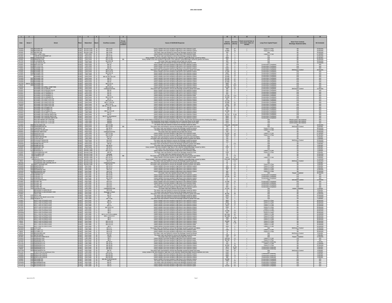| $-1$                                    |          |                                                                                               |       |                                                                                     |                 |                                                   |                             |                                                                                                                                                                                                                                                                                                            |                                                                                                                                                                                                                                                               | 11                                                                               |  |                                                                                               |                                                  |                                                  |
|-----------------------------------------|----------|-----------------------------------------------------------------------------------------------|-------|-------------------------------------------------------------------------------------|-----------------|---------------------------------------------------|-----------------------------|------------------------------------------------------------------------------------------------------------------------------------------------------------------------------------------------------------------------------------------------------------------------------------------------------------|---------------------------------------------------------------------------------------------------------------------------------------------------------------------------------------------------------------------------------------------------------------|----------------------------------------------------------------------------------|--|-----------------------------------------------------------------------------------------------|--------------------------------------------------|--------------------------------------------------|
| Date                                    | Street # | Street                                                                                        |       | Watershed                                                                           |                 | Overflow Location                                 | <b>Property</b><br>Location | <b>Cause of SSO/KUB Response</b>                                                                                                                                                                                                                                                                           | Short-Term Controls<br>Blockage Abatement (BA)<br>Volume<br>(Gallons)<br>Duration<br>(Hours)<br><b>Long-Term Capital Project</b><br>more times within 12<br>months.<br>7050 47<br>Future 5 Yr Plan<br>$\frac{13,800}{250}$ $\frac{23}{8}$<br>Future 5 Yr Plan |                                                                                  |  | <b>BA</b> Schedule                                                                            |                                                  |                                                  |
| 2/16/03                                 |          | 1401 RICKARD DR                                                                               |       | KUW Second Creek<br>KUW Second Creek                                                | 10<br>10        | MH 14-69<br>MH 14-67                              |                             | Heavy rainfall in the area resulted in high flows in the collection syster<br>Heavy rainfall in the area resulted in high flows in the collection system                                                                                                                                                   |                                                                                                                                                                                                                                                               |                                                                                  |  |                                                                                               |                                                  | 24 Months                                        |
| 2/16/03                                 |          | 1305 RICKARD DR<br>1527 WILSON RD<br>5715 BALL CAMP PI                                        |       | Second Creek                                                                        |                 | MH 14-89                                          |                             | The sewer main was flushed to remove the blockage can<br>Heavy rainfall in the area resulted in high flows in the col-<br>Heavy rainfall in the area resulted in high flows in the col-<br>used by roi                                                                                                     |                                                                                                                                                                                                                                                               |                                                                                  |  |                                                                                               |                                                  | 24 Months<br>24 Months<br>12 Months              |
| 4/14/01<br>2/22/03                      |          | CAIN RD & EVERHART LM<br>5609 CLIFFWOOD RD                                                    |       | KUW Third Creek                                                                     |                 | MH 27-28<br>MH 11-191<br>MH 11-158                | <b>RR</b>                   | The sewer main was flushed to remove the blockage caused by debris<br>Heavy rainfall in the area resulted in high flows in the collection system/Blockage caused by debris.<br>y rainfall in the area resulted in high flows in the collection system/Blockage caused by grease and de<br>The sewer main w | 120<br>$9000$  <br>255                                                                                                                                                                                                                                        | $\overline{2}$<br>3                                                              |  | N/A<br>N/A<br>N/A                                                                             |                                                  | 12 Months<br>12 Months<br>24 Months<br>24 Months |
| 4/17/0                                  |          | <b>1228 FLLESMERE D</b>                                                                       |       | KUW Third Creek<br>KUW Third Creek<br>KUW Third Creek                               |                 | MH 48 & 49                                        |                             |                                                                                                                                                                                                                                                                                                            | $rac{1}{900}$                                                                                                                                                                                                                                                 | 5                                                                                |  | $\overline{M}$                                                                                |                                                  |                                                  |
| 2/15/02<br>2/16/0<br>2/16/01            |          | 5104 FLEETWOOD C<br>5659 MATLOCK DR<br>5659 MATLOCK DR                                        |       | KUW Third Creek<br>KUW Third Creek<br>KUW Third Creek                               |                 | MH 5-11<br>MH 19<br><b>MH18</b>                   |                             | The sewer main was flushed to remove the blockage caused by roots<br>Heavy rainfall in the area resulted in high flows in the collection system                                                                                                                                                            | 7200<br>250<br>250                                                                                                                                                                                                                                            | 120<br>$\overline{2}$                                                            |  | N/A<br><b>Construction Compl</b>                                                              | BA<br>N/A                                        | 18 Months<br><b>N/A</b>                          |
| 7/29/01<br>1/22/02                      |          | 3305 MCKAMEY RD<br>4321 MCKAMEY RD                                                            |       | KUW Third Creek                                                                     |                 | MH 13<br>MH 27-104                                |                             | Heavy rainfall in the area resulted in high flows in the collection sys<br>Heavy rainfall in the area resulted in high flows in the collection syste<br>he sewer main was flushed to remove the blockage caused by grease and roo                                                                          | 5400<br>1000                                                                                                                                                                                                                                                  | $\overline{\phantom{a}2}$<br>$\frac{3}{8}$                                       |  | <b>Construction Complete</b><br><b>Construction Complete</b><br><b>Construction Completer</b> | <u>N/A</u><br>N/A<br>3A/Grease Con               | <u>N/A</u><br>N/A<br>42 Months                   |
| 1/23/02<br>1/23/02                      |          | 3540 MCKAMEY RI<br>3540 MCKAMEY RD                                                            |       | <b>Third Creek</b><br>KUW Third Creek                                               |                 | MH 21 & 23<br>MH 18 & 19                          |                             | Heavy rainfall in the area resulted in high flows in the collection system<br>Heavy rainfall in the area resulted in high flows in the collection system                                                                                                                                                   | 27,000  <br>6000                                                                                                                                                                                                                                              | 10<br>10                                                                         |  | Construction Completed<br><b>Construction Completer</b>                                       | N/A<br>N/A                                       | <b>N/A</b><br><b>N/A</b>                         |
| 1/23/0<br>9/25/0                        |          | <b>MCKAMEY RE</b><br>MCKAMEY RE                                                               |       | Third Creek<br><b>Third Creek</b>                                                   |                 | MH 13<br>MH 16,16-1,20 &                          |                             | Heavy rainfall in the area resulted in high flows in the collection syst<br>Heavy rainfall in the area resulted in high flows in the collection system                                                                                                                                                     | 15,000<br>10,000                                                                                                                                                                                                                                              | $\frac{10}{4}$                                                                   |  | <b>Construction Complete</b><br>Construction Completer                                        | N/A                                              | N/A<br>N/A                                       |
| 2/14/03<br>2/14/03                      |          | 3307 MCKAMEY RD<br>301 MCKAMEY RI                                                             |       | KUW Third Creek<br>KUW Third Creek                                                  |                 | MH 14<br><b>MH13</b>                              |                             | Heavy rainfall in the area resulted in high flows in the collection system<br>Heavy rainfall in the area resulted in high flows in the collection syste                                                                                                                                                    | 23.100 77<br>25,200                                                                                                                                                                                                                                           | $-84$                                                                            |  | <b>Construction Completer</b><br>Construction Complet                                         | N/A                                              | <b>N/A</b><br><b>N/A</b>                         |
| 2/15/03                                 |          | 3540 MCKAMEY RD                                                                               |       | KUW Third Creek<br>KUW Third Creek                                                  |                 | MH 21<br>MH 21 & 13                               |                             | Heavy rainfall in the area resulted in high flows in the collection system<br>Heavy rainfall in the area resulted in high flows in the collection syster                                                                                                                                                   | 21,600 72<br>6000 10                                                                                                                                                                                                                                          |                                                                                  |  | <b>Construction Complete</b><br>Construction Complete                                         | N/A<br>N/A                                       | N/A<br>N/A                                       |
| 5/6/03                                  |          | 3305 MCKAMEY RD<br>MCKAMEY RD & BALL CAMP PIKE                                                |       | KUW Third Creek<br>KUW Third Creek                                                  |                 | MH 13<br>MH 13 & 14                               |                             | Heavy rainfall in the area resulted in high flows in the collection system<br>Heavy rainfall in the area resulted in high flows in the collection syster                                                                                                                                                   | 15,300                                                                                                                                                                                                                                                        | 3340 44.5<br>$\frac{51}{24}$                                                     |  | <b>Construction Completed</b><br>Construction Complete                                        | N/A<br>N/A                                       | <b>N/A</b><br><b>N/A</b>                         |
| 2/22/03<br>2/5/02<br>2/16/01            |          | <b>MCKAMEY RD &amp; CAIN RD</b><br>WCKAMEY RD & HOLIDA                                        |       | Third Creek<br>Third Creek                                                          |                 | erground<br>MH 20                                 |                             | The sewer main was flushed to remove the blockage caused by grease and n                                                                                                                                                                                                                                   | 360<br>250                                                                                                                                                                                                                                                    | $\overline{2}$                                                                   |  | <b>Construction Completed</b>                                                                 | N/A                                              | 12 Months<br><b>N/A</b>                          |
| 2/16/01<br>2/16/01<br>2/15/03           |          | MCKAMEY RD & LARIMER ST<br>MCKAMEY RD & LARIMER ST<br>MCKAMEY RD & LARIMER ST                 |       | KUW Third Creek<br>KUW Third Creek<br>KUW Third Creek                               |                 | MH 23<br>MH 22<br>MH 23                           |                             | Heavy rainfall in the area resulted in high flows in the collection system<br>Heavy rainfall in the area resulted in high flows in the collection system<br>Heavy rainfall in the area resulted in high flows in the collection system                                                                     | 600 2                                                                                                                                                                                                                                                         | $\frac{600}{21,150}$ $\frac{2}{70.5}$                                            |  | <b>Construction Completed</b><br><b>Construction Completer</b><br>Construction Completer      | N/A<br>N/A<br>N/A                                | <b>N/A</b><br>N/A                                |
| 2/22/03                                 |          | MCKAMEY RD & LARIMER ST                                                                       | КUW   | Third Creek                                                                         |                 | MH 21 & 23                                        |                             | Heavy rainfall in the area resulted in high flows in the collection system                                                                                                                                                                                                                                 | 15,300                                                                                                                                                                                                                                                        | 51                                                                               |  | <b>Construction Complete</b>                                                                  | N/A                                              | N/A                                              |
| 1/19/01<br>2/14/03                      |          | MCKAMEY RD & MATLOCK D<br>MCKAMEY RD & MATLOCK DR                                             |       | Third Creek<br>KUW Third Creek                                                      |                 | MH <sub>2</sub><br>MH 18 & 19                     |                             | Heavy rainfall in the area resulted in high flows in the collection system<br>Heavy rainfall in the area resulted in high flows in the collection system                                                                                                                                                   | 800<br>23,100 77                                                                                                                                                                                                                                              | $\overline{2}$                                                                   |  | <b>Construction Completed</b><br><b>Construction Completed</b>                                | N/A<br>N/A                                       | N/A<br>N/A                                       |
| 2/22/03<br>4/10/03<br>5/6/03            |          | MCKAMEY RD & MATLOCK DR<br>MCKAMEY RD & MATLOCK DR<br>MCKAMEY RD & MATLOCK DR                 |       | KUW. Third Creek<br>Third Creek<br>Third Creek                                      |                 | MH 17, 18 & 20<br>MH 17 & 21<br>8, 19, 21, 24 & 2 |                             | Heavy rainfall in the area resulted in high flows in the collection syste<br>Heavy rainfall in the area resulted in high flows in the collection syste                                                                                                                                                     | 3120                                                                                                                                                                                                                                                          | 22,950 51<br>$rac{26}{67}$                                                       |  | Construction Complete<br><b>Construction Completer</b>                                        | N/A                                              | <b>N/A</b><br>$\frac{N/A}{N/A}$                  |
| 2/16/0<br>2/16/01                       |          | MCKAMEY RD & PUEBLO P<br>MCKAMEY RD & PUEBLO PI                                               |       | <b>Third Creek</b><br>Third Creek                                                   |                 | MH 26<br>MH 25                                    |                             | Heavy rainfall in the area resulted in high flows in the collection syster<br>Heavy rainfall in the area resulted in high flows in the collection system<br>Heavy rainfall in the area resulted in high flows in the collection syster                                                                     | 20,100<br>250<br>350                                                                                                                                                                                                                                          | $\overline{2}$                                                                   |  | <b>Construction Completed</b><br><b>Construction Completer</b>                                | N/A<br>N/A<br>N/A                                | N/A<br>N/A                                       |
| 2/22/03                                 |          | MCKAMEY RD & PUEBLO P                                                                         |       | KUW Third Creek                                                                     |                 | MH 24, 25 & 26                                    |                             | Heavy rainfall in the area resulted in high flows in the collection system                                                                                                                                                                                                                                 | 22,950 51                                                                                                                                                                                                                                                     |                                                                                  |  | <b>Construction Completer</b><br><b>Construction Complete</b><br>Construction Complet         |                                                  | N/A                                              |
| 2/16/01<br>2/22/03                      |          | <u>ICKAMEY RD &amp; SAINT LUCIA.</u><br>ICKAMEY RD & WOOD-SMITH<br>MCKAMEY RD & WOOD-SMITH RD |       | Third Creek<br>Third Creek<br><b>CUW</b> Third Creek                                |                 | MH 21<br>MH 27<br>MH 27 & Unnumb                  |                             | Heavy rainfall in the area resulted in high flows in the collection system<br>Heavy rainfall in the area resulted in high flows in the collection system<br>Heavy rainfall in the area resulted in high flows in the collection system                                                                     | $\frac{350}{21,375}$<br>9540                                                                                                                                                                                                                                  | $rac{2}{71.25}$<br>$\overline{53}$                                               |  | struction Complet<br>onstruction Completed                                                    |                                                  | N/A<br>N/A<br><b>N/A</b>                         |
| 1/23/02                                 |          | <b>MCKAMEY RD &amp; WOODS-SMITH RD</b><br>ROLLING RIDGE LIFT STATION                          |       |                                                                                     |                 | MH 27                                             |                             | Heavy rainfall in the area resulted in high flows in the collection system                                                                                                                                                                                                                                 |                                                                                                                                                                                                                                                               | $\begin{array}{c c}\n\hline\n & 10 \\ \hline\n & 4 \\ \hline\n & 8\n\end{array}$ |  | ruction Complete                                                                              |                                                  | N/A<br>N/A<br>N/A                                |
|                                         |          | ROLLING RIDGE LIFT STATION<br><b>ROLLING RIDGE LIFT STATION</b>                               |       | Third Creek<br>Third Creek<br>Third Creek<br>Third Creek                            |                 | Wetwo<br>Wetwo                                    |                             | on overflowed due to an electrical failure at the station. Strong winds do<br>The wastewater pump station overflowed due to an electrical failure at tl<br>ailure at the stat<br>ater pump station overflowed due to a electrical failure at the sta                                                       | $\begin{array}{r} 3000 \\ 6000 \\ 9600 \\ 4500 \end{array}$                                                                                                                                                                                                   |                                                                                  |  | N/A                                                                                           | Hectric power was rest<br>Electric power was re- | <b>N/A</b>                                       |
| 11/3/03                                 |          | 4404 ROYALVIEW AVE<br>PRINGBROOK RD<br>EWKSBURY DR                                            |       | KUW Third Creek 11<br>Third Creek<br>Third Creek                                    |                 | MH 11-150<br>MH 11-20                             | B <sub>B</sub>              | The sewer main was flushed to remove the blockage caused by debr<br>The sewer main was flushed to remove the blockage caused by grease and<br>The sewer main was flushed to remove the blockage caused by grease                                                                                           |                                                                                                                                                                                                                                                               | Unknown Unknown                                                                  |  | N/A                                                                                           | BA<br><b>BA/G</b>                                | 12 Months<br>6 Months<br>36 Months               |
| 2/26/0                                  |          | 5815 WOODED ACRES D                                                                           |       | KUW Third Creek                                                                     |                 | MH 23-77                                          |                             | The sewer main was flushed to remove the blockage caused by root                                                                                                                                                                                                                                           | 9000                                                                                                                                                                                                                                                          |                                                                                  |  | Future 5 Yr Plan                                                                              |                                                  | 12 Months                                        |
| 8/28/02                                 |          | 2108 WOODS-SMITH RD<br>4428 DEERFIELD RD                                                      |       | KUW Third Creek 11<br>KUW Third Creek 12<br>KUW Third Creek 12                      |                 | Underground Flow<br>MH 11-158                     |                             | The sewer main was repaired and put back into service.<br>Heavy rainfall in the area resulted in high flows in the collection sy                                                                                                                                                                           | 250<br>11.400                                                                                                                                                                                                                                                 | $\frac{1}{2}$<br>- 28                                                            |  | N/A<br>Future 5 Yr Pla                                                                        |                                                  | 24 Months                                        |
| 2/22/0<br>10/23/01                      |          | 4428 DEERFIELD RD<br>3015 CHERRYWOOD R                                                        |       | KUW Third Creek 13                                                                  |                 | MH 11-15<br>MH 13-9                               |                             | Heavy rainfall in the area resulted in high flows in the collection system<br>The sewer main was flushed to remove the blockage caused by roots and debris                                                                                                                                                 | 9000<br>200                                                                                                                                                                                                                                                   | 60<br>$-6$                                                                       |  | Future 5 Yr Pl<br>N/A                                                                         | <b>BA</b>                                        | 12 Months<br>9 Months                            |
| 11/25/0                                 |          | 4337 FOUNTAIN DR<br>4501 PLEASANT RIDGE                                                       |       | KUW Third Creek<br>KUW Third Creek                                                  | 13<br>13        | MH 41<br>MH 34-5                                  |                             | The sewer main was flushed to remove the blockage caused by grease and debris. The sewer main was flushed to remove the blockage caused by grease.                                                                                                                                                         | 180<br>240                                                                                                                                                                                                                                                    | $\overline{1}$                                                                   |  | N/A<br><b>N/A</b>                                                                             | BA/Grease Con                                    | 6 Months<br>24 Months                            |
| 9/10/02<br>4/22/0                       |          | 4501 PLEASANT RIDGE R<br>1605 RAMBLING RD                                                     |       | KUW Third Creek 13                                                                  |                 | MH 34-4<br>MH 52                                  |                             | The sewer main was flushed to remove the blockage caused by debris<br>The sewer main was flushed to remove the blockage caused by grease and debt                                                                                                                                                          | 120                                                                                                                                                                                                                                                           | $\begin{array}{c} 2 \\ 2 \\ 0.5 \end{array}$                                     |  | $N/\beta$                                                                                     |                                                  | 24 Months<br>6 Months                            |
| 11/21/03                                |          | 1504 RAMBLING RD<br>2227 SANDUSKY RD                                                          |       | KUW Third Creek<br>KUW Third Creek                                                  | 13              | MH 48-22<br>MH 35-2                               |                             | The sewer main was flushed to remove the blockage caused by roots.<br>Heavy rainfall in the area resulted in high flows in the collection system Blockage caused by debris.                                                                                                                                | $\frac{12}{1500}$                                                                                                                                                                                                                                             | 6                                                                                |  | N/A                                                                                           |                                                  | 6 Months<br>6 Months                             |
| 4/19/01<br>1/19/02                      |          | 1712 BRANNER ST<br>2523 BURNSIDE ST<br>725 CHICKAMAUGA                                        |       | Second Creek<br>Second Creek<br>KUW Second Creek                                    | 15              | MH 15-11<br>MH 21-11<br>MH 52                     |                             | The sewer main was flushed to remove the unidentified blockage.<br>Heavy rainfall in the area resulted in high flows in the collection syste<br>The sewer main was flushed to remove the blockage caused by roo                                                                                            | $\frac{15}{30}$<br>1200                                                                                                                                                                                                                                       | $\frac{1}{2}$                                                                    |  | N/A<br>Future 5 Yr Plan<br>Future 5 Yr Plan                                                   |                                                  | 6 Months<br>6 Months<br>6 Months                 |
| $\frac{9/202}{1/21/01}$                 |          | <b>OLUMBIA AVI</b>                                                                            |       | KUW Second Creek                                                                    | 15              | Seepage                                           | B <sub>B</sub>              | The sewer main was repaired and put back into service                                                                                                                                                                                                                                                      | 30                                                                                                                                                                                                                                                            | $-4$<br>25                                                                       |  |                                                                                               |                                                  |                                                  |
|                                         |          | 120 E MORELIA ST<br>1611 ELM ST<br>MERALD AVE                                                 |       | KUW Second Creek<br>KUW Second Creek<br>KUW Second Creek                            |                 | MH 30-25<br>MH 14-107<br>MH 14-108                |                             | The sewer main was flushed to remove the blockage caused by grease and debris<br>Heavy rainfall in the area resulted in high flows in the collection syster<br>Heavy rainfall in the area resulted in high flows in the collection system/Blockage caused by debris                                        | Unknow                                                                                                                                                                                                                                                        | $-60$<br>Unknown                                                                 |  | N/A<br>Future 5 Yr Plan                                                                       |                                                  | 12 Months<br>12 Months<br>6 Months<br>12 Months  |
| 7/8/02                                  |          | OGLEWOOD AVE & HURON ST<br>GLEWOOD AVE & MCMILL                                               |       | KUW Second Creek<br>Second Creek                                                    |                 | MH 37-5                                           |                             | The sewer main was flushed to remove the blockage caused by grease.<br>The sewer main was flushed to remove the blockage caused by grease and root                                                                                                                                                         | 10<br><b>FO</b>                                                                                                                                                                                                                                               | 0.5<br>$\overline{4}$                                                            |  | N/A<br>N/A                                                                                    | <b>BA/Grease Control</b>                         | 12 Months<br>6 Months                            |
| 8/29/07<br>2/16/03                      |          | 801 WEST OLDHAM<br>3202 DEMPSTER ST                                                           |       | KUW Second Creek<br>KUW First Creek                                                 | 16              | Underground F<br>MH 14-10<br>MH 13-11             |                             | he sewer main was flushed to remove the blockage caused by grease and debt<br>Heavy rainfall in the area resulted in high flows in the collection system.                                                                                                                                                  | 300                                                                                                                                                                                                                                                           | $\frac{0.2}{19}$                                                                 |  | Future 5 Yr Plar<br>Future 5 Yr Plan                                                          |                                                  | 6 Months<br>6 Months                             |
| 2/22/03                                 |          | 3202 DEMPSTER ST<br>1620 EDGEWOOD AVE                                                         |       | KUW First Creek<br>KUW First Creek                                                  | 16              | MH 13-11<br>MH 2-41                               |                             | Heavy rainfall in the area resulted in high flows in the collection syster                                                                                                                                                                                                                                 | 4800<br>- 60                                                                                                                                                                                                                                                  | 16                                                                               |  | Future 5 Yr Plan<br>Future 5 Yr Plan                                                          |                                                  | 6 Months<br>12 Months<br>12 Months               |
| 2/22/0<br>6/11/0                        |          | 1620 EDGEWOOD A'<br>905 FREEMASON \$                                                          |       | First Creek<br>KUW First Creek                                                      |                 | MH 2-41<br>MH 24-36                               |                             | Theory rainfall in the area resulted in high flows in the collection system<br>Heavy rainfall in the area resulted in high flows in the collection system<br>Heavy rainfall in the area resulted in high flows in the collection sys<br>The sewer main was repaired and put back into service.             | 300<br>400                                                                                                                                                                                                                                                    | $\begin{array}{c} 2 \\ 2 \\ 1 \\ 24 \end{array}$                                 |  | Future 5 Yr Plar<br>N/A                                                                       | <b>Repair Complete</b>                           | 36 Months                                        |
| 2/16/07                                 |          | 3219 GODFREY S'<br>3219 GODFREY ST                                                            |       | First Creek<br>KUW First Creek                                                      | 16<br>16        | MH 13-25<br>MH 13-25                              |                             | Heavy rainfall in the area resulted in high flows in the collection syster<br>Heavy rainfall in the area resulted in high flows in the collection syste                                                                                                                                                    | 3600                                                                                                                                                                                                                                                          | 24<br>14,400 48                                                                  |  | Construction Comple<br><b>Construction Complete</b>                                           |                                                  | N/A<br><b>NA</b>                                 |
| 2/22/03<br>5/6/03<br>11/28/03           |          | 3219 GODFREY S'                                                                               |       | KUW First Creek<br>KUW First Creek                                                  | $\frac{16}{16}$ | MH 13-25<br>MH 4-7                                |                             | Heavy rainfall in the area resulted in high flows in the collection system.<br>The sewer main was flushed to remove the blockage caused by greas                                                                                                                                                           | $\frac{15}{60}$                                                                                                                                                                                                                                               | $\frac{1}{\frac{2}{10}}$                                                         |  | Construction Complete<br>N/A                                                                  | N/A<br>BA/Grease Cor                             | N/A<br>12 Months                                 |
| 1/19/02<br>2/22/03                      |          | 3202 OCOEE TRL<br>3201 OCOEE TRI                                                              |       | <b>First Creek</b><br>First Creek                                                   | 16<br>16        | MH 13-5<br>MH 13-5                                |                             | Heavy rainfall in the area resulted in high flows in the collection system<br>Heavy rainfall in the area resulted in high flows in the collection syste                                                                                                                                                    | 12,000<br>7050                                                                                                                                                                                                                                                | $-47$                                                                            |  | <b>Construction Complete</b><br>Construction Complete                                         | N/A<br>N/A                                       | <b>N/A</b><br>N/A                                |
| 3/30/03<br>5/6/03<br>7/25/02<br>10/9/01 |          | 3201 OCOEE TRL<br>)COEE TRL<br>)GLEWOOD                                                       |       | KUW First Creek                                                                     | 16              | MH 13-5<br>MH 13-5                                |                             | The sewer main was flushed to remove the blockage caused by roots<br>ifall in the area resulted in high flows in the collec<br>e sewer main was repaired and put back into ser<br>łeavy rai                                                                                                                | $\frac{240}{940}$                                                                                                                                                                                                                                             | $\frac{2}{14}$                                                                   |  | <b>Construction Completer</b>                                                                 | <u>N/A</u>                                       | N/A<br>N/A<br>6 Months<br>6 Months               |
|                                         |          | <b>BROADWAY &amp; KENYON ST</b>                                                               |       | KUW First Creek<br>KUW First Creek<br>KUW First Creek                               |                 | erground<br>MH 3-25                               |                             | The sewer main was flushed to remove the blockage caused by debris                                                                                                                                                                                                                                         | $-15$                                                                                                                                                                                                                                                         | $15,000$ 24<br>$\overline{1}$                                                    |  |                                                                                               | Repair Comple                                    |                                                  |
| 6/24/03<br>1/23/01<br>4/8/02            |          | BROADWAY & MCCROSKEY AVE<br>CECIL AVE<br>7 CECIL AVE                                          |       | KUW First Creek<br>KUW First Creek<br>KUW First Creek                               |                 | page in Stri<br>MH 11<br>$MHI$ 11                 |                             | The sewer main was flushed to remove the blockage caused by root<br>ewer main was flushed to remove the blockage caused by grease and<br>The sewer main was flushed to remove the blockage caused by debris                                                                                                | 86.400                                                                                                                                                                                                                                                        | $\begin{array}{c} 6 \\ 48 \\ 8 \end{array}$                                      |  |                                                                                               | $\frac{B}{n}$                                    | 3 Months<br>12 Months<br>12 Months               |
| 7/9/01<br>11/3/03                       |          | 1821 EIGHTH AVE NEAR CECIL AVE<br>1909 FREMONT PL                                             |       | (UW First Creek<br>(UW First Creek                                                  | $\frac{17}{17}$ | MH 8<br>MH 4-148                                  |                             | The sewer main was flushed to remove the blockage caused by debris.<br>The sewer main was flushed to remove the blockage caused by grease and root                                                                                                                                                         |                                                                                                                                                                                                                                                               | $\frac{3000}{240}$ $\frac{5}{2}$                                                 |  | N/A                                                                                           | B/                                               | 12 Months<br>6 Months                            |
| 1/19/01<br>1/19/02                      |          | HOITT AVE & FOURTH AVE<br>HOITT AVE & FOURTH AVE                                              |       | KUW First Creek<br>KUW First Creek                                                  | 17              | MH49                                              |                             | Heavy rainfall in the area resulted in high flows in the collection syste<br>Heavy rainfall in the area resulted in high flows in the collection syste<br>ted in high flows in the                                                                                                                         | 4800<br>3000                                                                                                                                                                                                                                                  | $\frac{8}{10}$                                                                   |  | Future 5 Yr Pla<br>Future 5 Yr Pla                                                            | P.                                               | 36 Months                                        |
| 1/19/02                                 |          | HOITT AVE & FOURTH AVE<br>HOITT AVE & FOURTH AVE                                              |       | KUW First Creek                                                                     |                 | MH <sub>4</sub><br>MH 4-9                         |                             | Heavy rainfall in the area resulted in high flows in the collection syster                                                                                                                                                                                                                                 | 21,000                                                                                                                                                                                                                                                        | 10<br> 8                                                                         |  | Future 5 Yr Plan                                                                              | BA                                               | 36 Months                                        |
| 1/23/02<br>3/17/02<br>7/15/0            |          | HOITT AVE & FOURTH AVE<br>HOITT AVE & FOURTH AV                                               |       | KUW First Creek 17<br>KUW First Creek 17<br>First Creek                             |                 | MH 4-8 & 4-1<br>MH <sub>4</sub>                   |                             | Heavy rainfall in the area resulted in high flows in the collection system.<br>Heavy rainfall in the area resulted in high flows in the collection system.<br>Heavy rainfall in the area resulted in high flows in the collection syste                                                                    | 1000<br>60                                                                                                                                                                                                                                                    | ా                                                                                |  | Future 5 Yr Plan<br>Future 5 Yr Plan<br>Future 5 Yr Pla                                       |                                                  | 36 Months<br>36 Months                           |
| 9/23/02<br>12/20/0                      |          | HOITT AVE & FOURTH AVE<br>HOITT AVE & FOURTH AV                                               |       | KUW First Creek<br>KUW First Creek                                                  |                 | MH4<br>MH <sub>4</sub>                            |                             | Heavy rainfall in the area resulted in high flows in the collection system<br>Heavy rainfall in the area resulted in high flows in the collection syster                                                                                                                                                   | 12,000 10<br>540                                                                                                                                                                                                                                              | 4.5                                                                              |  | Current 5 Yr Plan<br>Future 5 Yr Plan                                                         | <b>BA</b>                                        | 36 Months<br>36 Months                           |
| 2/14/03<br>2/22/03                      |          | HOITT AVE & FOURTH AVE<br>HOITT AVE & FOURTH AVE<br>HOITT AVE & FOURTH AVE                    |       | KUW First Creek<br>KUW First Creek<br>KUW First Creek                               |                 | MH 4, 4-9, 4-20 & Lateral<br>MH 4, 4-9 & 4-14     |                             | Heavy rainfall in the area resulted in high flows in the collection system<br>Heavy rainfall in the area resulted in high flows in the collection syster                                                                                                                                                   | 897,800<br>547,050                                                                                                                                                                                                                                            | 897,800 96<br>547,050 72<br>2550 21.25                                           |  | Future 5 Yr Plan<br>Future 5 Yr Plan                                                          |                                                  | 36 Months<br>36 Months<br>36 Months              |
| 4/17/03                                 |          | HOITT AVE & FOURTH AVI                                                                        |       | KUW First Creek                                                                     |                 | MH <sub>4</sub>                                   |                             | Heavy rainfall in the area resulted in high flows in the collection syste<br>Heavy rainfall in the area resulted in high flows in the collection syster                                                                                                                                                    | 120                                                                                                                                                                                                                                                           |                                                                                  |  | Future 5 Yr Plar<br>Future 5 Yr Plan                                                          |                                                  | 36 Months                                        |
| 5/6/03                                  |          | HOITT AVE & FOURTH AVE<br>HOITT AVE & FOURTH AVE<br>HOITT AVE & FOURTH AVE                    |       | <b>CUW</b> First Creek<br>KUW First Creek<br>KUW First Creek                        |                 | MH 4 & 4-9<br>$MH4849$<br>$MH4849$                |                             | Heavy rainfall in the area resulted in high flows in the collection syste<br>Heavy rainfall in the area resulted in high flows in the collection system<br>Heavy rainfall in the area resulted in high flows in the collection system                                                                      | $\frac{900}{500}$                                                                                                                                                                                                                                             | 28,800 48<br>$\frac{7.25}{2}$                                                    |  | Future 5 Yr Plan<br>Future 5 Yr Plan<br>Future 5 Yr Plan                                      |                                                  | 36 Months<br>36 Months                           |
| 9/22/03                                 |          | HOITT AVE & FOURTH AVE                                                                        |       | KUW First Creek                                                                     |                 | MH <sub>4</sub>                                   |                             | Heavy rainfall in the area resulted in high flows in the collection syste                                                                                                                                                                                                                                  | 1800                                                                                                                                                                                                                                                          | - 6<br>$-4$                                                                      |  | Future 5 Yr Plan                                                                              |                                                  | 36 Months                                        |
| 12/30/02<br>4/10/03                     |          | 1629 LUCK AVE<br>1809 LUTTRELL ST                                                             |       | KUW First Creek<br>KUW First Creek                                                  |                 | MH 11-1<br>MH 4-19                                |                             | The sewer main was flushed to remove the blockage caused by grease and debr<br>Heavy raintall in the area resulted in high flows in the collection syster                                                                                                                                                  | $\frac{12}{1080}$                                                                                                                                                                                                                                             | — 9 —<br>$-1$                                                                    |  | N/A<br>Future 5 Yr Plan                                                                       | BA/Grease Contre<br><b>BA</b>                    | 12 Months<br>36 Months                           |
| 5/8/03<br>6/25/03                       |          | 1809 LUTTRELL ST<br>1000 WOODLAND AVI<br>2217 ANTIETAM RD                                     |       | KUW First Creek<br>KUW First Creek<br>KUW First Creek 18                            |                 | MH 4-19<br>MH 4-67<br>MH 60                       |                             | Heavy rainfall in the area resulted in high flows in the collection system<br>The sewer main was flushed to remove the blockage caused by grease<br>The sewer main was flushed to remove the blockage caused by root                                                                                       | $\frac{16}{15}$<br>7200                                                                                                                                                                                                                                       | 24                                                                               |  | Future 5 Yr Plan<br>N/A                                                                       | <b>BA/Grease Contro</b><br><b>RA</b>             | 36 Months<br>6 Months<br>3 Months                |
| 3/14/01<br>2/16/03<br>2/22/03           |          | 207 FOUNTAIN PARK BLVD<br>515 GRAINGER AVE                                                    |       | W First Creek<br>W First Creek<br>W First Creek                                     |                 | Lateral<br>MH 2                                   |                             | The sewer main was repaired and put back into service<br>rainfall in the area resulted in high flows in the collection                                                                                                                                                                                     | $\begin{array}{r cc} 120 & & 1 \\ 108,000 & & 24 \\ 98,700 & & 47 \end{array}$                                                                                                                                                                                |                                                                                  |  | N/A                                                                                           | Repair Com                                       | 12 Months                                        |
| 3/17/02                                 |          | 515 GRAINGER AVE<br>2352 GREENFIELD LN                                                        |       | KUW First Creek                                                                     | 18              | MH2<br>MH 30-67                                   |                             | Heavy rainfall in the area resulted in high flows in the collection system<br>Heavy rainfall in the area resulted in high flows in the collection syster                                                                                                                                                   | 250                                                                                                                                                                                                                                                           | $\overline{2}$                                                                   |  | Future 5 Yr Plan                                                                              | $\overline{\mathbf{w}}$<br><b>Pd</b>             | <b>NA</b>                                        |
| 2/17/03<br>2/22/0                       |          | 2333 GREENFIELD LN<br>2333 GREENFIELD LN                                                      |       | KUW First Creek<br>First Creek                                                      | 18              | MH 30-35<br>MH 30-35                              |                             | Heavy rainfall in the area resulted in high flows in the collection system<br>Heavy rainfall in the area resulted in high flows in the collection syste                                                                                                                                                    | 900<br>34,500                                                                                                                                                                                                                                                 | 10<br>$-46$                                                                      |  | Construction Underwi<br>Future 5 Yr Plan<br>Future 5 Yr Plan                                  |                                                  | 6 Months<br>12 Months<br>12 Months               |
| 4/10/03                                 | 235      | 2352 GREENFIELD LN<br>REENFIELD L                                                             |       | First Creek<br>First Creek                                                          |                 | MH 30-67<br>MH 30-6                               |                             | Heavy rainfall in the area resulted in high flows in the collection system<br>Heavy rainfall in the area resulted in high flows in the collection syst                                                                                                                                                     | 3675                                                                                                                                                                                                                                                          | $12.25$<br>38.5                                                                  |  | Construction Underway                                                                         |                                                  | 6 Months                                         |
| 12/17/0<br>3/17/02                      |          | 3319 KENILWORTH LN<br>N SIXTH AVE & GRA<br>NGER AVE                                           |       | UW First Creek<br>First Creek<br>First Creek                                        | 18              | <b>MH 70</b><br>MH 12-6                           |                             | The sewer main was flushed to remove the blockage caused by grease and roo<br>leavy rainfall in the area resulted in high flows in the collection system/Blockage caused by grease and root                                                                                                                | 7200                                                                                                                                                                                                                                                          | 24                                                                               |  | Construction Underwa<br>N/A                                                                   | <b>BA/Grease Contro</b>                          | 6 Months<br>6 Months<br>6 Months<br>6 Months     |
| 1/23/02<br>2/16/07                      |          | 2820 NORTH HILLS BLV                                                                          |       | First Creek                                                                         | 18              | MH 30-10<br>MH 30-10                              |                             | Heavy rainfall in the area resulted in high flows in the collection system<br>Heavy rainfall in the area resulted in high flows in the collection system                                                                                                                                                   | 1500<br>1800<br>8400                                                                                                                                                                                                                                          | $\begin{array}{r} 6 \\ \hline 6 \\ 14 \end{array}$                               |  | Construction Underwa                                                                          |                                                  | 6 Months                                         |
| 2/22/03                                 |          | 2820 NORTH HILLS BLVD                                                                         | KUW T | First Creek<br>First Creek 18<br>First Creek 18<br>First Creek 18<br>First Creek 18 |                 | MH 30-10                                          |                             | Heavy rainfall in the area resulted in high flows in the collection system<br>Heavy rainfall in the area resulted in high flows in the collection system                                                                                                                                                   | $\begin{array}{c cc} 480 & & 4 \\ 16,000 & & 2 \\ 7200 & & 24 \\ \end{array}$                                                                                                                                                                                 |                                                                                  |  | <b>Construction Underwa</b><br>Construction Complet                                           | B                                                | 6 Months<br>N/A<br>N/A<br>N/A<br>N/A             |
|                                         |          | VILDERNESS R                                                                                  |       |                                                                                     |                 | MH 46,47,49,50,51& 52<br>MH 50<br>MH 51           |                             | The sewer main was flushed to remove the blockage caused by roots<br>The sewer main was flushed to remove the blockage caused by roots<br>Heavy rainfall in the area resulted in high flows in the collection system                                                                                       | $\frac{7200}{15}$                                                                                                                                                                                                                                             | 0.5                                                                              |  |                                                                                               |                                                  |                                                  |
|                                         |          | 3212 WILDERNESS RD<br>3236 WILDERNESS RD                                                      |       | First Creek 18                                                                      |                 | MH 53                                             |                             | leavy rainfall in the area resulted in high flows in the collection syste                                                                                                                                                                                                                                  | 630                                                                                                                                                                                                                                                           | 121<br>34,500 46                                                                 |  |                                                                                               |                                                  |                                                  |

a barang disebut di page 2 menunjukan page 2 menunjukan page 2 menunjukan page 2 menunjukan page 2 menunjukan p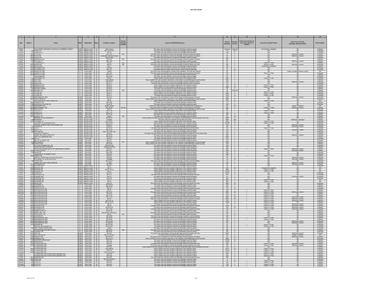| Date                                     | Street #   | Street                                                                             | Watershed                                                                                                                        |                                              | Property      | Cause of SSO/KUB Response                                                                                                                                                                                                                                                                       |                                                                                                  | Hours                                                            | Event occurred two or<br>more times within 12 | Long-Term Capital Project                                            | Short-Term Controls<br>Blockage Abatement (BA)                                  | <b>BA</b> Schedule                              |
|------------------------------------------|------------|------------------------------------------------------------------------------------|----------------------------------------------------------------------------------------------------------------------------------|----------------------------------------------|---------------|-------------------------------------------------------------------------------------------------------------------------------------------------------------------------------------------------------------------------------------------------------------------------------------------------|--------------------------------------------------------------------------------------------------|------------------------------------------------------------------|-----------------------------------------------|----------------------------------------------------------------------|---------------------------------------------------------------------------------|-------------------------------------------------|
| 7/25/01<br>7/4/02<br>2/22/03             |            | ALLEY NEAR E MAGNOLIA AVENUE & N HEMBREE STREET<br>608 CASTLE ST<br>121 ELMWOOD ST | KUW Williams Creek 19<br>KUW Williams Creek 19<br>KUW Williams Creek 19                                                          | Storm Sewer<br>MH 2-26 & 2-31                |               | The sewer main was flushed to remove the blockage caused by grease.<br>The sewer main was flushed to remove the blockage caused by debris<br>The sewer main was flushed to remove the blockage caused by debri                                                                                  | Unknown Unknown                                                                                  | $\begin{array}{c c} 20 & 0.67 \\ 1200 & 5 \end{array}$           |                                               | <b>Construction Completed</b><br>N/A<br>N/A                          | BA                                                                              | 3 Months<br>12 Months<br>12 Months              |
| 10/9/01                                  |            | 2565 FIETH AVE                                                                     | KUW Williams Creek 19                                                                                                            | MH 5-134                                     | <b>RR</b>     | The sewer main was flushed to remove the blockage caused by grease and de                                                                                                                                                                                                                       | $10^{-}$                                                                                         | $\overline{z}$                                                   |                                               | N/A                                                                  | <b>BA/Grease Co</b>                                                             | 6 Months                                        |
| 11/15/0<br>1/120                         |            | 2806 FIFTH AVE<br>2456 LINDEN AVE                                                  | KUW Williams Creek 19<br>KUW Williams Creek 19                                                                                   | ntified Manhole N<br>Storm Sewer             |               | he sewer main was flushed to remove the blockage caused by grease and deb<br>The sewer main was flushed to remove the blockage caused by grease                                                                                                                                                 | 30<br>250                                                                                        | 4                                                                |                                               | N/A<br>N/A                                                           | <b>BA/Grease Contr</b>                                                          | 6 Months<br>6 Months                            |
| 1/24/03<br>9/6/02                        |            | 2833 MAGNOLIA AVI<br>600 MILLIGAN ST                                               | KUW Williams Creek 19<br>KUW Williams Creek 19                                                                                   | MH 5-52<br>MH 5-18                           | BB            | The sewer main was flushed to remove the blockage caused by grease and debris                                                                                                                                                                                                                   | $rac{600}{15}$                                                                                   | $\frac{5}{1}$                                                    |                                               | N/A<br>N/A                                                           | <b>BA/G</b>                                                                     | 3 Months<br>6 Months                            |
| 6/29/0                                   | 2806       | 121 S ELMWOOD S                                                                    | KUW Williams Creek 19<br>KUW Williams Creek 19                                                                                   | MH 18<br>MH 2-5                              | $rac{BB}{BB}$ | The sewer main was flushed to remove the blockage caused by grease and root<br>The sewer main was flushed to remove the blockage caused by grease and root                                                                                                                                      | 60<br>500                                                                                        | $\frac{2}{2}$                                                    |                                               | Future 5 Yr Pla<br>Future 5 Yr Plan                                  | BA<br><b>BA/Grease Contr</b>                                                    | 9 Months<br>12 Months                           |
| 7/26/0<br>1/26/03                        |            | 2655 WILSON AV<br>3032 WOODBINE AVI<br><b>820 WOODBINE AVE</b>                     | KUW Williams Creek 19<br>KUW Williams Creek 19<br>KUW Williams Creek 19                                                          | MH <sub>1</sub><br>MH 5-86<br><b>MH 5-61</b> |               | The sewer main was flushed to remove the blockage caused by grease<br>The sewer main was flushed to remove the blockage caused by greas:<br>A contractor failed to restart a pump during a sewer pump-around proje                                                                              | $-60$                                                                                            | $\overline{2}$<br>$\frac{1}{0.5}$                                |                                               | onstruction Comple<br><b>N/A</b><br>N/A                              |                                                                                 | 6 Months<br>12 Months<br>12 Months              |
|                                          |            | SHEVILLE HW<br>SHEVILLE HW                                                         | LC Loves Creek 20                                                                                                                | Lateral<br>MH 16-8                           |               | The sewer main was damaged by a power pole installation. The main was repair<br>The sewer main was flushed to remove the blockage caused by grease and root                                                                                                                                     | $\frac{60}{120}$                                                                                 | $\frac{4}{4}$                                                    |                                               | N/A<br>Future 5 Yr Plan                                              | Repair (                                                                        | N/A<br>24 Months                                |
| 2/12/0<br>3/25/07                        |            | 4414 ASHEVILLE HW                                                                  | C Loves Creek 20<br>LC Loves Creek 20                                                                                            | MH 34-11                                     |               | The sewer main was flushed to remove the blockage caused by great                                                                                                                                                                                                                               | -60                                                                                              | $\frac{1}{2}$                                                    |                                               |                                                                      | RA                                                                              | 3 Months                                        |
| <b>5/15/0</b>                            |            | CHILHOWEE DR<br>201 DELTA RD                                                       | LC Loves Creek 20<br>LC Loves Creek 20                                                                                           | MH 61-59<br>MH 25                            |               | The sewer main was flushed to remove the blockage caused by debris.<br>Heavy rainfall in the area resulted in high flows in the collection system.<br>leavy rainfall in the area resulted in high flows in the collection system/Blockage caused by de                                          | $\frac{60}{1800}$<br>240                                                                         | $\frac{1}{3}$<br>$\overline{2}$                                  |                                               | N/A<br>Future 5 Yr Pla<br>N/A                                        | <b>RA</b>                                                                       | 12 Months<br>12 Months<br>3 Months              |
| 12/27/0<br>4/16/0<br>1/24/0              |            | 4229 LILAC AVE<br>3946 LINDEN AVE<br>3946 LINDEN AVE                               | LC Loves Creek 20<br>LC Loves Creek 20<br>LC Loves Creek 20                                                                      | Unnumbere<br>MH 44-13<br>MH 32-77<br>MH 61-9 |               | assessment to a seat expansion of the process of the blockage caused by grease and root.<br>The sewer main was flushed to remove the blockage caused by grease and root.<br>The sewer main was flushed to remove the blockage caused                                                            | 180                                                                                              | $\begin{array}{c} 3 \\ 2 \\ 12 \end{array}$                      |                                               | N/A                                                                  | BA/Grease Contro                                                                | 12 Months<br>18 Months<br>12 Months             |
| 9/23/0                                   |            | 3301 MAGNOLIA AV                                                                   | LC Loves Creek 20                                                                                                                | MH 61-3                                      |               | Heavy rainfall in the area resulted in high flows in the collection system                                                                                                                                                                                                                      | 3000                                                                                             | 10                                                               |                                               | Future 5 Yr Plan                                                     | BA                                                                              | 6 Months                                        |
| 4/22/0<br>6/10/0                         | 510        | MICHAEL STREI                                                                      | LC Loves Creek 20<br>LC Loves Creek 20<br>LC Loves Creek 20                                                                      | MH 40-3<br>MH 25-22                          | <b>RR</b>     | The sewer main was flushed to remove the blockage caused by roots<br>The sewer main was flushed to remove the blockage caused by root                                                                                                                                                           | - 50                                                                                             | $\overline{\phantom{a}3}$<br>Unkno                               |                                               | N/A                                                                  | BA                                                                              | 9 Months                                        |
| 1/25/0<br>3/18/02                        |            | 5208 MOHAWK D<br>201 TULANE RD<br>201 TULANE RD                                    | Loves Creek 20                                                                                                                   | MH 21-1<br>MH 21-1                           |               | Heavy rainfall in the area resulted in high flows in the collection system<br>Heavy rainfall in the area resulted in high flows in the collection system                                                                                                                                        | $rac{30}{500}$<br>5000                                                                           | $\overline{\mathbf{8}}$<br>$-4$                                  |                                               | N/A<br>Future 5 Yr Plan<br>Future 5 Yr Plan                          |                                                                                 | 3 Months<br>24 Months<br>24 Months              |
| 3/22/02<br>1/21/02                       |            | 201 TULANE RD<br>4715 MIDDLEBROOK PIP                                              | LC Loyes Creek 20<br>KUW Third Creek 21                                                                                          | MH 21-1<br>MH 10-6                           |               | The sewer main was flushed to remove the blockage caused by roots<br>The sewer main was flushed to remove the blockage caused by grease and roo                                                                                                                                                 | 1200<br>2400                                                                                     | 10<br>$-4$                                                       |                                               | Future 5 Yr Plan<br>N/A                                              | <b>BA/Grease Contri</b>                                                         | 24 Months<br>12 Months                          |
| 1/23/02<br>2/15/03                       |            | THIRD CREEK RD<br>WESTERN AVF *                                                    | Third Creek 21<br>Third Creek 21                                                                                                 | $MH$ 14                                      |               | nfall in the area resulted in high flows in the collection system@lockage caused by orientally in the area resulted in high flows in the collection system                                                                                                                                      | 4800                                                                                             | $rac{8}{24}$                                                     |                                               | N/A<br>Future 5 Yr Pla                                               |                                                                                 | $\frac{12 \text{ m}}{24 \text{ Months}}$        |
| 7/26/02                                  |            | 5308 YOSEMITE TRI<br>955 KNOXVILLE COLLEGE DR                                      | KUW Third Creek 21                                                                                                               | MH 10-95<br>MH 6-79                          |               | The sewer main was flushed to remove the blockage caused by roots<br>The sewer main was flushed to remove the blockage caused by great                                                                                                                                                          | 15<br>180                                                                                        | 1                                                                |                                               | N/A<br><b>N/A</b>                                                    | <b>BA</b><br>RA                                                                 | 6 Months<br>12 Months                           |
| 4/29/07                                  |            | 2241 MISSISSIPPI AVE<br>3624 MONTGOMERY<br>1504 PROCTOR ST                         | NJW Third Creek 22<br>KUW Third Creek 22<br>KUW Third Creek 22<br>KUW Third Creek 22<br>KUW Third Creek 22<br>KUW Third Creek 22 | Broken Lateral<br>MH 18-155<br>MH 11-48      | BB, BB        | A water line ruptured during a routine sewer lateral repair and flooded the excavation pit<br>The sewer main was flushed to remove the blockage caused by grease and debris.<br>y rainfall in the area resulted in high flows in the collection system@lockage caused by                        | 50<br>240                                                                                        | $\begin{array}{r} 2 \\ 0.5 \\ 4 \\ 7 \end{array}$                |                                               | N/A<br>Current 5 Yr Plan                                             | Repair Complete                                                                 | N/A<br>3 Months<br>24 Months<br>6 Months        |
| 9/10/02<br>1/23/02<br>2/15/03            |            | 1504 PROCTOR S'<br>1811 STERCHI ST                                                 |                                                                                                                                  |                                              |               | lockage caused by de<br>Heavy rainfall in the area resulted in high flows in the collection syste                                                                                                                                                                                               | 850<br>30                                                                                        | $\overline{2}$                                                   |                                               | N/A<br>Future 5 Yr Plan                                              |                                                                                 |                                                 |
| 2/22/03<br>2/27/07                       |            | 1816 STERCHI ST<br>1816 STERCHI ST<br>2809 WAVERLY ST                              | KUW Third Creek 22<br>KUW Third Creek 22<br>KUW Third Creek 22                                                                   | MH 1147<br>MH 1140                           | 88            | Heavy rainfall in the area resulted in high flows in the collection system<br>he sewer main was flushed to remove the blockage caused by greas<br>The sewer main was flushed to remove the blockage caused by debris                                                                            | 120                                                                                              | $\frac{1}{4}$                                                    |                                               | Future 5 Yr Plan                                                     |                                                                                 | 6 Months<br>6 Months<br>6 Months                |
| 1/19/0                                   |            | BERNARD AVE & COOPER S                                                             | KUW Second Creek 23                                                                                                              | Lateral<br>MH 35-15                          |               | Heavy rainfall in the area resulted in high flows in the collection system/Blockage caused by grease and roo                                                                                                                                                                                    | 2000                                                                                             | 8                                                                |                                               | N/A                                                                  | <b>BA</b>                                                                       | 6 Months                                        |
| 6/25/02                                  |            | 409 BROADWAY<br>204 CALLAWAY ST                                                    | Second Creek 23                                                                                                                  | Leakage<br>MH 19-147                         |               | The sewer main was repaired and put back into service.<br>vy rainfall in the area resulted in high flows in the collection                                                                                                                                                                      | 5000                                                                                             | $\frac{336}{60}$                                                 |                                               | N/A<br>Future 5 Yr Pla                                               | BA/Repair Completed                                                             | 9 Months<br>18 Months                           |
| 2/22/07<br>9/22/01<br>6/14/01<br>10/9/03 |            | CALLAWAY ST & DOUGLAS AVE<br>CENTRAL AVENUE PIKE & OKLAHOMA AVE                    | KUW Second Creek 23<br>KUW Second Creek 23<br>KUW Second Creek 23<br>KUW Second Creek 23                                         | MH 19-151<br>MH 53-11                        |               | Heavy rainfall in the area resulted in high flows in the collection system<br>The sewer main was flushed to remove the blockage caused by grease.<br>The sewer main was flushed to remove the blockage caused by grease.<br>Sewer main was flushed to remove the blockage caused by roots and d | $\begin{array}{r} 120 \\ 120 \\ 360 \end{array}$                                                 | 43,200 72<br>$\frac{2}{1}$                                       |                                               | Future 5 Yr Plan<br>N/A                                              | <b>BA</b><br><b>BA/Grease Contro</b><br><b>BA/Grease Control</b>                | 18 Months                                       |
| 7/24/02                                  |            | 711 COOPER ST<br>025 ELM ST<br>600 HENLEY ST                                       | KUW Second Creek 23                                                                                                              | MH 34-4<br>MH 11-25                          |               | The sewer main was flushed to remove the blockage caused by grease.                                                                                                                                                                                                                             | 120                                                                                              | $-1$                                                             |                                               | N/A<br>Future 5 Yr Pli<br>N/A                                        | <b>BA/Grease Control</b>                                                        | 24 Months<br>24 Months<br>18 Months<br>6 Months |
| 9/4/01<br>9/1/01                         |            | 350 NEYLAND DF<br>POPLAR ST & MAIN S'                                              | KUW Second Creek 23<br>KUW Second Creek 23                                                                                       | MH 1-24 to MH 1-25<br>MH 6-5                 |               | The sewer main was flushed to remove the blockage caused by debri:<br>The sewer main was flushed to remove the blockage caused by grease and debris from the broken pipe.                                                                                                                       | 120<br>500                                                                                       | $\overline{2}$<br>$-4$                                           |                                               | N/A<br>N/A                                                           | <b>PA</b>                                                                       | 24 Months<br>3 Months                           |
| 10/29/0                                  |            | SUMMIT HILL DR & LOCUST ST<br><b>WRAY ST &amp; BERNARD AVE</b>                     | KUW Second Creek 23                                                                                                              | MH 15-25                                     |               | The sewer main was flushed to remove the blockage caused by greas<br>The sewer main was flushed to remove the blockage caused by debris                                                                                                                                                         | 600                                                                                              |                                                                  |                                               | N/A                                                                  | <b>BA/Grease Cont</b><br>BA                                                     | 12 Months                                       |
| 2/21/01<br>4/18/03<br>7/25/0             |            | BELL ST & LINDEN AVE                                                               | KUW   Second Creek   23<br>KUW   First Creek   24<br>KUW First Creek 24                                                          | MH 35-40<br>MH 6-2<br>MH 13-7                |               | The sewer main was flushed to remove the blockage caused by greas                                                                                                                                                                                                                               | 2500<br>240<br>120                                                                               | $\frac{2}{2}$<br>$\overline{1}$                                  |                                               | N/A<br>N/A<br>N/A                                                    |                                                                                 | 6 Months<br>12 Months<br>12 Months              |
| 2/22/03                                  |            | 523 BERTRAND S<br>734 FOURTH AVE                                                   | KUW First Creek 24<br>KUW First Creek 24<br>KUW First Creek 24                                                                   | MH 29-4<br>MH 18-26                          | BB            | Heavy rainfall in the area resulted in high flows in the collection system@lockage caused by swags.<br>Heavy rainfall in the area resulted in high flows in the collection system@lockage caused by swag                                                                                        | $\frac{6000}{120}$                                                                               | $\frac{2}{3}$                                                    |                                               | N/A<br>N/A                                                           | BA <sub>D</sub>                                                                 | 6 Months<br>6 Months                            |
| 11/26/0<br>2/2/02                        |            | HILL AVE & SUMMIT HILL D<br><b>ISLINGTON AVE &amp; CRUZE ST</b>                    | First Creek 24                                                                                                                   | <b>PRIVATE M</b><br>Underground Flor         |               | The sewer main was flushed to remove the blockage caused by debri<br>The sewer main was flushed to remove the blockage caused by grease                                                                                                                                                         | 180<br>240                                                                                       | -4                                                               |                                               |                                                                      |                                                                                 | 12 Months<br>3 Months                           |
| $\frac{1/15/02}{9/7/02}$                 |            | ISLINGTON AVENUE (200' E OF N BERTRAND STREET)<br>09 JEFFERSU<br>24 KELLER ST      | KUW First Creek 24<br>KUW First Creek 24<br>KUW First Creek 24                                                                   | MH 38-2<br>MH 25-17<br>MH 6-200              |               | The sewer main was flushed to remove the blockage caused by debris<br>ain was flushed to remove the blockage caused by greas<br>ne sewer main was fiusned to remove the blockage caused by greas.<br>The sewer main was flushed to remove the blockage caused by debri:                         | 360<br>2880<br>250                                                                               | $\frac{2}{24}$                                                   |                                               | Future 5 Yr Plan                                                     | <b>BA/Grease Contro</b>                                                         | 3 Months<br>9 Months<br>12 Months               |
|                                          |            | LANGLAND ST & HENRIETTA DR                                                         | KUW First Creek 24                                                                                                               | MH 6-42                                      |               | The sewer main was flushed to remove the blockage caused by grease                                                                                                                                                                                                                              | 1200                                                                                             | $\overline{2}$                                                   |                                               | N/A                                                                  | RA                                                                              | 12 Months                                       |
| 2/23/01<br>5/1/01<br>7/14/02<br>6/6/02   |            | O LINDEN AVE<br>MARTIN LUTHER KING JR AVE & KELLER ST                              | KUW First Creek 24<br>KUW First Creek 24<br>KUW First Creek 24                                                                   | MH 38-2<br>Seepage                           |               | The sewer main was flushed to remove the blockage caused by grease.<br>The sewer main was flushed to remove the blockage caused by grease.<br>The sewer main was flushed to remove the blockage caused by grease.                                                                               |                                                                                                  | $\frac{2}{2}$ $\frac{2}{24}$                                     |                                               | Future 5 Yr Plan<br>N/A<br>N/A                                       | BA/Grease Con                                                                   | 3 Months<br>12 Months<br>6 Months               |
| 12/19/0<br>3/1/02                        |            | 746 N FIFTH AVE<br>SUMMIT HILL DR & TOWN VIEW DR                                   | KUW First Creek 24                                                                                                               | MH 18-117<br>6" Stub                         |               | The sewer main was flushed to remove the blockage caused by roots and debri<br>The sewer main was flushed to remove the blockage caused by grease<br>The sewer main was flushed to remove the blockage caused by grease                                                                         | 15<br>120                                                                                        | $\overline{1}$<br>$\frac{2}{1}$                                  |                                               | N/A<br>N/A                                                           | <b>BA</b><br><b>BA/Grease Contro</b>                                            | 12 Months                                       |
| 6/29/02                                  |            | IN HUR AV                                                                          | KUW First Creek 24<br>KUW First Creek 24                                                                                         | MH 33-12                                     |               |                                                                                                                                                                                                                                                                                                 |                                                                                                  |                                                                  |                                               | NH                                                                   | <b>RA/Grease Cont</b>                                                           | 12 Months<br>6 Months<br>12 Months              |
| 5/1/03<br>3/13/07                        |            | 2400 BROOKS AVE<br>DELROSE DF<br><b>2505 DELROSE DR</b>                            | KUW Williams Creek 25<br>3JW Williams Creek 25                                                                                   | MH 18<br>MH 11-1 & 12                        |               | Heavy rainfall in the area resulted in high flows in the collection system<br>Heavy rainfall in the area resulted in high flows in the collection system.<br>Heavy rainfall in the area resulted in high flows in the collection system                                                         | 500                                                                                              | 10<br>4800 4                                                     |                                               | <b>Construction Complete</b><br>Future 5 Yr Plan<br>Future 5 Yr Plan | N/A<br>N/A<br><b>NIO</b>                                                        | N/A<br>N/A<br>N/A                               |
| 11/6/07<br>1/7/02                        |            | 806 GRAVES ST                                                                      | KUW Williams Creek 25<br>KUW Williams Creek 25                                                                                   | MH 12<br>MH 31-1<br>MH 21-3                  |               | The sewer main was flushed to remove the blockage caused by roots.<br>The sewer main was flushed to remove the blockage caused by grease and                                                                                                                                                    | 13,000<br>$\frac{1000}{900}$                                                                     | $\frac{4}{5}$                                                    |                                               |                                                                      |                                                                                 |                                                 |
| 9/16/0                                   |            | 2111 MOHAWK AVE                                                                    | KUW Williams Creek 25                                                                                                            | MH 4-2                                       |               | The sewer main was flushed to remove the blockage caused by grease                                                                                                                                                                                                                              | 60                                                                                               |                                                                  |                                               | N/A                                                                  | <b>BA/Grease Contri</b>                                                         | 24 Months<br>12 Months<br>12 Months             |
| 1/20/02<br>9/22/00                       |            | 2007 RIVERSIDE DE<br>2500 RIVERSIDE DR                                             | KUW Williams Creek 25<br>KUW Williams Creek 25<br>KUW Williams Creek 25                                                          | MH 4-25<br>MH 12                             |               | The sewer main was flushed to remove the blockage caused by debris<br>Heavy raintail in the area resulted in high flows in the collection sy.<br>Heavy rainfall in the area resulted in high flows in the collection sy                                                                         | 360<br>$-360$                                                                                    | $\begin{array}{r} 4 \\ 8 \\ 2 \\ 24 \end{array}$                 |                                               | N/A<br>Future 5 Yr Plar<br>Future 5 Yr Plar                          | $\frac{1}{N}$                                                                   | 24 Months<br><b>N/A</b>                         |
| 2/26/0                                   |            | 2424 SELMA AVE                                                                     | KUW Williams Creek 25                                                                                                            | MH 37-5                                      |               | he sewer main was flushed to remove the blockage caused by grease and ro                                                                                                                                                                                                                        | 4500                                                                                             |                                                                  |                                               | N/A                                                                  | BA                                                                              | 12 Months                                       |
|                                          |            | 1514 CLIFFSIDE LN<br>4506 EXEMOUTH DR<br>5515 GREEN VALLEY                         | LC Loves Creek 26<br>LC Loves Creek 26<br>LC Loves Creek 26                                                                      | MH 104-22<br>MH 65-78<br>MH 39<br>MH 42      |               | The sewer main was flushed to remove the blockage caused by roots.<br>The sewer main was flushed to remove the blockage caused by roots.<br>sewer main was flushed to remove the blockage caused by grease and ref<br>The sewer main wa                                                         | 120<br>250<br>720                                                                                | $\begin{array}{r} \hline 2 \\ \hline 8 \\ \hline 48 \end{array}$ |                                               | N/A<br>N/A                                                           |                                                                                 | 3 Months<br>6 Months<br>36 Months<br>6 Months   |
|                                          |            | 4716 HOLSTON HILLS F<br>4014 HOLSTON HILLS RI                                      | C Loves Creek 26<br>Loves Creek 26                                                                                               | MH 72-12                                     |               | The sewer main was flushed to remove the blockage caused by grease and root                                                                                                                                                                                                                     | 100                                                                                              | $3000$ 48                                                        |                                               | Future 5 Yr Plan                                                     | <b>BA/Grease Contro</b>                                                         | 6 Months                                        |
|                                          |            |                                                                                    | Loves Creek 26<br>Loves Creek 26                                                                                                 | MH 76-6                                      |               | The sewer main was flushed to remove the blockage caused by<br>hed to remove the blockage cau                                                                                                                                                                                                   |                                                                                                  | $\frac{4}{0.5}$                                                  |                                               | Future 5 Yr Plan<br>Future 5 Yr Plan<br>ure 5 Yr                     |                                                                                 | 6 Months<br>6 Months                            |
| 5/31/0<br>12/5/02                        |            | 3716 HOLSTON HILLS RI<br>4102 HOLSTON HILLS RD<br>4102 HOLSTON HILLS RD            | Loves Creek 26                                                                                                                   | MH 72-19                                     |               | The sewer main was flushed to remove the blockage caused by grease and root<br>The sewer main was flushed to remove the blockage caused by grease and root Heavy rainfall in the area resulted in high flows in the collection system.                                                          | 2880<br>$\frac{6500}{120}$                                                                       | - 24                                                             |                                               | Future 5 Yr Plan<br>Future 5 Yr Plan                                 | <b>BA/Grease Contro</b><br><b>BA/Grease Control</b><br><b>BA/Grease Control</b> | 6 Months                                        |
| 2/22/07                                  |            | 4200 HOLSTON HILLS RI                                                              | LC Loves Creek 26<br>LC Loves Creek 26<br>LC Loves Creek 26                                                                      | MH 73<br>MH 73 & 75<br>MH 76-1 & 78          |               | Heavy rainfall in the area resulted in high flows in the collection system                                                                                                                                                                                                                      | 75,600                                                                                           | $\begin{array}{r} 36 \\ 2 \\ 72 \end{array}$                     |                                               | Future 5 Yr Plan                                                     | BA                                                                              | 6 Months<br>6 Months<br>6 Months                |
| 7/30/03<br>3/21/02<br>3/31/02            |            | 4102 HOLSTON HILLS RI<br>3800 MCDONALD DR<br>3800 MCDONALD DF                      | LC Loves Creek 26<br>LC Loyes Creek 26                                                                                           | MH 73<br>MH 83<br>MH 83 & 84                 |               | The sewer main was flushed to remove the blockage caused by debris.<br>The sewer main was flushed to remove the blockage caused by grease and roots                                                                                                                                             | 15<br>1000<br>120                                                                                | $\overline{1}$<br>$^{\circ}$<br>0.5                              |                                               | Future 5 Yr Plan<br>Future 5 Yr Pla<br>Future 5 Yr Plan              | <b>BA/Grease Control</b><br><b>BA/Grease Contro</b><br><b>BA/Grease Contro</b>  | 6 Months<br>9 Months<br>9 Months                |
| 9/3/02<br>2/11/03                        |            | 3415 MCDONALD DR<br>1601 ROBERT HUFF LN                                            | Loves Creek 26<br>LC Loves Creek 26<br>LC Loves Creek 26                                                                         | MH 72-80<br>MH 72-64                         |               | The sewer main was flushed to remove the blockage ca<br>ed by gn<br>he sewer main was flushed to remove the blockage caused by grease and n<br>The sewer main was flushed to remove the blockage caused by debris.                                                                              | 60                                                                                               | $\frac{3}{1}$                                                    |                                               | Future 5 Yr Pla<br>N/A                                               | <b>BA</b>                                                                       | 12 Months<br>3 Months                           |
| 2/9/01<br>6/1/03                         | 5315       | <b>HADY DELL TR</b><br>5111 WYNDCROFT DR                                           | LC Loves Creek 26                                                                                                                | MH 34-8, 34-7, 34-6, 3<br>MH 42              | <b>BB</b>     | The sewer main was flushed to remove the blockage caused by grease and root<br>The sewer main was flushed to remove the blockage caused by greas                                                                                                                                                | 200<br>25                                                                                        | $\overline{2}$<br>1.5                                            |                                               | N/A<br><b>N/A</b>                                                    |                                                                                 | 6 Months<br>6 Months                            |
| 5/24/02<br>3/22/01<br>4/8/01             |            | 1805 JACKSON RD                                                                    | LC Loves Creek 26<br>FC Fourth Creek 27<br>FC Fourth Creek 27                                                                    | MH 22-88                                     |               | The sewer main was flushed to remove the blockage caused by roots and debri<br>The sewer main was flushed to remove the blockage caused by grease and root                                                                                                                                      | 350                                                                                              | $\overline{2}$                                                   |                                               | <b>N/A</b><br>Future 5 Yr Pla                                        |                                                                                 | 18 Months                                       |
| 2/18/02                                  |            | 7424 MIDDLEBROOK PIH<br>7350 MIDDLEBROOK PIH<br>5601 MIDDI FRROOK PIK              | FC Fourth Creek 27<br>FC Fourth Creek 27                                                                                         | MH 49-98<br>MH 49-98<br>MH 22-19             |               | The sewer main was flushed to remove the blockage caused by greas<br>The sewer main was flushed to remove the blockage caused by grease                                                                                                                                                         | $\frac{120}{150}$<br>500                                                                         | - 5<br>$\overline{4}$                                            |                                               | Future 5 Yr Plan<br>N/A                                              | <b>RA/Grease Contro</b>                                                         | 6 Months<br>6 Months<br>18 Months               |
| 9/24/02<br>6/25/02<br>4/30/02            |            | 7351 MIDDLEBROOK PI<br>1721 MIDPARK RD                                             | FC Fourth Creek 27<br>FC Fourth Creek 27<br>FC Fourth Creek 27                                                                   | Private MH<br>MH 22-182<br>MH 22-181         |               | The sewer main was flushed to remove the blockage caused by grease<br>The sewer main was flushed to remove the blockage caused by debris.                                                                                                                                                       | $\frac{90}{30}$                                                                                  | $\frac{2}{1}$                                                    |                                               | N/A<br>Future 5 Yr Plar                                              | BA/Grease Control                                                               | 6 Months<br>24 Months<br>24 Months              |
|                                          |            | MIDPARK RD & BEARD                                                                 |                                                                                                                                  |                                              |               | The sewer main was flushed to remove the blockage caused by debris                                                                                                                                                                                                                              |                                                                                                  |                                                                  |                                               | Future 5 Yr Plar<br>N/A                                              |                                                                                 |                                                 |
| 3/28/01<br>1/14/01<br>3/19/01<br>5/9/02  |            | 900 PINEY GROVE CHURCH RD<br>ROCKINGHAM DR & WEST HILLS<br>7324 TOXAWAY DR         | FC Fourth Creek 27<br>FC Fourth Creek 27<br>FC Fourth Creek 27<br>KUW Third Creek 28                                             | Lateral<br>MH 51-20<br>MH 49-87              | BB            | The sewer main was flushed to remove the blockage caused by grease.<br>The sewer main was flushed to remove the blockage caused by roots and grease.<br>The sewer main was flushed to remove the blockage caused by grease.<br>The sewe                                                         | $\frac{60}{150}$                                                                                 | $rac{1}{\circ}$                                                  |                                               | N/A<br>N/A                                                           |                                                                                 | 12 Months<br>6 Months<br>24 Months<br>6 Months  |
| 5/30/0                                   |            | 4127 APEX DR<br>1310 HOLLYWOOD RI                                                  | KUW Third Creek 28                                                                                                               | MH 3-91<br>MH 30-3 & 30-                     |               | The sewer main was repaired and put back into service.                                                                                                                                                                                                                                          | 3000<br>200                                                                                      | $-4$                                                             |                                               | N/A                                                                  | <b>BA/Grease Contro</b><br>Repair Completed<br><b>BA/Grease Contro</b>          | <b>NA</b>                                       |
| 11/22/0<br>3/18/02                       |            | 1725 KIM WATT DR<br>1909 PAPERMILL RD<br>415 PRESTWICK RIDGE                       | Third Creek<br>Third Creek 28<br>KUW Third Creek 28                                                                              | MH 16-112<br>MH 21 & 22                      |               | The sewer main was flushed to remove the blockage caused by grease and debrainfall in the area resulted in high flows in the collection system@lockage caused                                                                                                                                   | $\begin{array}{c cc}\n & 15 & 0.5 \\ \hline\n & 4000 & 8 \\ \hline\n & 14,400 & 24\n\end{array}$ |                                                                  |                                               | $\frac{N}{n}$                                                        |                                                                                 | 6 Months<br>24 Months<br>3 Months               |
| 2/4/03<br>9/22/03                        |            | 3801 REAGAN AVE<br>3208 SUTHERLAND AVE                                             | KUW Third Creek 28<br>KUW Third Creek 28<br>KUW Third Creek 28                                                                   | MH 3-74<br>MH 3-35<br>MH 3-53                |               | The sewer main was flushed to remove the blockage caused by debris<br>The sewer main was flushed to remove the blockage caused by debris                                                                                                                                                        | 1200                                                                                             |                                                                  |                                               | <b>N/A</b><br>Future 5 Yr Plan                                       | <b>BA</b>                                                                       | 6 Months<br>6 Months<br>6 Months                |
| 2/4/02                                   |            | <b>UTHERLAND AT</b>                                                                |                                                                                                                                  | Leakage<br>MH 3-50                           |               | The sewer main was flushed to remove the blockage caused by grease and roots<br>The sewer main was flushed to remove the blockage caused by grease and roots                                                                                                                                    |                                                                                                  | $\begin{array}{c c}\n250 & 2 \\ 240 & 2\n\end{array}$            |                                               | Future 5 Yr Plan                                                     | <b>BA/Grease Control</b><br>BA/Grease Control                                   |                                                 |
| 9/22/02<br>2/22/03                       |            | SUTHERLAND AVE<br>3208 SUTHERLAND AVI                                              | Third Creek 28<br>Third Creek 28<br>KUW Third Creek 28                                                                           | MH 3-53                                      |               | Heavy rainfall in the area resulted in high flows in the collection system/Blockage caused by grease and root<br>Heavy rainfall in the area resulted in high flows in the collection syster<br>Heavy raintall in the area resulted in high flows in the collection syster                       | $\frac{120}{5570}$                                                                               | $rac{4}{24}$<br>54,000 72                                        |                                               | N/A<br>Future 5 Yr Plar<br>Future 5 Yr Plan                          | RA                                                                              | 6 Months<br>6 Months<br>6 Months                |
| 1/23/0                                   |            | <b>UTHERLAND AVE</b><br>ORTH BELLEMEADE AVE<br><b>SUTHERLAND AVE 4</b>             | KUW Third Creek 28<br>KUW Third Creek 28<br>KUW Third Creek 28                                                                   | MH 3-49 & 3-5.<br>MH 3-49                    |               | Heavy rainfall in the area resulted in high flows in the collection system<br>Heavy rainfall in the area resulted in high flows in the collection syster                                                                                                                                        | 2500<br>250                                                                                      | $\frac{6}{4}$                                                    |                                               | Future 5 Yr Plan<br>Future 5 Yr Plan                                 |                                                                                 | 6 Months<br>6 Months                            |
| 5/7/03<br>1/7/03                         |            | SUTHERLAND AVE & NORTH BELLEMEADE AV<br>3918 WINDSOR AVE                           | KUW Third Creek 28                                                                                                               | MH 3-53<br>MH 3-55                           |               | Heavy rainfall in the area resulted in high flows in the collection syster<br>The sewer main was flushed to remove the blockage caused by grease and roo                                                                                                                                        | 240<br>180                                                                                       | $-4$                                                             |                                               | Future 5 Yr Plar<br><b>N/A</b>                                       |                                                                                 | 6 Months<br>6 Months                            |
| 4/12/01                                  |            | 1801 AILOR AVE                                                                     | Third Creek<br>Third Creek 29<br>Third Creek 29                                                                                  | MH 32-18 & 32-                               |               | The sewer main was flushed to remove the blockage caused by debris                                                                                                                                                                                                                              | $\frac{3}{10}$                                                                                   | $\frac{3}{1}$                                                    |                                               | N/A<br>Future 5 Yr Pla                                               |                                                                                 | 36 Months<br>6 Months<br>6 Months               |
| 9/23/0<br>11/19/0<br>12/10/0             | 600<br>605 | <b>TICOS</b>                                                                       | Third Creek 29<br>Third Creek 29                                                                                                 | MH 32-8<br>MH 32-8<br>MH 32-8                |               | he sewer main was flushed to remove the blockage caused by debr<br>The sewer main was flushed to remove the blockage caused by debris<br>The sewer main was flushed to remove the blockage caused by debri:                                                                                     | 300<br>$\frac{720}{180}$                                                                         | $-4$                                                             |                                               | Future 5 Yr Plan<br>Future 5 Yr Plan                                 |                                                                                 | 6 Months                                        |
|                                          |            |                                                                                    |                                                                                                                                  |                                              |               |                                                                                                                                                                                                                                                                                                 |                                                                                                  |                                                                  |                                               |                                                                      |                                                                                 | 6 Months                                        |

Page 4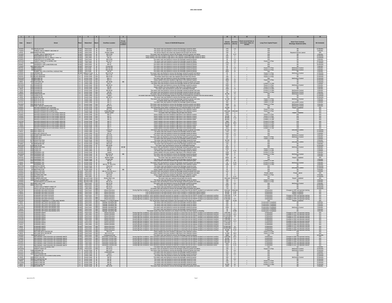| $\frac{1}{\sqrt{2}}$                                  |                                                                                                                                 |      |                                                                                                                |                                                                                          |                                                                                                                                                                                                                                                                                                | $-11$                                                                                 |                                                          |                                                                      |                                                                                                                      |                                               |
|-------------------------------------------------------|---------------------------------------------------------------------------------------------------------------------------------|------|----------------------------------------------------------------------------------------------------------------|------------------------------------------------------------------------------------------|------------------------------------------------------------------------------------------------------------------------------------------------------------------------------------------------------------------------------------------------------------------------------------------------|---------------------------------------------------------------------------------------|----------------------------------------------------------|----------------------------------------------------------------------|----------------------------------------------------------------------------------------------------------------------|-----------------------------------------------|
| Date                                                  | Street #<br>Street                                                                                                              |      | Watershed                                                                                                      | Private<br>Property<br><b>Overflow Location</b>                                          | Cause of SSO/KUB Response                                                                                                                                                                                                                                                                      | Volume<br>(Gallons)<br>(Hours)                                                        | Event occurred two or<br>more times within 12<br>months. | <b>Long-Term Capital Project</b>                                     | Short-Term Controls<br>Blockage Abatement (BA)                                                                       | <b>RA Schedule</b>                            |
| 4/10/03                                               | 211 DOUGLAS AV<br>FOREST AVE & TWENTY SECOND ST                                                                                 |      | Third Creek<br>KUW Third Creek                                                                                 | MH 43-2<br>29<br>MH 9-28                                                                 | The sewer main was flushed to remove the blockage caused by debt<br>The sewer main was flushed to remove the blockage caused by debris                                                                                                                                                         | 270<br>120<br>$-1$                                                                    |                                                          | N/A                                                                  | <b>BA</b>                                                                                                            | 12 Months<br>6 Months                         |
| 6/2/03                                                | 3039 KINGSTON PIKE                                                                                                              |      | KUW Third Creek                                                                                                | $^{29}$<br>Private Latera                                                                | The service lateral in the street was repaired and put back into service                                                                                                                                                                                                                       | 100<br>$-6$                                                                           |                                                          | <b>N/A</b>                                                           | Repaired Service Lateral                                                                                             | <b>N/A</b>                                    |
| 3/14/03<br>3/18/02<br>3/18/02                         | LAUREL AVE & TWENTIETH ST<br>MIDDLEBROOK PIKE & I-40<br>MIDDLEBROOK PIKE & TWENTY FIRST ST                                      |      | KUW Third Creek<br>KUW Third Creek<br>KUW Third Creek                                                          | $\frac{29}{29}$<br>MH 9-105<br>MH 15-7<br>29                                             | The sewer main was flushed to remove the blockage caused by grease and debris<br>Heavy rainfall in the area resulted in high flows in the collection system@lockage caused by debris                                                                                                           | $\frac{0.17}{4}$<br>$\frac{10}{250}$<br>500<br>$\overline{2}$                         |                                                          |                                                                      |                                                                                                                      | 6 Months<br>24 Months<br>24 Months            |
| 3/18/03<br>10/31/02                                   | TWENTIETH ST & LAUREL AVE<br>TWENTY FIRST ST & LAUREL AVE                                                                       |      | KUW Third Creek<br>KUW Third Creek                                                                             | MH 25<br>$\frac{29}{29}$<br>MH 9-105<br>MH 23-17                                         | Heavy rainfall in the area resulted in high flows in the collection system@lockage caused by debris                                                                                                                                                                                            | $\frac{15}{15}$<br>$\frac{90}{50}$                                                    |                                                          | N/A<br>Future 5 Yr Plan                                              |                                                                                                                      | 6 Months                                      |
| $\frac{1/17/03}{8/29/01}$                             | UNIVERSITY AVE                                                                                                                  |      | KUW Third Creek                                                                                                | $\frac{MH 42}{MH 41}$<br>$\frac{29}{29}$                                                 | The sewer main was flushed to remove the blockage caused by grease.<br>The sewer main was flushed to remove the blockage caused by debits.<br>The sewer main was flushed to remove the blockage caused by grease.<br>The sewer main was                                                        | $\frac{1440}{120}$<br>$\frac{24}{1}$                                                  |                                                          | $\frac{N/A}{N/A}$                                                    |                                                                                                                      | 12 Months                                     |
| 1/24/03                                               | <b>801 WESTERN AVE</b><br>09 BROADWAY                                                                                           |      | KUW Third Creek                                                                                                | Private MF<br>29                                                                         | The sewer main was flushed to remove the blockage caused by greas-                                                                                                                                                                                                                             | - 60<br>1.5<br>45                                                                     |                                                          | N/A                                                                  | R <sub>0</sub>                                                                                                       | 6 Months                                      |
| 8/27/01<br>4/12/02<br>4/30/01<br>4/25/02              | BROADWAY<br>SUMMIT HILL DR & CENTRAL AVENUE PIKE<br>GRONER DR                                                                   |      | KUW First Creek<br>KUW First Creek<br>KUW First Creek<br>KUW Williams Creek                                    | $\frac{30}{30}$<br>MH 19-194<br>MH 19-194<br>MH 25<br>MH 22 & 23                         | The sewer main was flushed to remove the blockage caused by grease<br>The sewer main was flushed to remove the blockage caused by grease.<br>The sewer main was flushed to remove the blockage caused by grease.<br>The sewer main was flushed to remove the blockage caused by grease and det | $\frac{500}{4500}$<br>$\frac{8}{24}$                                                  |                                                          | Future 5 Yr Plan                                                     | BA/Grease Control<br>BA/Grease Control                                                                               | 9 Months<br>9 Months<br>6 Months<br>12 Months |
|                                                       | 2313 BLACK BEAR RD                                                                                                              |      |                                                                                                                | MH 57-64<br>32A                                                                          | he sewer main was flushed to remove the blockage caused by grease and roo                                                                                                                                                                                                                      | 30                                                                                    |                                                          | N/A<br>Future 5 Yr Plan<br>Future 5 Yr Plan                          | <b>BA/Grease Co</b>                                                                                                  |                                               |
| 3/15/01<br>3/21/01<br>10/31/02                        | 13 BLACK BEAR RI<br>09 BROOME RD                                                                                                |      | FC Fourth Creek<br>FC Fourth Creek<br>FC Fourth Creek                                                          | MH 57-64                                                                                 | extent main was married to main was repaired and put back into service<br>The broken sewer force main was repaired and put back into service<br>The sewer main was flushed to remove the blockage caused by great                                                                              | $\frac{180}{150}$                                                                     |                                                          | Future 5 Yr Plan                                                     | $0 \land \land \land \land$                                                                                          | 12 Months<br>12 Months                        |
|                                                       | 309 BROOME RD<br>7509 CHATHAM CIF                                                                                               |      | FC Fourth Creek                                                                                                | MH 2-1<br>B <sub>B</sub><br>MH 49-68                                                     | Heavy rainfall in the area resulted in high flows in the collection system                                                                                                                                                                                                                     | 3840<br>16<br>720<br>24                                                               |                                                          | Future 5 Yr Plan<br>N/A                                              | BA                                                                                                                   | 12 Months                                     |
| 2/25/03<br>6/9/01<br>9/12/01<br>10/14/01<br>3/17/02   | 410 CHUKAR RD<br>513 CHUKAR RD                                                                                                  |      | FC Fourth Creek<br>FC Fourth Creek<br>FC Fourth Creek<br>FC Fourth Creek                                       | MH 67<br>MH 69-10                                                                        | The sewer main was flushed to remove the blockage caused by gease and roots.<br>The sewer main was flushed to remove the blockage caused by roots and debris.<br>The sewer main was flushed to remove the blockage caused by grease.                                                           | 250<br>1800                                                                           |                                                          | <b>Current 5 Yr Plan</b><br>Future 5 Yr Plan                         | <b>BA/Grease C</b>                                                                                                   | 12 Months<br>6 Months<br>6 Months             |
| 1/6/03                                                | 2645 CHUKAR RD<br>2644 CHUKAR RD                                                                                                |      | FC Fourth Creek                                                                                                | MH 69<br>MH 67                                                                           | Heavy rainfall in the area resulted in high flows in the collection system<br>The sewer main was flushed to remove the unidentified blockage                                                                                                                                                   | 120<br>$\overline{2}$<br>1560<br>13                                                   |                                                          | Future 5 Yr Plan<br>Current 5 Yr Plan                                | BA<br>RA                                                                                                             | 6 Months<br>6 Months                          |
| $\frac{17/03}{1/8/03}$                                | 2624 CHUKAR RD<br>fukar ri<br>2644 <sub>C</sub>                                                                                 |      | FC Fourth Creek<br>FC Fourth Creek<br>FC Fourth Creek                                                          | MH 69-30                                                                                 | The sewer main was flushed to remove the blockage caused by grease and roo<br>The sewer main was flushed to remove the blockage caused by grease and root                                                                                                                                      | 120                                                                                   |                                                          | Current 5 Yr Plan<br>Current 5 Yr Pla                                | <b>BA/Grease Contro</b><br><b>MGrease Contr</b>                                                                      | 6 Months                                      |
| 6/26/02<br>6/4/01                                     | 6536 CREEKHEAD DI<br>1341 FRANCIS RD                                                                                            |      | FC Fourth Creek                                                                                                | MH 66<br>MH 49-5<br>32A<br>Lateral<br>32A                                                | The sewer main was flushed to remove the blockage caused by grease and debris.<br>The sewer main was flushed to remove the blockage caused by roots which terminated the overflow from the                                                                                                     | 43,200<br>72<br>60<br>$\sim$                                                          |                                                          | N/A<br>N/A                                                           | <b>BA/Grease Control</b>                                                                                             | 6 Months<br>12 Months<br>12 Months            |
| 1/3/03<br>1/16/03<br>2/11/03<br>8/7/03                | 1424 MARCONI DR<br>2501 MISS ELLIE DI                                                                                           |      | FC Fourth Creek<br>FC Fourth Creek<br>FC Fourth Creek<br>FC Fourth Creek                                       | MH 49-11<br>MH 71                                                                        | The sewer main was flushed to remove the blockage caused by debris<br>The sewer main was flushed to remove the blockage caused by grease and root                                                                                                                                              | 720<br>11,520<br>$\frac{12}{96}$                                                      |                                                          | N/A<br>Future 5 Yr Plan                                              | <b>BA/Grease Contro</b>                                                                                              | 12 Months                                     |
|                                                       | 2501 MISS ELLIE DF<br>SS ELLIE DI                                                                                               |      |                                                                                                                | MH 71<br>MH 71                                                                           | The broken sewer main was repaired the debris was removed.<br>The sewer main was flushed to remove the blockage caused by greas                                                                                                                                                                | $\frac{300}{480}$<br>8                                                                |                                                          | Future 5 Yr Plan<br>Future 5 Yr Plan                                 | BA<br><b>BA/Grease Contro</b>                                                                                        | 6 Months<br>6 Months                          |
| 8/13/03<br>5/1/03<br>2/20/01<br>3/18/02               | <b>MISS ELLIE DR</b>                                                                                                            |      | FC Fourth Creek<br>FC Fourth Creek<br>FC Fourth Creek<br>FC Fourth Creek                                       | MH 71<br>MH 57-2                                                                         | The sewer main was flushed to remove the blockage caused by grease and debris.<br>The sewer main was flushed to remove the blockage caused by grease and debris                                                                                                                                | 1800                                                                                  |                                                          | Future 5 Yr Plan                                                     | <b>BA/Grease Contr</b><br><b>BA/Grease Contro</b>                                                                    | 6 Months<br>3 Months<br>N/A<br>N/A            |
|                                                       | <del>I</del> URCH RD<br>S LIFT STATION<br>PINEY GROVE CHURCH RD<br>WALKER SPRINGS LIFT STATION<br>WALKER SPRINGS RD & BROOME RD |      |                                                                                                                | Wetwell<br>MH 1-2A                                                                       | The wastewater pump station overflowed due to an electrical failure at the station<br>Heavy rainfall in the area resulted in high flows in the collection system.                                                                                                                              | $\frac{20}{1}$<br>$\frac{120}{24,000}$                                                |                                                          | N/A<br>N/A<br>Future 5 Yr Plan                                       | Repair Complete                                                                                                      |                                               |
| 1/27/02<br>9/17/01<br>10/3/02<br>12/5/02              | VALKER SPRINGS RD & MARS HILL<br>VALKER SPRINGS RD & N GALLAHER VIEW RD                                                         |      | FC Fourth Creek<br>FC Fourth Creek<br>FC Fourth Creek<br>FC Fourth Creek                                       | Unidentified MH<br>Broken Sewer<br>MH 77<br>MH 77                                        | Heavy rainfall in the area resulted in high flows in the collection system                                                                                                                                                                                                                     | Unknown<br>Unknown                                                                    |                                                          | Future 5 Yr Plan<br>N/A<br>Future 5 Yr Plan<br>Future 5 Yr Plan      | <b>N/A</b><br>Repair Completed                                                                                       | N/A<br>N/A<br>N/A<br>N/A                      |
|                                                       | ALKER SPRINGS RD & N GALLAHER VIEW RD<br>WALKER SPRINGS RD & N GALLAHER VIEW RD                                                 |      |                                                                                                                |                                                                                          | The sewer main was repaired and put back into service.<br>Heavy rainfall in the area resulted in high flows in the collection system.<br>Heavy rainfall in the area resulted in high flows in the collection system                                                                            | $\frac{5000}{1200}$ $\frac{1200}{18,000}$<br>$rac{2}{12}$                             |                                                          |                                                                      | N/A<br>N/A                                                                                                           |                                               |
| 2/16/03<br>2/22/03                                    | WALKER SPRINGS RD & N GALLAHER VIEW RD<br>WALKER SPRINGS RD & N GALLAHER VIEW RD                                                |      | FC Fourth Creek                                                                                                | MH 78                                                                                    | Heavy rainfall in the area resulted in high flows in the collection system Heavy rainfall in the area resulted in high flows in the collection system                                                                                                                                          | $\frac{71.5}{72}$<br>85,800<br>86,400                                                 |                                                          | Current 5 Yr Plar<br>Current 5 Yr Plar                               | N/A<br>N/A                                                                                                           | N/A<br>N/A                                    |
| 2/27/03                                               | WALKER SPRINGS RD & N GALLAHER VIEW RD<br>WALKER SPRINGS RD & N GALLAHER VIEW RD                                                |      | FC Fourth Creek                                                                                                | MH 77<br><b>MH 77</b>                                                                    | Heavy rainfall in the area resulted in high flows in the collection syster<br>Heavy rainfall in the area resulted in high flows in the collection system                                                                                                                                       | 1890<br>21<br>49,875<br>66.5                                                          |                                                          | Current 5 Yr Plan<br>Current 5 Yr Plan                               | N/A<br>N/A                                                                                                           | <b>N/A</b><br>N/A                             |
| 5/6/03<br>7/2/03<br>11/6/03                           | WALKER SPRINGS RD & N GALLAHER VIEW RD<br>WALKER SPRINGS RD & N GALLAHER VIEW RD                                                |      |                                                                                                                | MH 77<br>MH 77                                                                           | Heavy rainfall in the area resulted in high flows in the collection system.<br>Heavy rainfall in the area resulted in high flows in the collection system.<br>Heavy rainfall in the area resulted in high flows in the collection sy                                                           | 14,440<br>$\frac{24}{4}$                                                              |                                                          | Current 5 Yr Plan<br>Current 5 Yr Plan<br>Current 5 Yr Plan          | N/A<br>N/A                                                                                                           | N/A<br>N/A                                    |
| 11/19/03<br>2/13/02<br>5/6/03                         | VALKER SPRINGS RD & N GALLAHER VIEW RD<br>5912 WESTMERE DI<br>5909 WESTMERE DI                                                  |      | FC Fourth Creek<br>FC Fourth Creek<br>FC Fourth Creek<br>FC Fourth Creek<br>FC Fourth Creek<br>FC Fourth Creek | <b>MH 77</b>                                                                             |                                                                                                                                                                                                                                                                                                | 1920<br>14,400<br>240                                                                 |                                                          | N/A<br>N/A                                                           | N/A<br><b>BA/Grease Contro</b>                                                                                       | <b>N/A</b><br>12 Months                       |
| 5/10/02                                               | 2139 WILLOW CREEK LI                                                                                                            |      | FC Fourth Creek                                                                                                | Clean-out<br>Lateral<br>MH 65<br>324                                                     | The sewer main was flushed to remove the blockage caused by grease and roots<br>The sewer main was flushed to remove the blockage caused by debri<br>The sewer main was flushed to remove the blockage caused by debris                                                                        | 2160<br>12                                                                            |                                                          | <b>N/A</b>                                                           | <b>BA</b>                                                                                                            | 6 Months                                      |
| 3/12/03<br>6/29/02                                    | 7505 KERRI WAY                                                                                                                  |      | FC Fourth Creek<br>FC Fourth Creek                                                                             | MH 9-29<br>MH 4-115<br>32B                                                               | The sewer main was flushed to remove the blockage caused by greas<br>The sewer main was flushed to remove the blockage caused by grease and debri                                                                                                                                              | $\frac{750}{180}$<br>$3^{\circ}$                                                      |                                                          | Future 5 Yr Plan                                                     | IA/Grease Cor<br><b>BA/Grease Control</b>                                                                            | 6 Months<br>6 Months                          |
| 11/5/02                                               | 7505 KERRI WAY<br>8079 KINGSTON PIK                                                                                             |      | FC Fourth Creek<br>FC Fourth Creek                                                                             | MH 4-115<br>32B<br>32B<br>MH 9-10                                                        | The sewer main was flushed to remove the blockage caused by grease<br>The sewer main was flushed to remove the blockage caused by roots                                                                                                                                                        | 60<br>2<br>43,200<br>T <sub>2</sub>                                                   |                                                          | Future 5 Yr Plan<br><b>N/A</b>                                       | RA                                                                                                                   | 6 Months<br>6 Months                          |
| 11/25/02<br>12/26/02<br>7/18/01                       | 8401 KINGSTON PIKI                                                                                                              |      | FC Fourth Creek<br>FC Fourth Creek<br>FC Fourth Creek                                                          | Clean-out<br>MH 4-62<br>MH 83-80                                                         | The sewer main was flushed to remove the blockage caused by grease and deb                                                                                                                                                                                                                     | 36<br>2160<br>120<br>4                                                                |                                                          | N/A                                                                  | <b>BA/Grease Cont</b>                                                                                                | 18 Months<br>9 Months<br>12 Months            |
| 10/21/02<br>5/10/02                                   | 801 MARLBORO RI<br>5118 EVELYN DR<br>6907 KINGSTON PIKI                                                                         |      | FC Fourth Creek                                                                                                | <b>BR BR</b><br>$\overline{a}$                                                           | The sewer main was flushed to remove the blockage caused by roots.<br>The sewer main was flushed to remove the unidentified blockage.<br>The sewer main was flushed to remove the blockage caused by grease and root                                                                           | $\overline{2}$<br>4500<br>$\overline{\phantom{a}}$                                    |                                                          | N/A                                                                  | <b>BA/Grease Contro</b>                                                                                              | 6 Months                                      |
| 1/23/02<br>3/25/02<br>3/13/03                         | 4930 LONAS DR<br>4930 LONAS DR<br>6430 PAPERMILL D                                                                              |      | FC Fourth Creek<br>FC Fourth Creek<br>FC Fourth Creek                                                          | Lateral<br>MH 89<br>MH 89<br>$\frac{33}{33}$                                             | Heavy rainfall in the area resulted in high flows in the collection system.<br>The sewer main was flushed to remove the blockage caused by debris                                                                                                                                              | 1200<br>$\begin{array}{c}\n4 \\ 0.24 \\ \hline\n10\n\end{array}$<br>$\frac{30}{1200}$ |                                                          | Future 5 Yr Plan<br>Future 5 Yr Plan<br>Current 5 Yr Plan            |                                                                                                                      | 6 Months<br>6 Months<br>6 Months              |
|                                                       | 6410 PAPERMILL DR                                                                                                               |      |                                                                                                                | Latera<br>33<br>BB                                                                       | Heavy rainfall in the area resulted in high flows in the collection syste                                                                                                                                                                                                                      | $^{\circ}$                                                                            |                                                          | Current 5 Yr Plan                                                    | <b>BA/Grease Control</b>                                                                                             |                                               |
| 10/29/03<br>3/3/02<br>6/21/02                         | 5121 PAPERMILL RI                                                                                                               |      | FC Fourth Creek<br>FC Fourth Creek<br>FC Fourth Creek                                                          | MH 23 & 24<br>MH 79-16<br>Broken Sewer                                                   | The sewer main was flushed to remove the blockage caused by grease.<br>The sewer main was flushed to remove the blockage caused by grease.<br>The sewer main was repaired and put back into service.                                                                                           | $\frac{2880}{15}$<br>$\frac{1}{48}$                                                   |                                                          | $\frac{N/A}{N/A}$                                                    | BA<br>Repair Compl                                                                                                   | 3 Months<br>3 Months<br>N/A                   |
| 2/11/03<br>2/22/03                                    | 5113 PAPERMILL RD<br>6500 PAPERMILL RD                                                                                          |      | FC Fourth Creek<br>FC Fourth Creek                                                                             | 33<br>Private MH                                                                         | The sewer main was flushed to remove the blockage caused by debris<br>Heavy rainfall in the area resulted in high flows in the collection syster                                                                                                                                               | $\frac{120}{9000}$<br>$rac{2}{60}$                                                    |                                                          | N/A<br>Current 5 Yr Plan                                             |                                                                                                                      | 3 Months<br>6 Months                          |
| 5/2/03<br>5/6/03                                      | 6500 PAPERMILL RD<br>PERMILL RI                                                                                                 |      | FC Fourth Creek<br>FC Fourth Creek                                                                             | MH 28<br>$\overline{a}$<br>MH 26, 27, 28 & 2<br>33                                       | The sewer main was flushed to remove the blockage caused by grease and de-<br>Heavy rainfall in the area resulted in high flows in the collection system.                                                                                                                                      | $\frac{0.75}{19.5}$<br>$\frac{45}{2400}$                                              |                                                          | Current 5 Yr Plan<br>Current 5 Yr Plan                               | <b>BA/Grease Contr</b>                                                                                               | 6 Months<br>6 Months                          |
| 10/17/01                                              | 4724 SANTALA DRIVI<br><b>RADITIONAL D</b>                                                                                       |      | FC Fourth Creek                                                                                                | 33<br>Clean-out<br>MH 32-77<br>33<br>$\overline{a}$                                      | The sewer main was flushed to remove the blockage caused by roots.                                                                                                                                                                                                                             | 30<br>$\frac{2}{1}$<br>60                                                             |                                                          | N/A<br>N/A<br>N/A                                                    | BA<br><b>BA/Grease Contr</b>                                                                                         | 12 Months                                     |
| 9/21/01<br>9/22/02<br>5/29/01<br>5/24/03              | WESTFIELD RD<br>KINGSTON PIKE<br><b>GSTON PIP</b>                                                                               |      | FC Fourth Creek<br>FC Fourth Creek<br>KUW Third Creek<br>KUW Third Creek                                       | MH 28<br>MH 16-14 to MH 16-2<br>B <sub>B</sub>                                           | The sewer main was flushed to remove the blockage caused by grease.<br>Heavy rainfall in the area resulted in high flows in the collection system.<br>The sewer main was flushed to remove the blockage caused by grease and rock<br>th                                                        | $rac{60}{600}$<br>$\frac{4}{2}$                                                       |                                                          | N/A                                                                  | <b>PA</b>                                                                                                            | 12 Months<br>6 Months<br>3 Months<br>NA       |
| 9/26/02                                               | <b>JTHERLAND AVE</b><br>INDSOR AVE                                                                                              |      | KUW Third Creek                                                                                                | Private MH<br>MH 3-53<br>34<br>MH 3-55<br>34                                             | Heavy rainfall in the area resulted in high flows in the collection syster                                                                                                                                                                                                                     | 90<br>$\overline{\mathbf{3}}$<br>0.33<br>40                                           |                                                          | hivate Lateral<br>Future 5 Yr Plan<br><b>N/A</b>                     | Private Later<br><b>PA</b>                                                                                           | 6 Months<br>12 Months                         |
| 12/16/02                                              | JMBERLAND AVE<br>HLLIP FULMER WAY                                                                                               |      | KUW Third Creek<br>KUW Second Creek<br>KUW Second Creek                                                        | Broken Main L                                                                            | The sewer was flushed to removed the blockage caused by roots<br>The sewer main was repaired and put back into servic                                                                                                                                                                          | Jnknow                                                                                |                                                          | N/A<br>Future 5 Yr Plan                                              | <b>Repair Compl</b>                                                                                                  | N/A<br>6 Months                               |
| 3/10/03<br>2/23/03                                    | SEVENTEENTH ST & WHITE AVE<br>914 ANDY HOLT AVE                                                                                 |      | KUW Second Creek<br>KUW Third Creek                                                                            | MH 21<br>35A<br>MH 22-15<br>MH 12-18<br><b>RAF</b>                                       | The sewer main was flushed to remove the blockage caused by debris.<br>The sewer main was flushed to remove the blockage caused by grease and debris<br>The sewer main was flushed to remove the blockage caused by grease.                                                                    | 360<br>$\overline{2}$<br>120<br>2<br>150<br>0.5                                       |                                                          | Future 5 Yr Plan<br><b>N/A</b>                                       | BA<br><b>BA</b><br><b>BA/Grease Control</b>                                                                          | 6 Months<br>6 Months                          |
| 9/16/02<br>11/11/02<br>11/12/02<br>5/10/01<br>3/17/02 | CLINCH AVE<br>CLINCH AVE & TWENTY FIRST<br>KINGSTON PIKE & ALCOA HWY                                                            | KUW. | Third Creek                                                                                                    | MH 23-5                                                                                  | The broken sewer main was repaired the debris was removed                                                                                                                                                                                                                                      | $6\overline{}$<br>1500                                                                |                                                          | N/A                                                                  |                                                                                                                      | 24 Months                                     |
|                                                       | UWAHEE INFLUENT BYPASS                                                                                                          |      | KUW Third Creek<br>KUW Third Creek<br>KUW Third Creek                                                          | MH 23-15<br>MH 18-3<br>Influent Structur                                                 | The sewer main was flushed to remove the blockage caused by debris.<br>The sewer main was flushed to remove the blockage caused by grease and debris.<br>conditions, valve operations deemed necessary by operator to control flow i<br>During high flow                                       | $\frac{150}{750}$<br>$\mathbf{3}$<br><b>Unknown</b><br>Unknown                        |                                                          | <b>M</b> Reduction                                                   | Changes to SOP and operator traini                                                                                   | 24 Months<br>N/A                              |
| 6/6/02<br>7/30/02<br>9/21/02                          | JWAHEE INFLUENT BYPASS                                                                                                          |      | KUW Third Creek<br>KUW Third Creek<br>KUW Third Creek                                                          | <b>Influent Structure</b>                                                                | Loss of electrical power to the plant during a severe storm resulted in a partial plant influent bypass                                                                                                                                                                                        | 38,000<br>$\frac{0.25}{0.07}$<br>2.18                                                 |                                                          | <b>M Reduction</b><br><b>M Reduction</b><br><b>M Reduction</b>       | Repair Completed                                                                                                     | NA<br>NA<br>NA                                |
|                                                       | <i>NAH</i> EE INFLUENT BYPASS<br>WAHEE INFLUENT BYPASS<br><b>KUWAHEE INFLUENT BYPASS</b>                                        |      | KUW Third Creek                                                                                                | Influent Structure<br>Influent Structure                                                 | Loss of electrical power to the plant during a severe storm resulted in a partial plant influent bypass.<br>During high flow conditions, valve operations deemed necessary by operator to control flow into the WWTP resulted in                                                               | 10,000<br>1,660,000<br>1,300,000                                                      |                                                          | <b>M</b> Reduction                                                   | Repair Completed<br>Changes to SOP and operator training                                                             | <b>N/A</b>                                    |
| 9/22/02<br>9/22/02<br>8/21/03<br>3/2/01               | WAHEE INFLUENT BYPASS<br>WAHEE PRIMARIES # 1-3 INFLUENT BOXES                                                                   |      | KUW Third Creek<br>KUW Third Creek<br>KUW Third Creek                                                          | Influent Structure<br>aries # 1-3 Influent Bo                                            |                                                                                                                                                                                                                                                                                                | $\frac{4.5}{0.133}$<br>$\frac{6,700,00}{1000}$                                        |                                                          | <b>IVI Reduction</b>                                                 | Changes to SOP and operator training<br>Changes to SOP and operator training                                         | N/A<br>N/A<br>3 Months                        |
|                                                       | KUWAHEE SEPTAGE UNLOADING SITE                                                                                                  |      |                                                                                                                | Septage Unloading Site<br>Septage Unloading Site                                         |                                                                                                                                                                                                                                                                                                | 300                                                                                   |                                                          | <b>Construction Completed</b><br><b>Construction Completed</b>       |                                                                                                                      |                                               |
| 7/7/01<br>8/17/01<br>11/14/01                         | UWAHEE SEPTAGE UNLOADING SITE<br>UWAHEE SEPTAGE UNLOADING SITE<br>JWAHEE SEPTAGE UNLOADING SIT                                  |      | KUW Third Creek<br>KUW Third Creek<br>KUW Third Creek                                                          | Septage Unicading Site<br>Septage Unicading Site                                         | The sewer main was flushed to remove the blockage caused by debris<br>The sewer main was flushed to remove the blockage caused by debris<br>o remove the blockage caused by grea                                                                                                               | 500<br>1500                                                                           |                                                          |                                                                      | <b>BAICH</b>                                                                                                         | 3 Months<br>3 Months<br>3 Months              |
| 4/2/03<br>8/25/03<br>2/14/03<br>2/15/03<br>2/17/03    | KUWAHEE SEPTAGE UNLOADING SITE<br>KUWAHEE SEPTAGE UNLOADING SITE                                                                |      | KUW Third Creek                                                                                                | Septage Unloading Site                                                                   | The sewer main was flushed to remove the blockage caused by grease.                                                                                                                                                                                                                            | 50<br>0.5<br>30                                                                       |                                                          | <b>Construction Completed</b><br><b>Construction Compl</b>           | <b>BA</b>                                                                                                            | 3 Months                                      |
|                                                       | KUWAHEE WWTP                                                                                                                    |      | KUW Third Creek<br>KUW Third Creek<br>KUW Third Creek                                                          | Septage Unloading Site<br>Influent Structure<br>Influent Structure                       | The wash badden into the distribution of the mail of the state of the state of the state in the state in the state of the state in the state in the state in the state in the state in the state in the state of the state of                                                                  | $\frac{0.083}{1.5}$<br>1.5<br>1,600,000<br>11,700,00                                  |                                                          | <b>I/I Reduction</b><br><b>I</b> Reduction                           | Changes to SOP and operator training<br>Changes to SOP and operator training                                         | 3 Months<br>N/A<br>N/A                        |
|                                                       | <b><i>SUWAHEE WWT</i></b><br><b>LIWAHEE WWTF</b>                                                                                |      | KUW Third Creek<br>KUW Third Creek                                                                             | Influent Structure<br>Influent Structure                                                 | During high flow conditions, valve operations deemed necessary by operator to control flow into the WWTP resulted in an inadvertent overflow.<br>During high flow conditions, valve operations deemed necessary by operator to control flow into the WWTP resulted in an inadvertent overflow  | 12,120,000<br>18<br>1,480,000                                                         |                                                          | <b>I/I Reduction</b><br><b>I/I Reduction</b>                         | Changes to SOP and operator training<br>Changes to SOP and operator training                                         | N/A<br><b>N/A</b>                             |
| 2/21/03<br>2/22/03<br>4/10/03<br>5/5/03               | <b>UWAHEE WWTF</b><br>WAHEE WWTP<br>WAHEE WWTP                                                                                  |      | KUW Third Creek<br>KUW Third Creek<br>KUW Third Creek<br>KUW Third Creek                                       | Influent Structure                                                                       | During high flow conditions, valve operations deemed necessary by operator to control flow into the WWTP resulted in an inadvertent overflow<br>During high flow conditions, valve operations deemed necessary by operator to control flow into the WWTP resulted in an inadvertent over       | 1.320.000<br>25                                                                       |                                                          | <b>VI</b> Reduction                                                  | Changes to SOP and operator training                                                                                 | <b>N/A</b>                                    |
|                                                       |                                                                                                                                 |      |                                                                                                                | Influent Structure                                                                       | During high flow conditions, valve operations deemed necessary by operator to control flow into the WWTP resulted in an inadvertent overflow.<br>During high flow conditions, valve operations deemed necessary by operator to control flow into the WWTP resulted in an inadvertent overflow. | 1,740,000                                                                             |                                                          | Vi Reduction                                                         | Changes to SOP and operator training<br>Changes to SOP and operator training<br>Changes to SOP and operator training | $\frac{N}{N}$                                 |
| 5/6/03<br>5/7/03<br>11/6/03                           | KUWAHEE WWTP<br>UWAHEE WW                                                                                                       |      | KUW Third Creek<br>KUW Third Creek<br>KUW Third Creek                                                          | Influent Structure                                                                       | During high flow conditions, valve operations deemed necessary by operator to control flow into the WWTP resulted in an inadvertent overflow<br>During high flow conditions, valve operations deemed necessary by operator to con                                                              | 22,060,000<br>19,400,000<br>$\frac{15}{15.5}$<br>0.72                                 |                                                          | VI Reduction<br>VI Reduction<br>VI Reduction                         | Changes to SOP and operator training<br>Changes to SOP and operator training                                         | NA<br>NA<br>NA                                |
|                                                       | NEYLAND DR & CENTER DR                                                                                                          |      | KUW Third Creek                                                                                                | Influent Structure<br>MH 4-16                                                            | During high flow conditions, valve operations deemed necessary by operator to control flow into the WWTP resulted in an inadvertent overflow                                                                                                                                                   | 50,000<br>180<br>$3^{\circ}$                                                          |                                                          | Future 5 Yr Plan                                                     | Changes to SOP and operator training<br>N/A                                                                          | <b>N/A</b>                                    |
| 2/22/03<br>5/6/03<br>9/23/03<br>1/24/02<br>1/25/02    | NEYLAND DR & JACOB DR<br>NEYLAND DR & JACOB DR<br>SECONDARY JUNCTION BOX ® KUWAHEE WWTP                                         |      | <b>COW</b> Third Creek<br>COW Third Creek                                                                      | MH 4-6 & 4-2<br><b>Underground Flor</b>                                                  | Heavy rainfall in the area resulted in high flows in the collection system.<br>Heavy rainfall in the area resulted in high flows in the collection system.<br>The sewer main was flushed to remove the blockage caused by grease.                                                              | 11.850<br>39.5<br>2880<br>$\frac{24}{20.5}$                                           |                                                          | Future 5 Yr Plan                                                     | BA<br>Changes to SOP and operator training                                                                           | 12 Months                                     |
|                                                       | CONDARY JUNCTION BOX @ KUWAHEE WWTF                                                                                             |      | KUW Third Creek<br>KUW Third Creek                                                                             | lecondary Junction I<br>Secondary Junction Box                                           | During high flow conditions, valve operations deemed necessary by operator to control flow into the WV<br>ed in an inadverten<br>During high flow conditions, valve operations deemed necessary by operator to control flow into the WWTP resulted in an inadvertent overflow.                 | 1,000,00<br>2.5                                                                       |                                                          | N/A<br>Il Reduction<br>Il Reduction                                  | Changes to SOP and operator training                                                                                 | $\frac{N}{A}$                                 |
| 3/17/02<br>3/18/02<br>9/21/02<br>2/14/03              | SECONDARY JUNCTION BOX @ KUWAHEE WWTP                                                                                           |      | KUW Third Creek                                                                                                | Secondary Junction Box<br><b>A75</b><br>Secondary Junction Box<br>Secondary Junction Box | During high flow conditions, valve operations deemed necessary by operator to control flow into the WWTP resulted in an inadvertent overflow.                                                                                                                                                  | 450,000<br>$\overline{9}$                                                             |                                                          | <b>M</b> Reduction                                                   | Changes to SOP and operator training                                                                                 | <b>N/A</b>                                    |
|                                                       | ECONDARY JUNCTION BOX ® KUWAHEE WWTP<br>ECONDARY JUNCTION BOX ® KUWAHEE WWTP<br>ECONDARY JUNCTION BOX ® KUWAHEE WWTP            |      | KUW Third Creek<br>KUW Third Creek<br>KUW Third Creek                                                          | Secondary Junction Box                                                                   | During high flow conditions, valve operations deemed necessary by operator to control flow into the WWTP resulted in an inselected control.<br>During high flow conditions, valve operations deemed necessary by operator to cont                                                              | $\frac{200,000}{3000}$<br>$\frac{5.5}{0.25}$                                          |                                                          | <b>IVI Reduction</b><br><b>IVI Reduction</b><br><b>IVI Reduction</b> | Changes to SOP and operator training<br>Changes to SOP and operator training<br>Changes to SOP and operator training | N/A<br>N/A<br>N/A                             |
| 6/8/01<br>10/14/02<br>4/7/02                          | <b>IWENTIETH ST &amp; LAUREL AVE</b><br><b>ESHIRE DR</b>                                                                        |      | KUW Third Creek<br>KUW Third Creek<br>FC Fourth Creek                                                          | 35B<br>MH 9-105<br>MH 23-14                                                              | The sewer main was flushed to remove the blockage caused by grease.<br>The sewer main was flushed to remove the blockage caused by grease and deb                                                                                                                                              | $\frac{120}{100}$<br>60                                                               |                                                          | N/A<br>Future 5 Yr Plan                                              | BA<br><b>BA/Grease Contro</b><br><b>BA/Grease Contro</b>                                                             | 6 Months<br>12 Months<br>12 Months            |
| 6/21/01                                               | 519 MORRELL RD<br>NORTHSHORE D                                                                                                  |      | FC Fourth Creek                                                                                                | 36<br>Unidentified MH<br>36                                                              | to remove the blockage causer<br>The sewer main was flushed to remove the blockage caused by grease.<br>The sewer main was flushed to remove the blockage caused by greas                                                                                                                      | 500<br>8<br>100<br>3.5                                                                |                                                          | N/A<br>N/A                                                           | BA                                                                                                                   | 6 Months<br>18 Months                         |
| 4/22/01<br>1/27/02<br>4/3/03<br>11/14/02              | NUBBIN RIDGE DR & SHADYLAND DRIVE                                                                                               |      | FC Fourth Creek<br>FC Fourth Creek<br>FC Fourth Creek                                                          | Lateral<br>MH 39-3<br>MH 55<br>36<br>$\overline{\mathcal{R}}$                            | The sewer main was flushed to remove the blockage caused by roots.<br>The sewer main was flushed to remove the blockage caused by greas                                                                                                                                                        | $\frac{30}{240}$<br>$\frac{2}{2}$                                                     |                                                          | N/A<br>NIA                                                           | BA<br><b>BA/Grease Co</b>                                                                                            | 12 Months                                     |
|                                                       | 7004 ROTHERWOOD D<br>7712 SHADYLAND DI                                                                                          |      | FC Fourth Creek<br>FC Fourth Creek                                                                             | 36<br>MH 30<br>MH <sub>38</sub>                                                          | The sewer main was flushed to remove the blockage caused by roots<br>The sewer main was flushed to remove the blockage caused by roots                                                                                                                                                         | 30<br>0.5<br>180<br>$\overline{\mathbf{3}}$                                           |                                                          | N/A<br>Future 5 Yr Plan                                              | <b>BA</b>                                                                                                            | 12 Months<br>12 Months                        |
| 9/5/02<br>11/13/02                                    | 7112 SHADYLAND DF                                                                                                               |      | FC Fourth Creek<br>FC                                                                                          | 36<br>MH 36                                                                              | The sewer main was flushed to remove the blockage caused by roots                                                                                                                                                                                                                              | 720<br>$\overline{4}$                                                                 |                                                          | Future 5 Yr Plan<br>Current 5 Yr Pla                                 | <b>RA</b>                                                                                                            | 12 Months                                     |
| 3/9/03                                                | 7112 SHADYLAND DR                                                                                                               |      | Fourth Creek                                                                                                   | $\frac{35}{36}$<br>MH 36                                                                 | The sewer main was flushed to remove the blockage caused by debris<br>sewer main was flushed to remove the blockage caused by grease and                                                                                                                                                       | 19,200                                                                                |                                                          |                                                                      |                                                                                                                      | 12 Months                                     |

a barang disebut di page 5 mage 5 mage 5 mage 5 mage 5 mage 5 mage 5 mage 5 mage 5 mage 5 mage 5 mage 5 mage 5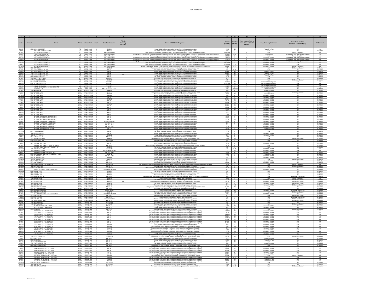|                                        |          |                                                                                                                                     |                                                                                                  | 6                                        |                                           |                      |                                                                                                                                                                                                                                                                             |                                                                                                       |                                                                                    |                                                        |                                                                                  |                                                                                                  |                                                          |
|----------------------------------------|----------|-------------------------------------------------------------------------------------------------------------------------------------|--------------------------------------------------------------------------------------------------|------------------------------------------|-------------------------------------------|----------------------|-----------------------------------------------------------------------------------------------------------------------------------------------------------------------------------------------------------------------------------------------------------------------------|-------------------------------------------------------------------------------------------------------|------------------------------------------------------------------------------------|--------------------------------------------------------|----------------------------------------------------------------------------------|--------------------------------------------------------------------------------------------------|----------------------------------------------------------|
| Date                                   | Street # | Street                                                                                                                              | Watershed                                                                                        |                                          | <b>Overflow Location</b>                  | Property<br>.ocation | <b>Cause of SSO/KUB Response</b>                                                                                                                                                                                                                                            | Volume<br>(Gallons)                                                                                   | Duratior<br>(Hours)                                                                | vent occurred two c<br>more times within 12<br>months. | <b>Long-Term Capital Project</b>                                                 | Short-Term Controls<br>Blockage Abatement (BA)                                                   | <b>BA Schedule</b>                                       |
| 5/6/03<br>7/6/01<br>3/17/02<br>3/18/02 |          | 1300 WOODRIDGE DR                                                                                                                   | FC Fourth Creek 36<br>FC Fourth Creek 37<br>FC Fourth Creek 37                                   |                                          | MH 59-4<br>MH 25-7                        |                      | Heavy rainfall in the area resulted in high flows in the collection system<br>The sewer main was flushed to remove the blockage caused by debris                                                                                                                            | 1740 58                                                                                               | $\overline{1}$                                                                     |                                                        | Future 5 Yr Plan                                                                 | N/A<br>BA                                                                                        | <b>N/A</b><br>12 Months<br>N/A<br>N/A                    |
|                                        |          | HOUM DR & WEISGARBER<br>FOURTH CREEK WWTP                                                                                           |                                                                                                  |                                          |                                           |                      | Loss of electrical power to the plant during a severe storm resulted in a partial plant in<br>sary by operator to o                                                                                                                                                         | $\frac{200}{1,916,000}$<br>134,000                                                                    |                                                                                    |                                                        |                                                                                  | Repair Completed<br>to SOP and operal                                                            |                                                          |
| 4/19/02                                |          | FOURTH CREEK WWT<br>FOURTH CREEK WWT                                                                                                | FC Fourth Creek 37                                                                               |                                          | Influent Structure                        |                      | The influent gate experienced a mechanical failure of the hydraulic operating system<br>During high flow conditions, valve operat<br>ons deemed necessary by operator to control flow into the WWTP resulted in an inadvertent overflow                                     | 569,000<br>136,000 2                                                                                  | $\overline{2}$                                                                     |                                                        | N/A                                                                              | Repair Completed<br>Changes to SOP and operator training<br>Changes to SOP and operator training | <b>N/A</b><br><b>N/A</b>                                 |
| 2/15/03<br>2/16/03<br>5/6/03           |          | OURTH CREEK WWTF<br>OURTH CREEK WWTF                                                                                                | FC Fourth Creek 37<br>FC Fourth Creek 37<br>FC Fourth Creek 37                                   |                                          | Influent Structure                        |                      |                                                                                                                                                                                                                                                                             | 26.710                                                                                                | -á                                                                                 |                                                        | Current 5 Yr Plan<br>Current 5 Yr Plan<br>Current 5 Yr Plan                      |                                                                                                  | $\frac{1}{N}$                                            |
| 5/15/03<br>7/9/03                      |          | FOURTH CREEK WWT<br>FOURTH CREEK WWO                                                                                                | FC Fourth Creek 37<br>FC Fourth Creek 37                                                         |                                          | Influent Structure<br>Influent Structure  |                      | Loss of electrical power to the plant during a severe storm resulted in a partial plant influent bypas<br>Loss of electrical power to the plant during a severe storm resulted in a partial plant influent bypas                                                            | 1,500,000<br>1.370.000 3.14                                                                           | $\overline{\mathbf{3}}$                                                            |                                                        | Current 5 Yr Pla<br>Current 5 Yr Pla                                             | N/A<br>N/A                                                                                       | N/A<br>N/A                                               |
| 12/11/03                               |          | FOURTH CREEK WWTP                                                                                                                   | FC Fourth Creek 37                                                                               |                                          | Influent Structure                        |                      | An electronic failure resulted in the shutdown of the influent pumps and the subsequent closure of the influent gate.                                                                                                                                                       | 48,650 0.33                                                                                           |                                                                                    |                                                        | Current 5 Yr Plan                                                                | Repair Complete                                                                                  | N/A<br>3 Month                                           |
| 7/15/0<br>2/15/0                       |          | 411 HIGHLAND HILLS RD<br>411 HIGHLAND HILLS RD                                                                                      | FC Fourth Creek 37<br>FC Fourth Creek 37                                                         |                                          | MH 62<br>MH 62                            |                      | The sewer main was flushed to remove the blockage caused by debris.<br>Heavy rainfall in the area resulted in high flows in the collection system                                                                                                                           | 10<br>14,400 48                                                                                       | 0.25                                                                               |                                                        | N/A<br>Future 5 Yr Plan                                                          | BA                                                                                               | 12 Months<br>9 Months                                    |
| 2/22/03<br>5/5/03<br>9/19/03<br>9/7/02 |          | 409 HIGHLAND HILLS RD                                                                                                               | FC Fourth Creek 37                                                                               |                                          | MH 62<br>MH 62<br>MH 58                   | BB                   | Heavy rainfall in the area resulted in high flows in the collection syste                                                                                                                                                                                                   | 55,800 62                                                                                             |                                                                                    |                                                        | Future 5 Yr Plan<br>Future 5 Yr Plan                                             |                                                                                                  | 9 Months<br>9 Months<br>3 Months<br>6 Months             |
|                                        |          | 421 HIGHLAND HILLS R<br>103 KINGSTON PIKE<br>5103 KINGS LUN PINE<br>1304 KNOLLWOOD CIR                                              | FC Fourth Creek 37<br>FC Fourth Creek 37<br>FC Fourth Creek 37                                   |                                          | Clean-ou                                  |                      | Heavy rainfall in the area resulted in high flows in the collection system.<br>The sewer main was flushed to remove the blockage caused by debris<br>The sewer main was flushed to remove the blockage caused by roots.                                                     | $\begin{array}{c c} 2520 & 42 \\ \hline 3000 & 1 \\ 120 & 2 \end{array}$                              |                                                                                    |                                                        | N/A<br>N/A                                                                       |                                                                                                  |                                                          |
| 9/26/0                                 |          | 1476 LYONS BEND RD<br>6410 NORTHSHORE DR<br>5501 NORTHSHORE DR<br>6410 NORTHSHORE DR                                                | FC Fourth Creek 37<br>FC Fourth Creek 37<br>FC Fourth Creek 37<br>FC Fourth Creek 37             |                                          | MH 9-90                                   |                      | The sewer main was flushed to remove the blockage caused by grease<br>Heavy rainfall in the area resulted in high flows in the collection system                                                                                                                            | 60                                                                                                    |                                                                                    |                                                        | N/A<br>Construction Complete                                                     | <b>BA/Grease Control</b>                                                                         | 12 Months<br>N/A<br>N/A<br>N/A                           |
| 2/22/07                                |          |                                                                                                                                     |                                                                                                  |                                          | MH6&7<br>MH6&7<br>MH7&8                   |                      | Heavy rainfall in the area resulted in high flows in the collection syste<br>Heavy rainfall in the area resulted in high flows in the collection syste                                                                                                                      | 864.000 48<br>1,296,000 72<br>747,000 51.5                                                            |                                                                                    |                                                        | Construction Co                                                                  |                                                                                                  |                                                          |
| $\frac{9/21/00}{2/28/00}$              |          | NORTHSHORE DR & LYONS BEND RD<br><b>HILLVALE CIF</b>                                                                                | Fourth Creek 37<br>Third Creek 38<br>South Knoxville 39                                          |                                          | MH 7<br>MH 1-27, 1-33 & 1-115             |                      | Heavy rainfall in the area resulted in high flows in the collection system.<br>Heavy rainfall in the area resulted in high flows in the collection system.<br>The sewer main was flushed to remove the blockage caused by roots.                                            | $\frac{5000}{300}$                                                                                    | $rac{2}{\text{Unknown}}$                                                           |                                                        | onstruction Complete                                                             |                                                                                                  | N/A<br>6 Months<br>12 Months                             |
| 3/15/02<br>10/2/0                      |          | 330 AVENUE A<br>2323 BLOUNT AVE                                                                                                     | KUW South Knoxville 39                                                                           |                                          | MH 40-2<br>MH 2-9                         |                      | The sewer main was flushed to remove the blockage caused by grease and ror                                                                                                                                                                                                  | $\frac{250}{21,600}$ $\frac{4}{72}$                                                                   |                                                                                    |                                                        | Future 5 Yr Pla<br>N/A                                                           | <b>BA/Grease Contro</b>                                                                          | 12 Months                                                |
|                                        |          | 3821 BLOUNT AVE                                                                                                                     | CUW South Knoxville 39<br>CUW South Knoxville 39<br>CUW South Knoxville 39                       |                                          | MH 28-1<br>MH 29-1<br>MH 16               |                      | The sewer main was flushed to remove the blockage caused by roots<br>Heavy rainfall in the area resulted in high flows in the collection system<br>Heavy rainfall in the area resulted in high flows in the collection system                                               | $\begin{array}{c cc} 1500 & & 48 \\ \hline 500 & & 4 \\ 500 & & 4 \end{array}$                        |                                                                                    |                                                        | Future 5 Yr Plan                                                                 |                                                                                                  | 12 Months<br>12 Months<br>12 Months                      |
| 12/13/0<br>1/19/02                     |          | 3812 BLOUNT AVE<br>3401 BLOUNT AVE<br>3821 BLOUNT AVE                                                                               | KUW South Knoxville 39                                                                           |                                          | MH 29-1                                   |                      | Heavy rainfall in the area resulted in high flows in the collection system                                                                                                                                                                                                  | 30,000                                                                                                | 10                                                                                 |                                                        | Current 5 Yr Plan<br>Current 5 Yr Plan<br>Current 5 Yr Plan                      |                                                                                                  | 12 Months                                                |
| 1/19/0                                 |          | 3821 BLOUNT AVE                                                                                                                     | KUW South Knoxville 39                                                                           |                                          | MH 29<br>MH 16                            |                      | Heavy rainfall in the area resulted in high flows in the collection system                                                                                                                                                                                                  | 3000 10<br>18,000 10                                                                                  |                                                                                    |                                                        | Current 5 Yr Plan                                                                |                                                                                                  | 12 Months                                                |
| 1/19/02<br>1/23/0                      |          | 3430 BLOUNT AVE<br>3821 BLOUNT AVE<br>3821 BLOUNT AVE                                                                               | W South Knoxville 39<br>W South Knoxville 39<br>South Knoxville 39                               |                                          | MH 29-<br>MH 29                           |                      | Heavy rainfall in the area resulted in high flows in the collection system.<br>Heavy rainfall in the area resulted in high flows in the collection system                                                                                                                   | 12000<br>60,000                                                                                       | 10                                                                                 |                                                        | Current 5 Yr Plar<br>Current 5 Yr Plar<br>Current 5 Yr Plar                      |                                                                                                  | 12 Months<br>12 Months<br>12 Months                      |
| 1/23/0<br>3/17/0                       |          | 3430 BLOUNT AV<br>3420 BLOUNT AVE                                                                                                   | South Knoxville 39<br>W South Knoxville 39                                                       |                                          | MH 16<br><b>MH 16</b>                     |                      | Heavy rainfall in the area resulted in high flows in the collection system<br>Heavy rainfall in the area resulted in high flows in the collection syste                                                                                                                     | 30,000<br>2400 10                                                                                     | 10                                                                                 |                                                        | Current 5 Yr Pla<br>Current 5 Yr Pla                                             |                                                                                                  | 12 Months<br>12 Months                                   |
| 2/17/07                                |          | 3430 BLOUNT AVE<br><b>U OUNT AVE</b>                                                                                                | UW South Knoxville 39<br>South Kn                                                                | $-39$                                    | <b>MH15</b><br>MH 16                      |                      | Heavy rainfall in the area resulted in high flows in the collection syste<br>Heavy rainfall in the area resulted in high flows in the collection syste                                                                                                                      | $-120$<br>350                                                                                         | $\frac{2}{2}$                                                                      |                                                        |                                                                                  | <b>BA</b>                                                                                        |                                                          |
| 4/10/07                                |          | BLOUNT AVE<br>BLOUNT AVE & MARTIN MILL PIKE                                                                                         | South Knoxville 39                                                                               | $\frac{1}{39}$                           | MH 29<br>MH 29                            |                      | Heavy rainfall in the area resulted in high flows in the collection syster.<br>Heavy rainfall in the area resulted in high flows in the collection system                                                                                                                   |                                                                                                       | $\frac{360}{2790}$ 15.5<br>3600 2                                                  |                                                        | Current 5 Yr Plan<br>Current 5 Yr Plan<br>Current 5 Yr Plan<br>Current 5 Yr Plar |                                                                                                  | 12 Months<br>12 Months<br>12 Months<br>12 Months         |
| 2/22/01                                |          | SLOUNT AVE & MARTIN MILL PIKE<br>SLOUNT AVE & MARTIN MILL PIKE                                                                      | JW South Knoxville 39<br>JW South Knoxville 39<br>JW South Knoxville 39                          |                                          | MH 29<br>MH 29<br>MH 29-1 to 29           |                      | Heavy rainfall in the area resulted in high flows in the collection syste                                                                                                                                                                                                   | $\begin{array}{r l} 5500 & 3 \\ 2400 & 10 \\ 2500 & 8 \end{array}$                                    |                                                                                    |                                                        | Current 5 Yr Plan<br>Current 5 Yr Plan<br>Current 5 Yr Plan                      | BA<br>Ba                                                                                         | 12 Months<br>12 Months<br>12 Months                      |
|                                        |          | BLOUNT AVE & MARYVILLE PIK                                                                                                          |                                                                                                  |                                          |                                           |                      | Heavy rainfall in the area resulted in high flows in the collection system<br>Heavy rainfall in the area resulted in high flows in the collection system                                                                                                                    |                                                                                                       |                                                                                    |                                                        |                                                                                  |                                                                                                  |                                                          |
| 5/3/02<br>2/15/03<br>2/22/07           |          | <b>BLOUNT AVE &amp; MARYVILLE PIKE</b><br>BLOUNT AVE & MARYVILLE PIKE<br>BLOUNT AVE & MARYVILLE PIKE                                | UW South Knoxville 39<br>UW South Knoxville 39<br>South Knoxville 39                             |                                          | MH 29 & 29-1<br>MH 29 & 29-               |                      | Heavy rainfall in the area resulted in high flows in the collection system Heavy rainfall in the area resulted in high flows in the collection system<br>Heavy rainfall in the area resulted in high flows in the collection sys-                                           | $\frac{150}{60}$ $\frac{2}{2}$<br>1800                                                                | $\overline{\phantom{a}3}$                                                          |                                                        | Current 5 Yr Plan<br>Current 5 Yr Plan<br>Current 5 Yr Plar                      | RA                                                                                               | 12 Months<br>12 Months                                   |
|                                        |          | LOUNT AVE & MCCARTY AVE                                                                                                             | .<br>South K                                                                                     |                                          |                                           |                      | ulted in high flows in the                                                                                                                                                                                                                                                  | 3600                                                                                                  |                                                                                    |                                                        | Future 5 Yr Pla                                                                  |                                                                                                  | 12 Months                                                |
| 2/22/0<br>3/17/2                       |          | BLOUNT AVE & MCCARTY AVE<br>CHAPMAN HWY<br>130 CHAPPELL RD                                                                          | UW South Knoxville 39<br>W South Knowlille 39                                                    |                                          | MH 15<br>MH 69<br>MH 33                   |                      | Heavy rainfall in the area resulted in high flows in the collection system<br>The sewer main was flushed to remove the blockage caused by debri:<br>Heavy rainfall in the area resulted in high flows in the collection syst                                                | 2750                                                                                                  | $\frac{5500}{1200}$ $\frac{3}{4}$                                                  |                                                        | Future 5 Yr Plan<br><b>Current 5 Yr Pla</b>                                      | 0 <sub>A</sub>                                                                                   | 12 Months<br>6 Months<br>12 Months                       |
| 2/22/0<br>3/8/03<br>3/19/0             |          | 130 CHAPPELL RD<br>411 CYPRESS IN                                                                                                   | South Knoxville                                                                                  | $\frac{16}{16}$ 39<br>$\frac{39}{16}$ 39 | MH 61-                                    |                      | Heavy rainfall in the area resulted in high flows in the collection system.<br>The sewer main was flushed to remove the blockage caused by roots<br>The sewer main was flushed to remove the blockage caused by grease and                                                  | $\frac{360}{1440}$                                                                                    |                                                                                    |                                                        | Current 5 Yr Plan                                                                |                                                                                                  | 12 Months<br>12 Months<br>12 Months                      |
| 3/25/0                                 |          | 4505 JOE LEWIS RD                                                                                                                   | <b>CUW</b> South Knoxville 39                                                                    |                                          | MH 404<br>MH 27-289                       |                      | The sewer main was flushed to remove the blockage caused by grease                                                                                                                                                                                                          | $-45$                                                                                                 | $1440$ 24<br>$\overline{\phantom{a}3}$                                             |                                                        | <b>N/A</b>                                                                       | <b>BA/Grease Con</b><br><b>BA</b>                                                                | 6 Months                                                 |
| 1/10/0                                 |          | 2702 MARTIN MILL PI                                                                                                                 | W South Knoxville 39<br>W South Knoxville 39<br>W South Knoxville 39                             |                                          | MH 2-64                                   |                      | The sewer main was flushed to remove the blockage caused by greas                                                                                                                                                                                                           | 750                                                                                                   |                                                                                    |                                                        | N/A<br>Current 5 Yr Plan                                                         | irease (                                                                                         | 6 Months<br>12 Months<br>12 Months                       |
| 1/23/02<br>5/23/02                     |          | WARTIN MILL PIKE<br>WARTIN MILL PIKE & CHURCHLAND ST<br>MARTIN MILL PIKE & LIPPENCOTT ST                                            | UW South Knoxville 39                                                                            |                                          | MH 31<br>MH 28-19<br>MH 2-65              |                      | Heavy rainfall in the area resulted in high flows in the collection system.<br>Fall in the area resulted in high flows in the collection system@lockage caused by debris                                                                                                    | 60                                                                                                    | $\begin{array}{c c} 4800 & 8 \\ 2000 & 8 \end{array}$                              |                                                        | N/A                                                                              |                                                                                                  | 6 Months                                                 |
| 1/197                                  |          | 925 MARYVILLE PIKE<br>925 MARYVILLE PIKE                                                                                            | <b>JW</b> South Knoxville 39<br>JW South Knoxville 39<br>JW South Knoxville 39                   |                                          | MH 27-345<br>MH 27-344 & 27-34            |                      | The sewer main was flushed to remove the blockage caused by debris.<br>Heavy rainfall in the area resulted in high flows in the collection system<br>Heavy rainfall in the area resulted in high flows in the collection system                                             | $\frac{15}{4}$                                                                                        | 0.25                                                                               |                                                        | Current 5 Yr Plan<br>Current 5 Yr Plan                                           | N/A<br>N/A                                                                                       | N/A<br>N/A                                               |
| 5/6/03                                 |          | MARYVILLE PIKE & BLOUNT A<br>3821 MARYVILLE PIKE & MARY VESTAL PARK<br>3821 W BLOUNT AVE                                            |                                                                                                  |                                          | MH 29-2 & 30                              |                      | Heavy rainfall in the area resulted in high flows in the collection syste                                                                                                                                                                                                   | 5640                                                                                                  | $\frac{1}{47}$                                                                     |                                                        | Current 5 Yr Pla                                                                 | <b>BA</b>                                                                                        | 12 Months                                                |
| 7/30/0                                 |          | 3821 W BLOUNT AVE                                                                                                                   | JW South Knoxville 39                                                                            | 39                                       | MH 27-1<br>MH 29-2 & 30<br>MH 29-2        |                      | Heavy rainfall in the area resulted in high flows in the collection system.<br>Heavy rainfall in the area resulted in high flows in the collection system<br>fall in the area resu<br>Ited in high flows in the                                                             | $\frac{1000}{1200}$ $\frac{4}{5}$<br>60                                                               |                                                                                    |                                                        | Future 5 Yr Plan<br>Current 5 Yr Pla                                             | BA                                                                                               | 12 Months<br>12 Months<br>12 Months                      |
| 11/24/0                                |          | 424 W BLOUNT AVE                                                                                                                    | South Knoxville 39                                                                               |                                          | MH 2-24                                   |                      | The sewer main was flushed to remove the blockage caused by grease                                                                                                                                                                                                          | 240 2                                                                                                 |                                                                                    |                                                        | <b>N/A</b><br>Current 5 Yr Plan                                                  | <b>BA/Grease Control</b>                                                                         | 6 Months                                                 |
| 2/17/0<br>3/11/0                       |          | 2717 HACKMAN ST<br>2712 HACKMAN ST<br>3308 ISLAND HOME LIFT STATION                                                                 | South Knoxville 40<br>South Knoxville 40<br>South Knoxville 40                                   |                                          | MH 24-34<br>MH 24-34<br>MH 24-300         |                      | Heavy rainfall in the area resulted in high flows in the collection system.<br>The sewer main was flushed to remove the blockage caused by root<br>tion overflowed due to a failure to restart the station after performing                                                 | $\frac{100}{23,040}$ 96<br>1800                                                                       |                                                                                    |                                                        | Current 5 Yr Plan                                                                |                                                                                                  | 6 Months<br>6 Months<br><b>N/A</b>                       |
| 11/19/0<br>3/18/0                      |          | 633 LATHAM AVE<br>1824 LENLAND AVI                                                                                                  | UW South Knoxville 40                                                                            |                                          | MH 36-15<br>MH 24-134                     |                      | The sewer main was flushed to remove the blockage caused by grease<br>all in the area resulted in high flows in the collection system@lockage caused by                                                                                                                     | 30<br>2000                                                                                            | 8                                                                                  |                                                        | N/A<br>N/A                                                                       | <b>BA/Grease Contro</b>                                                                          | 12 Months                                                |
| 9/22/02                                |          | MCCLUNG AVE & SOUTH HAVEN RD<br>349 MOODY AVE                                                                                       | JW South Knoxville 40<br>JW South Knoxville 40<br>JW South Knoxville 40<br>JW South Knoxville 40 |                                          | Unidentified Manho                        |                      | Heavy rainfall in the area resulted in high flows in the collection system.                                                                                                                                                                                                 | $rac{60}{60}$                                                                                         | $\frac{2}{2}$                                                                      |                                                        | Current 5 Yr Plan                                                                |                                                                                                  | 6 Months<br>6 Months<br>6 Months<br>6 Months<br>6 Months |
| 12/5/0                                 |          | 1 MOODY AV<br>1127 MOODY AVE                                                                                                        | South Knoxville 40                                                                               |                                          | MH 40-<br>MH 40-3                         |                      | The sewer main was flushed to remove the blockage caused by root                                                                                                                                                                                                            | 90                                                                                                    | $-5$                                                                               |                                                        | N/A                                                                              | BA                                                                                               |                                                          |
| 3/29/0<br>2/22/0                       |          | 2628 PEACHTREE ST<br>433 SEVIER AVE<br>614 SEVIER AVE                                                                               | W South Knoxville 40<br>W South Knoxville 40<br>W South Knoxville 40                             |                                          | MH 24-61                                  |                      | was flushed to remove the blockage caused by grease and debris as the result of vandalise<br>The sewer main was repaired and put back into service.                                                                                                                         | 360<br>7200                                                                                           | $\overline{a}$                                                                     |                                                        | <b>N/A</b>                                                                       | <b>BA/Repair Compl</b><br>Repair Completed                                                       | 3 Months                                                 |
| 4/13/0<br>3/19/02                      |          | 615 SEVIER AVI                                                                                                                      | UW South Knoxville 40<br>UW South Knoxville 40                                                   |                                          | MH 1-45<br>MH 1-43<br>MH 1-43<br>MH 1-43  | BB                   | The sewer main was flushed to remove the blockage caused by debris<br>The sewer main was flushed to remove the blockage caused by grease and debr                                                                                                                           | 1200<br>5000                                                                                          | 8                                                                                  |                                                        | N/A<br>Current 5 Yr Plan<br>Current 5 Yr Plan                                    | <b>BA/Grease Control</b><br><b>BA/Grease Control</b>                                             | $N/A$<br>3 Months<br>3 Months<br>3 Months                |
| 11/10/0                                |          | 615 SEVIER AVE<br>614 SEVIER AVE                                                                                                    |                                                                                                  |                                          | MH 1-43                                   |                      | The sewer main was flushed to remove the blockage caused by debr<br>The sewer main was flushed to remove the blockage caused by greas                                                                                                                                       | 300<br>240                                                                                            | $\frac{3}{-0.5}$                                                                   |                                                        | Current 5 Yr Pla<br>Current 5 Yr Plan                                            | <b>BA/Grease Con</b><br><b>BA/Grease Contro</b>                                                  |                                                          |
|                                        |          | 4523 SEVIERVILLE PIKE<br>2327 SOUTH HAVEN RD<br>2313 SOUTH HAVEN RD                                                                 | KUW South Knoxville 40<br>KUW South Knoxville 40<br>KUW South Knoxville 40                       | $\frac{1}{2}$ $\frac{1}{40}$             | MH 57-30<br>MH 24-30                      |                      | the area resulted in high flows in the coll<br>ockage car<br>on systi                                                                                                                                                                                                       | $\begin{array}{c cc} 21,600 & & 72 \\ 420 & & 7 \\ \hline 8500 & & 48 \end{array}$                    |                                                                                    |                                                        |                                                                                  |                                                                                                  | 3 Months<br>3 Months<br>6 Months<br>6 Months             |
| 1/31/0                                 |          | <b>712 SOUTH HAVEN RI</b><br>SOLITH HAVEN RI                                                                                        | South Knoxville 40                                                                               |                                          | Broken Sew<br>MH 57-6                     |                      | The sewer main was repaired and put back into service<br>The sewer main was flushed to remove the blockage caused by grease                                                                                                                                                 |                                                                                                       | $-48$                                                                              |                                                        | Current 5 Yr Plan                                                                | <b>BA/Repair Completed</b><br><b>BA/Grease Contro</b>                                            |                                                          |
| 2/1/03<br>3/18/02<br>7/9/02            |          | 1413 TAYLOR RD                                                                                                                      | JW South Knoxville 40<br>JW South Knoxville 40<br>JW South Knoxville 40                          |                                          | MH 57-87                                  |                      | The sewer main was flushed to remove the blockage caused by debris<br>The sewer main was flushed to remove the blockage caused by greas                                                                                                                                     |                                                                                                       | $\begin{array}{c cc} 20{,}160 & & 168 \\ 900 & & 3 \\ \hline 60 & & 2 \end{array}$ |                                                        | $\frac{\frac{\text{area } \cup \text{1}}{\text{N/A}}}{\text{Current 5 Yr Play}}$ | <b>BA/Grease Contr</b>                                                                           | 6 Months<br>6 Months<br>12 Months                        |
| <b>7/10A</b>                           |          | 1413 TAYLOR RD<br>25 VALLEY AVE<br>01 WOODLAWN<br>01 BRANDAU DI                                                                     | JW South Knoxville 40<br>KUW South Knoxville 40                                                  |                                          | MH 57-87                                  |                      | The sewer main was repaired and put back into service                                                                                                                                                                                                                       | 15                                                                                                    |                                                                                    |                                                        | <b>N/A</b><br><b>N/A</b>                                                         | <b>BA/Repair Completed</b><br><b>BA/Grease Contro</b>                                            | 12 Months<br>3 Months<br>6 Months<br>12 Months           |
| 12/25/07<br>9/30/02                    |          |                                                                                                                                     | South Knoxville 40<br>Knob Creek 41                                                              |                                          | Underground Flow<br>MH 45-49<br>MH 17-133 |                      | The sewer main was flushed to remove the blockage caused by grease.<br>The sewer main was flushed to remove the blockage caused by grease.<br>The sewer main was flushed to remove the blockage caused by grease.<br>The sewer main was                                     | $\begin{array}{c cc}\n 100 & 5 \\  \hline\n 150 & 1 \\  \hline\n 60 & 2\n \end{array}$                |                                                                                    |                                                        |                                                                                  |                                                                                                  |                                                          |
| 1/31/0<br>5/6/03                       |          | 401 BRANDAU DF<br>CHAPMAN HWY & ELLIS RD<br><b>HAPMAN HWY &amp; ELLIS RD</b>                                                        | Knob Creek 41<br>Knob Creek 41                                                                   |                                          | MH 17-137<br>MH 49-15<br>MH 49-14         |                      | The sewer main was flushed to remove the blockage caused by grease<br>Heavy rainfall in the area resulted in high flows in the collection system                                                                                                                            | 60<br>6300 42<br>300                                                                                  |                                                                                    |                                                        | N/A<br>Current 5 Yr Plan<br>Current 5 Yr Plan                                    | <b>BA/Grease Contro</b><br>Ð٨                                                                    | 12 Months<br>12 Months<br>12 Months                      |
| 10/27/0                                |          | 5 CILLA RD<br>FORD VALLEY LIFT STATION                                                                                              | Knob Creek                                                                                       | $-41$                                    | MH 17-91                                  |                      | The sewer main was flushed to remove the blockage caused by grease                                                                                                                                                                                                          | $-60$                                                                                                 |                                                                                    |                                                        | N/A                                                                              | <b>BA/Grease Cont</b>                                                                            | 3 Months                                                 |
| 2/23/01<br>4/13/0                      |          | FORD VALLEY LIFT STATION<br>FORD VALLEY LIFT STATION                                                                                | Knob Creek 41<br>Knob Creek 41<br>Knob Creek 41                                                  |                                          | MH 79<br>MH 79<br>MH 79                   |                      | The pump station overflowed due to rainfall-related flows exceeding the station capacity<br>The pump station overflowed due to rainfall-related flows exceeding the station capacity.                                                                                       | 120,000<br>4500<br>108,000 24                                                                         | 20<br>1.5                                                                          |                                                        | Current 5 Yr Pla<br>Current 5 Yr Pla<br>Current 5 Yr Plan                        | N/A<br>N/A<br><b>N/A</b>                                                                         | N/A<br><b>N/A</b><br><b>N/A</b>                          |
| 7/29/01<br>1/19/02<br>1/24/02          |          | FORD VALLEY LIFT STATION<br>FORD VALLEY LIFT STATION<br>FORD VALLEY LIFT STATION                                                    | Knob Creek<br>Knob Creek 41<br>Knob Creek 41                                                     |                                          | MH 79<br>MH 79<br>MH 79                   |                      | The pump station overflowed due to rainfall-related flows exceeding the station capacity.<br>he pump station overflowed due to rainfall-related flows exceeding the station capaci                                                                                          | 78,000                                                                                                |                                                                                    |                                                        | Current 5 Yr Plan<br>Current 5 Yr Plan                                           |                                                                                                  |                                                          |
|                                        |          |                                                                                                                                     |                                                                                                  |                                          |                                           |                      | The pump station overflowed due to rainfall-related flows exceeding the station capacity<br>The pump station overflowed due to rainfall-related flows exceeding the station capacity                                                                                        | $\begin{array}{c cc} \n/8,000 & & 13 \\ \hline\n180,000 & & 15 \\ \hline\n72,000 & & 12\n\end{array}$ |                                                                                    |                                                        | Current 5 Yr Plar                                                                | N/A<br>N/A<br><b>N/A</b>                                                                         | NA<br>NA<br>NA                                           |
| 3/18/02                                |          | FORD VALLEY LIFT STATION<br>FORD VALLEY LIFT STATION<br>FORD VALLEY LIFT STATION                                                    | Knob Creek 41<br>Knob Creek 41<br>Knob Creek 41                                                  |                                          | MH 79<br>MH 79                            |                      | he pump station overflowed due to rainfall-related flows exceeding the station capaci-<br>The pump station overflowed due to rainfall-related flows exceeding the station capacity                                                                                          | 91,200 19<br>81,600 17<br>$\frac{81,600}{180}$ 17                                                     |                                                                                    |                                                        | Current 5 Yr Plan                                                                | $\frac{N}{N}$                                                                                    | NA<br>NA<br>NA                                           |
| 3/13/07                                |          | FORD VALLEY LIFT STATION                                                                                                            | Knob Creek 41                                                                                    |                                          | Wetwell<br>Wetwell<br>Wetwell             |                      | Heavy rainfall in the area resulted in high flows in the collection system.<br>The wastewater pump station overflowed due to an electrical failure at the station<br>The wastewater pump station overflowed due to a mechanical failure at the station                      |                                                                                                       | $\frac{600}{600}$ 0.5                                                              |                                                        | Current 5 Yr Pla<br>Current 5 Yr Plan<br>Current 5 Yr Plan                       | N/A<br>N/A                                                                                       | N/A<br>N/A                                               |
| 3/30/0<br>3/31/0<br>5/7/03             |          | FORD VALLEY LIFT STATION                                                                                                            | Knob Creek 41<br>Knob Creek 41<br>Knob Creek 41                                                  |                                          | Wetwo                                     |                      | The wast<br>water pump station overflowed due to a mechanical failure at the sta                                                                                                                                                                                            | $\frac{9000}{1500}$                                                                                   | $\frac{1}{\frac{1}{\sqrt{2}}}$                                                     |                                                        | Current 5 Yr Plan                                                                | N/A                                                                                              | N/A<br>N/A<br>N/A                                        |
| 12/30/0                                |          | <b>FORD VALLEY LIFT STATIC</b><br>FORD VALLEY LIFT STATIO                                                                           | Knob Creek 41                                                                                    |                                          | wetwe<br>Wetwe<br>Wetwel                  |                      | The wastewater pump station overflowed due to a mechanical failure at the statio<br>Heavy rainfall in the area resulted in high flows in the collection syster<br>A high surge flow following the clearing of a blockage slightly ov                                        | 2100<br>30                                                                                            | $-\frac{2}{0.17}$                                                                  |                                                        | Current 5 Yr Pla<br>Current 5 Yr Pla<br>Current 5 Yr Pla                         |                                                                                                  | <b>N/A</b>                                               |
| 1/28/02<br>1/23/02                     |          | 306 HERMITAGE DR<br>516 JACKIE LN                                                                                                   | Knob Creek 41<br>Knob Creek 41                                                                   |                                          | MH 66-103<br>MH 49-15                     |                      | any material materials of the control of the several material of the sever main was flushed to remove the blockage caused by grease and roots.<br>Heavy rainfall in the area resulted in high flows in the collection system.                                               | $\begin{array}{r l}\n 5800 & 24 \\  \hline\n 540 & 3\n \end{array}$                                   |                                                                                    |                                                        | N/A<br>Future 5 Yr Plan                                                          | BA/Grease Control                                                                                | 6 Months<br>12 Months                                    |
| 3/18/0<br>7/11/0                       |          | 6528 JACKIE LN<br>117 LAKE FOREST CIP                                                                                               | Knob Creek 41<br>Knob Creek 41                                                                   |                                          | MH 49-14<br>MH 67-82                      |                      | Heavy rainfall in the area resulted in high flows in the collection system<br>The sewer main was flushed to remove the blockage caused by roots                                                                                                                             | 3000                                                                                                  | 10                                                                                 |                                                        | Future 5 Yr Plan<br>N/A                                                          |                                                                                                  | 12 Months                                                |
| 5/24/02                                |          | 701 LAKE FOREST DR<br>103 MANCHESTER RD                                                                                             | Knob Creek 41<br>Knob Creek 41                                                                   |                                          | MH 67-54<br>MH 66-28                      |                      | The sewer main was flushed to remove the blockage caused by debris.<br>sewer main was flushed to remove the blockage caused by grease and<br>The sewe                                                                                                                       | $\frac{150}{100}$ 24<br>3600 24                                                                       |                                                                                    |                                                        | Future 5 Yr Plan                                                                 |                                                                                                  | 3 Months<br>9 Months<br>12 Months                        |
| 1/19/02<br>1/24/0                      |          | MCNUTT ROAD LIFT STATION<br>MCNUTT ROAD LIFT STATION                                                                                | Knob Creek 41<br>Knob Creek 41                                                                   |                                          | MH 95<br>MH 95                            |                      | The pump station overflowed due to rainfall-related flows exceeding the station capacity<br>The pump station overflowed due to rainfall-related flows exceeding the station capacity                                                                                        | 63,000 14<br>90,000                                                                                   | 15                                                                                 |                                                        | Current 5 Yr Plan<br>Current 5 Yr Pla                                            | N/A<br>N/A                                                                                       | <b>N/A</b><br>N/A                                        |
| 3/18/02<br>3/19/02                     |          | MCNUTT ROAD LIFT STATION<br>MCNUTT ROAD LIFT STATION                                                                                | Knob Creek 41                                                                                    |                                          | MH 95                                     |                      | The pump station overflowed due to rainfall-related flows exceeding the station capacity<br>The pump station overflowed due to rainfall-related flows exceeding the station capacity                                                                                        | 45,600 19<br>40,800                                                                                   | 17                                                                                 |                                                        | Current 5 Yr Plan<br>Current 5 Yr Plan                                           | N/A<br><b>N/A</b>                                                                                | <b>N/A</b><br><b>N/A</b>                                 |
| 2/22/07                                |          | MCNUTT ROAD LIFT STATION                                                                                                            | Knob Creek<br>Knob Creek 41<br>Knob Creek 41                                                     |                                          | MH 95<br>MH 95                            |                      | Heavy rainfall in the area resulted in high flows in the collection system                                                                                                                                                                                                  | 14,400<br>12,000                                                                                      | 12                                                                                 |                                                        | Current 5 Yr Pla                                                                 | N/A                                                                                              | <b>N/A</b>                                               |
| 7/22/01                                |          | NEUBERT SPRINGS LIFT STATION<br>NEUBERT SPRINGS LIFT STATION<br><b>NEUBERT SPRINGS LIFT STATION</b><br>NEUBERT SPRINGS LIFT STATION | Knob Creek 41                                                                                    |                                          | Wetwell<br>Wetwell<br>Wetwell             |                      | The wastewater pump station overflowed due to an electrical failure at the station.<br>The pump station overflowed due to rainfall-related flows exceeding the station capacity<br>The pump station overflowed due to rainfall-related flows exceeding the station capacity | 60,000                                                                                                | $\frac{12,000}{2300}$ 0.25<br>$\frac{20}{10}$                                      |                                                        | N/A<br>Future 5 Yr Plan<br>Future 5 Yr Plan                                      | Repair Comple<br>N/A<br>N/A<br>N/A                                                               | N/A                                                      |
| 3/18/02                                |          | 5902 NEUBERT SPRINGS RD<br>809 OLIVER RD                                                                                            | Knob Creek 41<br>Knob Creek 41<br>Knob Creek 41                                                  |                                          | MH 17-175<br>MH 17-171                    |                      | flowed due to rainfall-related flows exceeding the station capacity<br>he pump sta                                                                                                                                                                                          | 33,000                                                                                                |                                                                                    |                                                        |                                                                                  | <b>BA</b>                                                                                        | $\frac{N}{A}$<br>12 Months<br>6 Months                   |
| 11/26/07                               |          | 031 SEVIERVILLE PIKE                                                                                                                | Knob Creek 41                                                                                    |                                          | MH 97-12                                  |                      | The sewer main was flushed to remove the blockage caused by roots<br>The sewer main was flushed to remove the blockage caused by roots<br>he sewer main was flushed to remove the blockage caused by roots and del                                                          | 10                                                                                                    | $\frac{120}{1080}$ $\frac{1}{72}$<br>0.25                                          |                                                        | N/A<br>N/A<br>N/A                                                                | <b>BA/Grease</b> Co                                                                              | 12 months                                                |

a barang disebut di page 6 maga 6 maga 6 maga 6 maga 6 maga 6 maga 6 maga 6 maga 6 maga 6 maga 6 maga 6 maga 6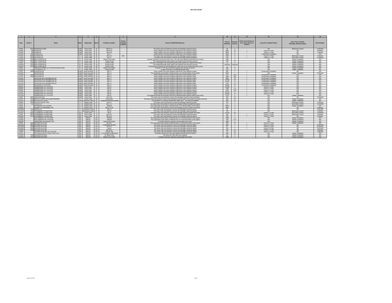|                      |                      |                                                               | 4                                                                                                                       |                                                                                                                                            | 6 <sup>5</sup>                                                      |                                       |                                                                                                                                                       | 10<br>11<br>14                                                                                                                                           |                                      |                          |                                                          |                                                                |                                                              |                    |
|----------------------|----------------------|---------------------------------------------------------------|-------------------------------------------------------------------------------------------------------------------------|--------------------------------------------------------------------------------------------------------------------------------------------|---------------------------------------------------------------------|---------------------------------------|-------------------------------------------------------------------------------------------------------------------------------------------------------|----------------------------------------------------------------------------------------------------------------------------------------------------------|--------------------------------------|--------------------------|----------------------------------------------------------|----------------------------------------------------------------|--------------------------------------------------------------|--------------------|
| Date                 | Street #             | Street                                                        | Plan                                                                                                                    | Watershed                                                                                                                                  | Racin                                                               | Overflow Location                     | Private<br>Volume<br><b>Cause of SSO/KUB Response</b><br>(Gallons)<br>I ocation<br>The sewer main was flushed to remove the blockage caused by greasy |                                                                                                                                                          |                                      | Duration<br>(Hours)      | Event occurred two or<br>more times within 12<br>months. | <b>Long-Term Capital Project</b>                               | <b>Short-Term Controls</b><br><b>Blockage Abatement (BA)</b> | <b>BA Schedule</b> |
| 9/5/03               |                      | 5031 SEVIERVILLE PIKE                                         | KI IW                                                                                                                   | Knob Creek                                                                                                                                 | $-41$                                                               | MH 97-12                              |                                                                                                                                                       |                                                                                                                                                          | 30                                   | $\overline{2}$           |                                                          | N/A                                                            | <b>BA/Grease Control</b>                                     | 12 Months          |
| 1/19/02<br>1/23/02   |                      | 300 STONE RD<br>300 STONE RD                                  | KI IW<br>KUW <sup>1</sup>                                                                                               | Knob Creek                                                                                                                                 | 41                                                                  | MH 8-44<br>MH 8-44                    |                                                                                                                                                       | Heavy rainfall in the area resulted in high flows in the collection syste                                                                                | 9000                                 | 10 <sup>1</sup>          | $\overline{\phantom{a}}$<br>$\sim$                       | Future 5 Yr Plan                                               | <b>DA</b>                                                    | 9 Months           |
|                      |                      |                                                               | KI IW                                                                                                                   | Knob Creek                                                                                                                                 | 41<br>$-41$                                                         | <b>MH 77</b>                          |                                                                                                                                                       | Heavy rainfall in the area resulted in high flows in the collection system                                                                               | 9600<br>8400                         | <b>R</b><br>$70-$        |                                                          | Future 5 Yr Plan                                               | N/A                                                          | 9 Months           |
| 2/22/03<br>7/21/01   |                      | 6208 THOMAS RD<br>8044 GLEASON DR                             |                                                                                                                         | Knob Creek<br>FC Fourth Creek 42                                                                                                           |                                                                     | MH 14-2                               | <b>P.P.</b>                                                                                                                                           | Heavy rainfall in the area resulted in high flows in the collection system<br>The sewer main was flushed to remove the blockage caused by grease         | 1000<br>$\mathbf{a}$                 |                          | $\sim$                                                   | <b>Construction Completed</b><br>Future 5 Yr Plan              | <b>BA/Grease Control</b>                                     | N/A<br>6 Months    |
| 7/15/02              |                      | 8044 GLEASON DR                                               |                                                                                                                         | FC Fourth Creek                                                                                                                            | 42                                                                  | MH 15                                 |                                                                                                                                                       | The sewer main was flushed to remove the blockage caused by grease                                                                                       | 500                                  | $\overline{2}$           | $\overline{\phantom{a}}$                                 | Future 5 Yr Plan                                               | <b>BA/Grease Control</b>                                     | 12 Months          |
| 12/20/01             |                      | 5316 BENT RIVER BLVD                                          |                                                                                                                         | FC Fourth Creek                                                                                                                            | 43                                                                  | Broken Force Main                     |                                                                                                                                                       | A private contractor cut into the sewer main. The main was repaired and put back into service.                                                           | 1000                                 | $\overline{2}$           |                                                          | N/A                                                            | Repair Completed                                             | <b>N/A</b>         |
| 7/20/03              |                      | 5247 BENT RIVER BLVD                                          |                                                                                                                         | FC Fourth Creek                                                                                                                            | 43                                                                  | <b>Grinder Pump</b>                   |                                                                                                                                                       | The residential grinder pump station was repaired and returned to service                                                                                | 150                                  | 12                       |                                                          | N/A                                                            | Repair Completed                                             | N/A                |
| 9/9/03               |                      | 5246 BENT RIVER BLVD                                          |                                                                                                                         | FC Fourth Creek                                                                                                                            | 43                                                                  | Grinder Pump                          |                                                                                                                                                       | There was a blockage in the residential grinder pump caused by a ruptured force main.                                                                    | 30                                   | $\overline{a}$           |                                                          | N/A                                                            | Repair Completed                                             | N/A                |
| 9/13/03              |                      | 5241 BENT RIVER BLVD                                          |                                                                                                                         | FC Fourth Creek                                                                                                                            | 43                                                                  | Grinder Pump                          |                                                                                                                                                       | The residential grinder pump station was repaired and returned to service                                                                                | Unknown                              | <b>Jnknown</b>           |                                                          | N/A                                                            | Repair Completed                                             | <b>N/A</b>         |
| 9/21/03              |                      | 5315 BENT RIVER BLVD                                          |                                                                                                                         | <b>EC.</b> Fourth Creek                                                                                                                    | 43                                                                  | Grinder Pump                          |                                                                                                                                                       | A landscaping contractor hit and damaged the control box for the residential grinder pump.                                                               | - 51                                 | $\sim$                   |                                                          | N/A                                                            | Repair Completed                                             | <b>N/A</b>         |
| 2/6/01               |                      | HARRISON KEEPE LIFT STATION FORCE MAIN                        |                                                                                                                         | FC Fourth Creek                                                                                                                            | 43                                                                  | Broken Force Main                     |                                                                                                                                                       | A broken 2" PVC force main was repaired and returned to service                                                                                          | 400                                  | $\sim$                   |                                                          | N/A                                                            | Repair Completed                                             | N/A                |
| 5/26/03              |                      | 1732 POLKWRIGHT LN                                            |                                                                                                                         | FC   Fourth Creek                                                                                                                          | 43                                                                  | Grinder Pump                          |                                                                                                                                                       | A failure occurred in a residential grinder pump                                                                                                         | 200                                  | T2                       |                                                          | <b>N/A</b>                                                     | Repair Completed                                             | <b>N/A</b>         |
| 5/3/02               |                      | 2600 WOODSON DR                                               |                                                                                                                         | KLIW South Knowille                                                                                                                        | 44                                                                  | MH 2-1                                |                                                                                                                                                       | Heavy rainfall in the area resulted in high flows in the collection system                                                                               | 900                                  | $-4$                     | $\overline{\phantom{a}}$                                 | <b>Construction Completed</b>                                  | N/A                                                          | N/A                |
| 10/4/02              |                      | VOODSON DR<br>2600 WOODSON DR                                 | KUW.                                                                                                                    | South Knoxville                                                                                                                            | 44<br>$-44$                                                         | MH 2-1<br>MH 2-1                      |                                                                                                                                                       | The wastewater pump station overflowed due to an electrical failure at the station.                                                                      | 6000<br>510                          |                          | $\overline{\phantom{a}}$                                 | <b>N/A</b>                                                     | <b>Repair Completed</b>                                      | 12 Months          |
| 4/10/03<br>5/5/03    |                      | 2600 WOODSON DR                                               | KUW.                                                                                                                    | KUW South Knoxville<br>South Knoxville                                                                                                     | $-44$                                                               | MH 2-1                                |                                                                                                                                                       | Heavy rainfall in the area resulted in high flows in the collection syster<br>Heavy rainfall in the area resulted in high flows in the collection syster | 3300                                 | 4.25<br>550              | $\sim$<br>$\overline{\phantom{a}}$                       | <b>Construction Completed</b><br><b>Construction Completed</b> | N/A                                                          | N/A                |
| 3/18/02              |                      | VOODSON DR & DEANBROOK RD                                     | KI IW                                                                                                                   |                                                                                                                                            | $-44$                                                               | MH 2-1                                |                                                                                                                                                       | Heavy rainfall in the area resulted in high flows in the collection system                                                                               | 3000                                 | 10                       | ⇁                                                        | <b>Construction Completed</b>                                  | N/A<br>N/A                                                   | N/A<br><b>N/A</b>  |
| 2/14/03              |                      | VOODSON DR & DEANBROOK RD                                     |                                                                                                                         | South Knoxville<br>KUW South Knoxville                                                                                                     |                                                                     | MH 2-1                                |                                                                                                                                                       | Heavy rainfall in the area resulted in high flows in the collection syster                                                                               | 16,500                               | $\overline{22}$          | $\overline{\phantom{a}}$                                 | <b>Construction Completed</b>                                  | N/A                                                          | N/A                |
| 2/22/03              |                      | WOODSON DR & DEANRROOK RD                                     |                                                                                                                         | KLIW South Knowville 44                                                                                                                    | $-44$                                                               | MH 2-1                                |                                                                                                                                                       | Heavy rainfall in the area resulted in high flows in the collection syste                                                                                | 10.500                               | $\overline{70}$          | $\overline{\phantom{a}}$                                 | Construction Completed                                         | <b>N/A</b>                                                   | <b>N/A</b>         |
| 5/11/03              |                      | VOODSON DR & DEANBROOK RD                                     | ĝ                                                                                                                       | South Knoxville                                                                                                                            | $-44$                                                               | MH 2-1                                |                                                                                                                                                       | Heavy rainfall in the area resulted in high flows in the collection syster                                                                               | 300                                  | 1.5                      | $\sim$                                                   | <b>Construction Completed</b>                                  | N/A                                                          | N/A                |
| 9/21/02              |                      | <b>VOODSON LIFTSTATION</b>                                    |                                                                                                                         | KUW South Knoxville 44                                                                                                                     |                                                                     | MH 2-1                                |                                                                                                                                                       | Heavy rainfall in the area resulted in high flows in the collection system                                                                               | 28,800                               | 12                       | V                                                        | <b>Construction Completed</b>                                  | N/A                                                          | <b>N/A</b>         |
| 5/22/01              |                      | <b>GINNBROOKE LIFT STATION</b>                                | KUW.                                                                                                                    | Knob Creek                                                                                                                                 | 47                                                                  | MH 22                                 |                                                                                                                                                       | Heavy rainfall in the area resulted in high flows in the collection system                                                                               | 12,000                               | $\overline{2}$           | $\sim$                                                   | Future 5 Yr Plan                                               | N/A                                                          | N/A                |
| 6/25/01              |                      | <b>SINNBROOKE LIFT STATION</b>                                | KI IW                                                                                                                   | Knob Creek                                                                                                                                 | 47                                                                  | MH 22                                 |                                                                                                                                                       | Heavy rainfall in the area resulted in high flows in the collection system                                                                               | 7200                                 | 1.5                      | $\overline{\phantom{a}}$                                 | Future 5 Yr Plan                                               | N/A                                                          | N/A                |
| 6/29/01              |                      | <b>INNBROOKE LIFT STATION</b>                                 | <b>KUW</b>                                                                                                              | Knob Creek                                                                                                                                 | 47                                                                  | MH 22                                 |                                                                                                                                                       | Heavy rainfall in the area resulted in high flows in the collection system                                                                               | 1500                                 | 0.33                     | $\overline{\phantom{a}}$                                 | Future 5 Yr Plan                                               | N/A                                                          | <b>N/A</b>         |
| 7/29/01              |                      | GINNBROOKE LIFT STATION                                       | KLIW.                                                                                                                   | Knob Creek                                                                                                                                 | 47                                                                  | MH 22                                 |                                                                                                                                                       | Heavy rainfall in the area resulted in high flows in the collection system                                                                               | 24,000                               | $\overline{\mathbf{a}}$  | √                                                        | Future 5 Yr Plan                                               | N/A                                                          | <b>N/A</b>         |
| 9/21/02              |                      | <b>INNBROOKE LIFT STATION</b>                                 | KUW.                                                                                                                    | Knob Creek                                                                                                                                 | 47                                                                  | MH 22                                 |                                                                                                                                                       | Heavy rainfall in the area resulted in high flows in the collection system                                                                               | 36,000                               | 12                       | $\overline{\phantom{a}}$                                 | Future 5 Yr Plan                                               | N/A                                                          | N/A                |
| 11/11/02             |                      | <b>GINNBROOKE LIFT STATION</b>                                | <b>KUW</b>                                                                                                              | Knob Creek                                                                                                                                 | 47                                                                  | MH 22                                 |                                                                                                                                                       | The overflow occurred as the result of the loss of electrical power during a severe storm event.                                                         | 2700                                 | $\overline{\mathbf{3}}$  | $\checkmark$                                             | N/A                                                            | Repair Completed                                             | N/A                |
| 4/6/01               |                      | 5307 JONATHAN WAY                                             | <b>KUW</b>                                                                                                              | Knob Creek                                                                                                                                 | $-47$                                                               | MH 4-15                               |                                                                                                                                                       | The sewer main was flushed to remove the blockage caused by roots and debris.                                                                            | 300                                  | 10                       |                                                          | <b>N/A</b>                                                     | <b>BA</b>                                                    | 12 Months          |
| 1/31/01              |                      | 1410 WRIGHTS FERRY RD at NORTHSHORE                           | FC                                                                                                                      | Fourth Creek                                                                                                                               | 48                                                                  | Private MH                            |                                                                                                                                                       | The sewer main was flushed to remove the blockage caused by debris from private contractor in the line.                                                  | 300                                  | 10 <sup>1</sup>          |                                                          | N/A                                                            | Repair Completed                                             | N/A                |
| 2/22/01<br>2/28/02   |                      | 3118 WATERPLANT ROAD<br>6402 RUGGLES FERRY PIKE               |                                                                                                                         | KUW Swanpond Creek 60<br>LC Sinking Creek                                                                                                  | 62                                                                  | Unidentified Manhole Number<br>MH 3-2 |                                                                                                                                                       | The formation of a sinkhole fractured the sewer main. The main was repaired.<br>The sewer main was flushed to remove the blockage caused by grease       | 3000<br>120                          | 2.5<br>$\mathcal{A}$     |                                                          | N/A<br>N/A                                                     | Repair Completed<br><b>BA/Grease Control</b>                 | N/A<br>12 Months   |
| 3/1/02               |                      | 312 TRACER LN                                                 |                                                                                                                         | LC Sinking Creek                                                                                                                           | 62                                                                  | MH 27-17                              |                                                                                                                                                       | The sewer main was flushed to remove the blockage caused by grease and debris                                                                            | 15                                   |                          |                                                          | N/A                                                            | <b>BA/Grease Control</b>                                     | 12 Months          |
| 6/3/02               |                      | EASTWOOD LIFT STATION                                         |                                                                                                                         | LC Sinking Creek                                                                                                                           | 63                                                                  | Wetwell                               |                                                                                                                                                       | The wastewater pump station overflowed due to an electrical failure at the station                                                                       | 9000                                 | $\sim$                   |                                                          | N/A                                                            | Repair Completed                                             | N/A                |
| 1/19/01              |                      | PALMER LN & BRAKEBILL RD                                      |                                                                                                                         | LC Sinking Creek                                                                                                                           | 63                                                                  | MH 57 or 58                           |                                                                                                                                                       | The sewer main was flushed to remove the blockage caused by debris and grease.                                                                           | 1800                                 | $\overline{\mathbf{3}}$  |                                                          | N/A                                                            | <b>PA</b>                                                    | 6 Months           |
| 12/30/03             |                      | 7224 REGION LN                                                |                                                                                                                         | LC Swanpond Creek 67                                                                                                                       |                                                                     | MH 9-1                                |                                                                                                                                                       | The sewer main was flushed to remove the blockage caused by greas:                                                                                       | 60                                   | $\overline{\phantom{a}}$ |                                                          | <b>N/A</b>                                                     | B <sub>0</sub>                                               | 12 Months          |
| 12/12/02             |                      | 7210 STRAWBERRY PLAINS PIKE                                   |                                                                                                                         | LC Swanpond Creek 67                                                                                                                       |                                                                     | MH 35                                 |                                                                                                                                                       | The sewer main was flushed to remove the blockage caused by grease                                                                                       | 120                                  | $\sim$                   |                                                          | N/A                                                            | <b>BA/Grease Control</b>                                     | 3 Months           |
| 3/22/02              |                      | 9005 STRAWBERRY PLAINS PIKE                                   |                                                                                                                         | EB Lyons Creek 72                                                                                                                          |                                                                     | MH 9                                  |                                                                                                                                                       | The sewer main was flushed to remove the blockage caused by grease and roots                                                                             | 26,000                               | 48                       |                                                          | Future 5 Yr Plan                                               | <b>BA/Grease Control</b>                                     | 12 Months          |
| 4/5/02               |                      | 8616 STRAWBERRY PLAINS PIKE                                   |                                                                                                                         | EB Lyons Creek                                                                                                                             | 72                                                                  | MH 21-5                               |                                                                                                                                                       | The sewer main was flushed to remove the blockage caused by grease.                                                                                      | 360                                  | $\overline{\mathbf{3}}$  | $\checkmark$                                             | Future 5 Yr Plan                                               | <b>BA/Grease Control</b>                                     | 6 Months           |
| 8/14/02              |                      | 8714 STRAWBERRY PLAINS PIKE                                   | EB                                                                                                                      | Lyons Creek                                                                                                                                | 72                                                                  | MH 21-2                               |                                                                                                                                                       | The sewer main was flushed to remove the blockage caused by grease.                                                                                      | 120                                  |                          | V                                                        | Future 5 Yr Plan                                               |                                                              | 6 Months           |
| 7/12/02              |                      | BUD HAWKINS LIFT STATION                                      | FR.                                                                                                                     | <b>NEKLID</b>                                                                                                                              | 101                                                                 | Wetwell                               |                                                                                                                                                       | The wastewater pump station overflowed due to a mechanical failure at the station                                                                        | 1000                                 | $\mathbf{a}$             |                                                          | N/A                                                            | Repair Completed                                             | N/A                |
| 2/26/03              |                      | <b>BUD HAWKINS LIFT STATION</b>                               | EB                                                                                                                      | <b>NEKUD</b>                                                                                                                               | 101                                                                 | Wetwell                               |                                                                                                                                                       | The wastewater pump station overflowed due to an electrical failure at the station.                                                                      | 100                                  | 0.17                     |                                                          | N/A                                                            | Repair Completed                                             | <b>N/A</b>         |
| 3/20/03              |                      | IMESTONE I N & MASCOT RD.                                     | <b>FR</b><br><b>NEKUD</b><br>101<br><b>Rroken Force Main</b><br>A private contractor ruptured a pump station force main |                                                                                                                                            |                                                                     | 1200                                  | $\overline{1}$                                                                                                                                        |                                                                                                                                                          | N/A                                  | Repair Completed         | N/A                                                      |                                                                |                                                              |                    |
| 8/2/02               |                      | 4800 MALONEYVILLE RD<br>101<br>FR.<br><b>NEKUD</b><br>MH 93-1 |                                                                                                                         | The wastewater pump station overflowed due to a mechanical failure at the station.                                                         | 400                                                                 | 12<br>$\sim$                          | $\overline{\phantom{a}}$<br>$\checkmark$                                                                                                              | Future 5 Yr Plan                                                                                                                                         | Repair Completed                     | <b>N/A</b>               |                                                          |                                                                |                                                              |                    |
| 10/14/02<br>12/13/02 | 5001                 | MALONEYVILLE RD<br>5109 MALONEYVILLE RD                       | <b>NEKUD</b><br>101<br>EB<br>Unidentified Manhole<br>EB<br>101<br><b>NEKUD</b><br>MH 93-7                               |                                                                                                                                            | The sewer main was flushed to remove the blockage caused by debris. | 600<br>60                             |                                                                                                                                                       | $\checkmark$                                                                                                                                             | Future 5 Yr Plan<br>Future 5 Yr Plan | BA.<br>RA                | 12 Months<br>12 Months                                   |                                                                |                                                              |                    |
| 12/29/02             |                      | 4800 MALONEYVILLE RD<br>EB 1<br>NEKUD<br>101<br>Lateral       |                                                                                                                         | The sewer main was flushed to remove the blockage caused by debris.<br>The sewer main was flushed to remove the blockage caused by debris. |                                                                     |                                       | 8                                                                                                                                                     | $\checkmark$                                                                                                                                             | Future 5 Yr Plan                     | BA.                      | 12 Months                                                |                                                                |                                                              |                    |
| 7/29/03              | 5109                 | 101<br>MALONEYVILLE RD<br><b>FR</b><br>NEKLID.                |                                                                                                                         | MH 93-10                                                                                                                                   | The sewer main was flushed to remove the blockage caused by debris  |                                       | 240<br>720                                                                                                                                            | 24                                                                                                                                                       |                                      | Future 5 Yr Plan         | <b>DA</b>                                                | 6 Months                                                       |                                                              |                    |
| 2/5/03               |                      | MALONEYVILLE RD LIFT STATION<br>EB.                           |                                                                                                                         | NEKUD                                                                                                                                      | 101                                                                 | Grease Trap                           |                                                                                                                                                       | The sewer main was flushed to remove the blockage caused by debris.                                                                                      | 50                                   | 0.2                      |                                                          | Future 5 Yr Plan                                               | BA.                                                          | 6 Months           |
| 6/11/02              |                      | RUTLEDGE PIKE & THREE POINTS RD                               | EB 1                                                                                                                    | <b>NEKUD</b>                                                                                                                               |                                                                     | 101 6" Force Main at Intersection     |                                                                                                                                                       | The broken sewer force main was repaired and put back into service.                                                                                      | 2400                                 | T2                       |                                                          | <b>N/A</b>                                                     | Repair Completed                                             | <b>N/A</b>         |
| 2/23/03              | 7025 WASHINGTON PIKE |                                                               | FR.                                                                                                                     | NEKLID.                                                                                                                                    | 101                                                                 | Air Relief Valve                      |                                                                                                                                                       | The broken air relief valve was repaired.                                                                                                                | 60                                   | $-4$                     |                                                          | N/A                                                            | Repair Completed                                             | N/A                |
| 3/24/03              | 7513 WASHINGTON PIKE |                                                               |                                                                                                                         | <b>FR</b><br>101<br>NEKUD.<br><b>Broken Force Main</b>                                                                                     |                                                                     |                                       |                                                                                                                                                       | A private contractor ruptured a pump station force main                                                                                                  |                                      |                          |                                                          | N/A                                                            | Repair Completed                                             | <b>N/A</b>         |

Approved by EPA

a barang page 7 ang mga 7 ang mga 7 ang mga 7 ang mga 7 ang mga 7 ang mga 7 ang mga 7 ang mga 7 ang mga 7 ang mga 7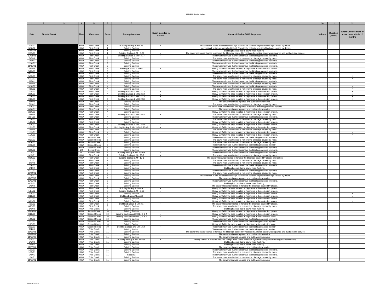| $\blacksquare$                                   |                                                                                           |  | $\overline{4}$           |                                          | 6                                |                                                             |                                   |                                                                                                                                                                             | 10           | 11                         | 12                                                             |
|--------------------------------------------------|-------------------------------------------------------------------------------------------|--|--------------------------|------------------------------------------|----------------------------------|-------------------------------------------------------------|-----------------------------------|-----------------------------------------------------------------------------------------------------------------------------------------------------------------------------|--------------|----------------------------|----------------------------------------------------------------|
| Date                                             | <b>Street #</b> Street<br>Plant<br><b>First Creek</b><br><b>First Creek</b><br><b>KUW</b> |  |                          | Watershed                                | <b>Basin</b>                     | <b>Backup Location</b>                                      | Event included in<br><b>SSOER</b> | <b>Cause of Backup/KUB Response</b>                                                                                                                                         | <b>Volum</b> | <b>Duration</b><br>(Hours) | <b>Event Occurred two or</b><br>more times within 12<br>months |
|                                                  |                                                                                           |  |                          |                                          |                                  |                                                             |                                   |                                                                                                                                                                             |              |                            |                                                                |
| 3/18/02<br>3/18/02                               |                                                                                           |  |                          |                                          |                                  | Building Backup & MH 48<br><b>Building Backup</b>           | $\checkmark$                      | Heavy rainfall in the area resulted in high flows in the collection system/Blockage caused by debris                                                                        |              |                            |                                                                |
|                                                  |                                                                                           |  | KUW                      | <b>First Creek</b>                       | -1                               | <b>Building Backup</b>                                      |                                   | Heavy rainfall in the area resulted in high flows in the collection system/Blockage caused by debris.<br>Building backup due to sewer main flushing                         |              |                            |                                                                |
| 12/16/03<br>2/19/01                              |                                                                                           |  | KUW                      | <b>First Creek</b>                       | $\overline{1}$                   | Building Backup & MH 5-22                                   |                                   | The sewer main was flushed to remove the blockage caused by roots and a broken sewer was repaired and put back into service.                                                |              |                            |                                                                |
| 12/11/01                                         |                                                                                           |  | KUW                      | First Creek                              | $\overline{2}$                   | Building Backup & MH 43-17                                  | $\checkmark$                      | The sewer main was flushed to remove the blockage caused by debris.                                                                                                         |              |                            |                                                                |
| 3/5/03                                           |                                                                                           |  | KUW                      | <b>First Creek</b>                       | $\mathbf{3}$                     | <b>Building Backup</b>                                      |                                   | The sewer main was flushed to remove the blockage caused by roots.                                                                                                          |              |                            |                                                                |
| 2/9/01                                           |                                                                                           |  | <b>KUW</b><br>KUW        | <b>First Creek</b><br><b>First Creek</b> | $\overline{\mathbf{3}}$          | <b>Building Backup</b><br><b>Building Backup</b>            |                                   | The sewer main was flushed to remove the blockage caused by debris.<br>The sewer main was flushed to remove the blockage caused by debris                                   |              |                            |                                                                |
| 2/16/01<br>11/30/01                              |                                                                                           |  | KUW                      | <b>First Creek</b>                       | 3<br>$\mathbf{3}$                | <b>Building Backup</b>                                      |                                   | The sewer main was flushed to remove the blockage caused by debris.                                                                                                         |              |                            |                                                                |
|                                                  |                                                                                           |  | KUW                      | <b>First Creek</b>                       | $\mathbf{3}$                     | Building Backup & MH 5                                      | $\checkmark$                      | Heavy rainfall in the area resulted in high flows in the collection system.                                                                                                 |              |                            |                                                                |
| 5/6/03<br>5/23/03                                |                                                                                           |  | KUW                      | <b>First Creek</b>                       | $\mathbf{3}$                     | <b>Building Backup</b>                                      |                                   | The sewer main was flushed to remove the blockage caused by debris.                                                                                                         |              |                            |                                                                |
| 9/17/01                                          |                                                                                           |  | KUW                      | <b>First Creek</b>                       | 3                                | <b>Building Backup</b>                                      |                                   | The sewer main was flushed to remove the blockage caused by debris.                                                                                                         |              |                            |                                                                |
| 5/12/03<br>5/13/03                               |                                                                                           |  | KUW<br>KUW               | <b>First Creek</b><br><b>First Creek</b> | $\overline{4}$<br>$\overline{4}$ | <b>Building Backup</b>                                      |                                   | The sewer main was flushed to remove the blockage caused by roots.                                                                                                          |              |                            |                                                                |
| 1/6/01                                           |                                                                                           |  | KUW                      | <b>First Creek</b>                       | $\overline{4}$                   | <b>Building Backup</b><br><b>Building Backup</b>            |                                   | The sewer main was flushed to remove the blockage caused by roots.<br>The sewer main was flushed to remove the blockage caused by debris.                                   |              |                            |                                                                |
| 8/5/03                                           |                                                                                           |  | KUW                      | <b>First Creek</b>                       | $\overline{A}$                   | <b>Building Backup</b>                                      |                                   | The sewer main was flushed to remove the blockage caused by roots.                                                                                                          |              |                            |                                                                |
| 3/18/02                                          |                                                                                           |  | <b>KUW</b>               | <b>First Creek</b>                       | $\overline{4}$                   | <b>Building Backup</b>                                      |                                   | The sewer main was flushed to remove the blockage caused by debris.                                                                                                         |              |                            |                                                                |
| $\frac{7/13/02}{2/15/03}$                        |                                                                                           |  | KUW                      | <b>First Creek</b>                       | $\overline{4}$                   | <b>Building Backup</b>                                      |                                   | The sewer main was flushed to remove the blockage caused by roots.                                                                                                          |              |                            |                                                                |
|                                                  |                                                                                           |  | KUW                      | <b>First Creek</b>                       | $\overline{4}$                   | Building Backup & MH 22-13                                  |                                   | Heavy rainfall in the area resulted in high flows in the collection system.                                                                                                 |              |                            |                                                                |
| 2/15/03<br>2/16/03                               |                                                                                           |  | KUW<br>KUW               | <b>First Creek</b><br><b>First Creek</b> | $\overline{4}$<br>$\overline{A}$ | Building Backup & MH 22-13                                  | $\checkmark$<br>$\checkmark$      | Heavy rainfall in the area resulted in high flows in the collection system.                                                                                                 |              |                            | $\checkmark$<br>$\checkmark$                                   |
| 2/22/03                                          |                                                                                           |  | KUW                      | <b>First Creek</b>                       | $\overline{4}$                   | Building Backup & MH 22-13<br>Building Backup & MH 22-30    | $\mathbf{v}$                      | Heavy rainfall in the area resulted in high flows in the collection system<br>Heavy rainfall in the area resulted in high flows in the collection system.                   |              |                            |                                                                |
| 6/7/03                                           |                                                                                           |  | KUW                      | <b>First Creek</b>                       | $\overline{4}$                   | <b>Building Backup</b>                                      |                                   | The sewer main was repaired and put back into service.                                                                                                                      |              |                            |                                                                |
| 3/1/02                                           |                                                                                           |  | KIM                      | <b>First Creek</b>                       | $\overline{4}$                   | <b>Building Backup</b>                                      |                                   | The sewer main was flushed to remove the blockage caused by roots                                                                                                           |              |                            |                                                                |
| 2/16/02                                          |                                                                                           |  | KUW                      | <b>First Creek</b>                       | $\overline{4}$                   | <b>Building Backup</b>                                      |                                   | The sewer main was flushed and repaired to remove a blockage caused by roots                                                                                                |              |                            |                                                                |
| 8/28/01<br>2/16/03                               |                                                                                           |  | KUW<br>KUW               | <b>First Creek</b><br><b>First Creek</b> | $\overline{A}$<br>$\overline{A}$ | <b>Building Backup</b>                                      |                                   | The sewer main was repaired and put back into service.                                                                                                                      |              |                            |                                                                |
| 6/3/03                                           |                                                                                           |  | KUW                      | <b>First Creek</b>                       | $\overline{4}$                   | <b>Building Backup</b><br>Building Backup & MH 35-53        |                                   | Heavy rainfall in the area resulted in high flows in the collection system.<br>The sewer main was flushed to remove the blockage caused by roots.                           |              |                            |                                                                |
| 2/17/01                                          |                                                                                           |  | KUW                      | <b>First Creek</b>                       | $\overline{4}$                   | <b>Building Backup</b>                                      |                                   | The sewer main was flushed to remove the blockage caused by debris.                                                                                                         |              |                            |                                                                |
| 7/30/01<br>1/23/02                               |                                                                                           |  | <b>KUW</b>               | <b>First Creek</b>                       | $\overline{4}$                   | Building Backup                                             |                                   | The sewer main was flushed to remove the blockage caused by roots.                                                                                                          |              |                            |                                                                |
|                                                  |                                                                                           |  | KUW                      | <b>First Creek</b>                       | $\overline{4}$                   | <b>Building Backup</b>                                      |                                   | Heavy rainfall in the area resulted in high flows in the collection system.                                                                                                 |              |                            |                                                                |
| 2/16/03<br>2/22/03                               |                                                                                           |  | KUW<br><b>KUW</b>        | <b>First Creek</b><br><b>First Creek</b> | $\overline{A}$<br>$\overline{4}$ | Building Backup & MH 13-49                                  | $\mathbf{v}$                      | Heavy rainfall in the area resulted in high flows in the collection system.                                                                                                 |              |                            |                                                                |
| 3/3/03                                           |                                                                                           |  | <b>KUW</b>               | <b>First Creek</b>                       | $\overline{4}$                   | Building Backup & MH13-26 & 13-49<br><b>Building Backup</b> |                                   | Heavy rainfall in the area resulted in high flows in the collection system.<br>The sewer main was flushed to remove the blockage caused by roots.                           |              |                            |                                                                |
|                                                  |                                                                                           |  | <b>KUW</b>               | <b>First Creek</b>                       | $\overline{4}$                   | <b>Building Backup</b>                                      |                                   | Heavy rainfall in the area resulted in high flows in the collection system                                                                                                  |              |                            |                                                                |
| $\frac{1/19/01}{11/6/03}$                        |                                                                                           |  | <b>KUW</b>               | <b>First Creek</b>                       | $\overline{4}$                   | <b>Building Backup</b>                                      |                                   | Heavy rainfall in the area resulted in high flows in the collection system.                                                                                                 |              |                            |                                                                |
| 2/17/01                                          |                                                                                           |  | KUW <sup>1</sup>         | Second Creek                             | 5                                | <b>Building Backup</b>                                      |                                   | The sewer main was flushed to remove the blockage caused by debris                                                                                                          |              |                            |                                                                |
| 9/23/02                                          |                                                                                           |  | KUW <sup>1</sup>         | Second Creek<br>KUW Second Creek         | 5<br>5 <sup>5</sup>              | <b>Building Backup</b><br><b>Building Backup</b>            |                                   | The sewer main was flushed to remove the blockage caused by roots.<br>The sewer main was flushed to remove the blockage caused by roots.                                    |              |                            |                                                                |
| 5/26/02                                          |                                                                                           |  | KUW                      | Second Creek                             | 5                                | <b>Building Backup</b>                                      |                                   | The sewer main was flushed to remove the blockage caused by debri                                                                                                           |              |                            |                                                                |
| 2/12/03<br>11/1/02                               |                                                                                           |  | <b>KUW</b>               | Second Creek                             | $5 -$                            | <b>Building Backup</b>                                      |                                   | The sewer main was flushed to remove the blockage caused by debris.                                                                                                         |              |                            |                                                                |
| 3/13/02                                          |                                                                                           |  | LC                       | <b>Loves Creek</b>                       | 6                                | <b>Building Backup</b>                                      |                                   | The sewer main was flushed to remove the blockage caused by debris.                                                                                                         |              |                            |                                                                |
| 11/8/01                                          |                                                                                           |  | LC                       | Loves Creek                              | $6\overline{6}$                  | Building Backup & MH 29-436                                 |                                   | The sewer main was flushed to remove the blockage caused by debris                                                                                                          |              |                            |                                                                |
| 3/15/01                                          |                                                                                           |  | KUW                      | <b>First Creek</b>                       |                                  | Building Backup & MH 28-2                                   |                                   | The sewer main was flushed to remove the blockage caused by roots.                                                                                                          |              |                            |                                                                |
| 9/10/02<br>12/1/01                               |                                                                                           |  | <b>KUW</b><br><b>KUW</b> | <b>First Creek</b><br><b>First Creek</b> | $\overline{7}$<br>$\overline{7}$ | Building Backup & MH 17-1<br><b>Building Backup</b>         |                                   | The sewer main was flushed to remove the blockage caused by grease and debris<br>The sewer main was flushed to remove the blockage caused by roots.                         |              |                            |                                                                |
|                                                  |                                                                                           |  | <b>KUW</b>               | <b>First Creek</b>                       | $\overline{7}$                   | <b>Building Backup</b>                                      |                                   | The sewer main was flushed to remove the blockage caused by roots.                                                                                                          |              |                            |                                                                |
| 5/8/03<br>2/26/03                                |                                                                                           |  | KUW                      | <b>First Creek</b>                       | $\overline{7}$                   | <b>Building Backup</b>                                      |                                   | The sewer main was flushed to remove the blockage caused by debris.                                                                                                         |              |                            |                                                                |
| 2/4/02                                           |                                                                                           |  | KUW                      | <b>First Creek</b>                       | $\overline{\mathbf{8}}$          | <b>Building Backup</b>                                      |                                   | Building backup due to sewer main flushing.                                                                                                                                 |              |                            |                                                                |
| 5/27/03                                          |                                                                                           |  | KUW<br><b>KUW</b>        | <b>First Creek</b><br><b>First Creek</b> | 8                                | <b>Building Backup</b>                                      |                                   | The sewer main was flushed to remove the blockage caused by debris.                                                                                                         |              |                            |                                                                |
|                                                  |                                                                                           |  | <b>KUW</b>               | <b>First Creek</b>                       | 8<br>8                           | <b>Building Backup</b><br><b>Building Backup</b>            |                                   | The sewer main was flushed to remove the blockage caused by roots.<br>Heavy rainfall in the area resulted in high flows in the collection system/Blockage caused by debris. |              |                            |                                                                |
| $\frac{10/24/01}{7/18/02}$ $\frac{12/20/03}{12}$ |                                                                                           |  | KUW                      | <b>First Creek</b>                       | 8                                | <b>Building Backup</b>                                      |                                   | The sewer main was repaired and put back into service.                                                                                                                      |              |                            |                                                                |
| 12/19/01                                         |                                                                                           |  | KUW                      | First Creek                              | 8                                | <b>Building Backup</b>                                      |                                   | The sewer main was flushed to remove the blockage caused by debris                                                                                                          |              |                            |                                                                |
| 6/25/01                                          |                                                                                           |  | <b>KUW</b>               | <b>First Creek</b>                       | 8                                | <b>Building Backup</b>                                      |                                   | Building backup due to sewer main flushing.                                                                                                                                 |              |                            |                                                                |
| $\frac{3}{6/02}$<br>1/23/02                      |                                                                                           |  | <b>KUW</b>               | <b>First Creek</b><br><b>First Creek</b> | -8                               | <b>Building Backup</b>                                      |                                   | The sewer main was flushed to remove the blockage caused by grease.                                                                                                         |              |                            |                                                                |
| 1/24/02                                          |                                                                                           |  | <b>KUW</b><br>KUW        | <b>First Creek</b>                       | 8<br>8                           | Building Backup & Lateral<br>Building Backup & MH 9-52      |                                   | Heavy rainfall in the area resulted in high flows in the collection system.<br>Heavy rainfall in the area resulted in high flows in the collection system.                  |              |                            |                                                                |
| 2/15/03                                          |                                                                                           |  | <b>KUW</b>               | <b>First Creek</b>                       | 8                                | <b>Building Backup</b>                                      |                                   | Heavy rainfall in the area resulted in high flows in the collection system                                                                                                  |              |                            |                                                                |
| 2/22/03                                          |                                                                                           |  | <b>KUW</b>               | <b>First Creek</b>                       | 8                                | <b>Building Backup/ Latera</b>                              |                                   | Heavy rainfall in the area resulted in high flows in the collection system                                                                                                  |              |                            |                                                                |
| 2/23/03                                          |                                                                                           |  | KUW                      | <b>First Creek</b>                       | -8                               | <b>Building Backup</b>                                      |                                   | Heavy rainfall in the area resulted in high flows in the collection system.                                                                                                 |              |                            |                                                                |
| $\frac{3}{29/02}$                                |                                                                                           |  | <b>KUW</b>               | <b>First Creek</b>                       | 8                                | <b>Building Backup</b>                                      |                                   | Heavy rainfall in the area resulted in high flows in the collection system.                                                                                                 |              |                            |                                                                |
| 7/13/02                                          |                                                                                           |  | KUW<br>KUW               | <b>First Creek</b><br><b>First Creek</b> | $\mathbf{a}$<br>8                | Building Backup & MH 3-1<br><b>Building Backup</b>          | $\checkmark$                      | The sewer main was flushed to remove the blockage caused by grease.<br>The sewer main was flushed to remove the blockage caused by roots.                                   |              |                            |                                                                |
| $\frac{6/27/03}{6/9/03}$                         |                                                                                           |  | <b>KUW</b>               | <b>Third Creek</b>                       | -9                               | <b>Building Backup</b>                                      |                                   | Building backup due to sewer main flushing                                                                                                                                  |              |                            |                                                                |
| 12/11/01                                         |                                                                                           |  | <b>KUW</b>               | Second Creek                             | 10                               | <b>Building Backup</b>                                      |                                   | Heavy rainfall in the area resulted in high flows in the collection system                                                                                                  |              |                            |                                                                |
| 2/22/03                                          |                                                                                           |  | <b>KUW</b>               | Second Creek                             | 10                               | Building Backup and MH 2, 3, & 4                            |                                   | Heavy rainfall in the area resulted in high flows in the collection system                                                                                                  |              |                            |                                                                |
| 2/22/03                                          |                                                                                           |  | <b>KUW</b>               | Second Creek                             | 10                               | Building Backup and MH 2, 3, & 4                            | $\checkmark$                      | Heavy rainfall in the area resulted in high flows in the collection syster                                                                                                  |              |                            |                                                                |
| 12/3/02<br>2/12/03                               |                                                                                           |  |                          | KUW Second Creek<br>KUW Second Creek     | 10<br>10                         | <b>Building Backup</b><br><b>Building Backup</b>            |                                   | The sewer main was flushed to remove the blockage caused by debris                                                                                                          |              |                            |                                                                |
| 2/27/03                                          |                                                                                           |  |                          | KUW Second Creek                         | 10                               | <b>Building Backup</b>                                      |                                   | The sewer main was flushed to remove the blockage caused by debri<br>Heavy rainfall in the area resulted in high flows in the collection syster                             |              |                            |                                                                |
| $\frac{2/12/03}{2/4/03}$                         |                                                                                           |  | KUW                      | Second Creek                             | 10                               | Building Backup and MH 14-28                                |                                   | The sewer main was flushed to remove the blockage caused by debri                                                                                                           |              |                            |                                                                |
|                                                  |                                                                                           |  | <b>KUW</b>               | <b>Third Creek</b>                       | 11                               | <b>Building Backup</b>                                      |                                   | The sewer main was flushed to remove the blockage caused by debri                                                                                                           |              |                            |                                                                |
| 11/18/01                                         |                                                                                           |  | <b>KUW</b>               | <b>Third Creek</b>                       | 11                               | <b>Building Backup</b>                                      |                                   | The sewer main was flushed to remove the blockage caused by roots and a broken sewer was repaired and put back into service.                                                |              |                            |                                                                |
| 12/23/01<br>11/10/02                             |                                                                                           |  | <b>KUW</b><br>KUW        | <b>Third Creek</b><br><b>Third Creek</b> | 11<br>11                         | <b>Building Backup</b><br><b>Building Backup</b>            |                                   | The sewer main was repaired and put back into service.<br>The sewer main was repaired and put back into service.                                                            |              |                            |                                                                |
| 3/18/02                                          |                                                                                           |  | KUW                      | <b>Third Creek</b>                       | 11                               | Building Backup & MH 11-158                                 |                                   | Heavy rainfall in the area resulted in high flows in the collection system/Blockage caused by grease and debris.                                                            |              |                            |                                                                |
| 2/5/02                                           |                                                                                           |  | <b>KUW</b>               | <b>Third Creek</b>                       | $-11$                            | Building Backup                                             |                                   | Building backup due to sewer main flushing.                                                                                                                                 |              |                            |                                                                |
| 2/5/02                                           |                                                                                           |  | <b>KUW</b>               | <b>Third Creek</b>                       | 11                               | <b>Building Backup</b>                                      |                                   | Building backup due to sewer main flushing.                                                                                                                                 |              |                            |                                                                |
| 12/23/01                                         |                                                                                           |  | <b>KUW</b>               | <b>Third Creek</b>                       | 11                               | <b>Building Backup</b>                                      |                                   | The sewer main was repaired and put back into service.                                                                                                                      |              |                            |                                                                |
| 1/13/01<br>1/15/01                               |                                                                                           |  | <b>KUW</b><br><b>CUW</b> | <b>Third Creek</b><br><b>Third Creek</b> | $\overline{11}$<br>11            | <b>Building Backup</b>                                      |                                   | The sewer main was flushed to remove the blockage caused by debris.                                                                                                         |              |                            |                                                                |
|                                                  |                                                                                           |  | <b>KUW</b>               | <b>Third Creek</b>                       | 11                               | <b>Building Backup</b><br>Cleanout                          |                                   | The sewer main was flushed to remove the blockage caused by roots.                                                                                                          |              |                            |                                                                |
| 2/2/01<br>1/24/01                                |                                                                                           |  | KUW                      | <b>Third Creek</b>                       | 11                               | <b>Building Backup</b>                                      |                                   | The sewer main was flushed to remove the blockage caused by debris.<br>The sewer main was flushed to remove the blockage caused by roots.                                   |              |                            |                                                                |
| 11/10/01                                         |                                                                                           |  | <b>KUW</b>               | <b>Third Creek</b>                       | $\overline{11}$                  | <b>Building Backup</b>                                      |                                   | The sewer main was repaired and put back into service.                                                                                                                      |              |                            |                                                                |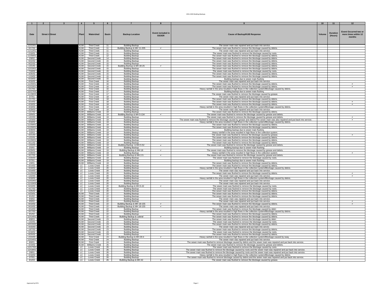| $\blacksquare$       |                        |                                   | $\overline{4}$                                                                                                                                                                                                       |                                          | - 6             |                                                            |                                   |                                                                                                                                                                                                                                                              | 10           | 11                  | 12                                                             |
|----------------------|------------------------|-----------------------------------|----------------------------------------------------------------------------------------------------------------------------------------------------------------------------------------------------------------------|------------------------------------------|-----------------|------------------------------------------------------------|-----------------------------------|--------------------------------------------------------------------------------------------------------------------------------------------------------------------------------------------------------------------------------------------------------------|--------------|---------------------|----------------------------------------------------------------|
| Date                 | <b>Street # Street</b> | Watershed<br>Plant<br>WU:<br><1JW |                                                                                                                                                                                                                      |                                          | <b>Basin</b>    | <b>Backup Location</b>                                     | Event included in<br><b>SSOER</b> | <b>Cause of Backup/KUB Response</b>                                                                                                                                                                                                                          | <b>Volum</b> | Duration<br>(Hours) | <b>Event Occurred two or</b><br>more times within 12<br>months |
|                      |                        |                                   |                                                                                                                                                                                                                      |                                          |                 |                                                            |                                   |                                                                                                                                                                                                                                                              |              |                     |                                                                |
| 12/22/0              |                        |                                   |                                                                                                                                                                                                                      | <b>Third Creek</b>                       |                 | <b>Building Backup</b>                                     |                                   | The sewer main was repaired and put back into service.                                                                                                                                                                                                       |              |                     |                                                                |
| 3/17/02<br>11/12/01  |                        |                                   | KI JW                                                                                                                                                                                                                | <b>Third Creek</b><br><b>Third Creek</b> | 11<br>11        | Building Backup & MH 11-205<br><b>Building Backup</b>      |                                   | The sewer main was flushed to remove the blockage caused by debris<br>The sewer main was repaired and put back into service.                                                                                                                                 |              |                     |                                                                |
| 2/18/01              |                        |                                   | <uw< td=""><td><b>Third Creek</b></td><td>11</td><td><b>Building Backup</b></td><td></td><td>The sewer main was flushed to remove the blockage caused by roots</td><td></td><td></td><td></td></uw<>                 | <b>Third Creek</b>                       | 11              | <b>Building Backup</b>                                     |                                   | The sewer main was flushed to remove the blockage caused by roots                                                                                                                                                                                            |              |                     |                                                                |
| 11/26/01<br>2/9/02   |                        |                                   | <1JW<br><b><uw< b=""></uw<></b>                                                                                                                                                                                      | <b>Third Creek</b><br>Second Creek       | 12<br>14        | <b>Building Backup</b>                                     |                                   | The sewer main was flushed to remove the blockage caused by debris.                                                                                                                                                                                          |              |                     |                                                                |
| 9/22/02              |                        |                                   | KUW                                                                                                                                                                                                                  | Second Creek                             | 15              | <b>Building Backup</b><br><b>Building Backup</b>           |                                   | The sewer main was flushed to remove the blockage caused by debris<br>The sewer main was flushed to remove the blockage caused by debris                                                                                                                     |              |                     |                                                                |
| 9/22/02              |                        |                                   | KUW                                                                                                                                                                                                                  | Second Creek                             | 15              | <b>Building Backup</b>                                     |                                   | The sewer main was flushed to remove the blockage caused by debris                                                                                                                                                                                           |              |                     |                                                                |
| 1/21/01<br>12/23/01  |                        |                                   | ≺∪w<br>KUW                                                                                                                                                                                                           | Second Creek<br>Second Creek             | 15<br>15        | Building Backup & MH 30-25<br><b>Building Backup</b>       | $\checkmark$                      | The sewer main was flushed to remove the blockage caused by debris<br>The sewer main was flushed to remove the blockage caused by debris.                                                                                                                    |              |                     |                                                                |
| 7/18/02              |                        |                                   | <b>KUW</b>                                                                                                                                                                                                           | Second Creek                             | 15              | <b>Building Backup</b>                                     |                                   | The sewer main was flushed to remove the blockage caused by roots.                                                                                                                                                                                           |              |                     |                                                                |
| 3/26/02              |                        |                                   | <b>KUW</b>                                                                                                                                                                                                           | Second Creek                             | 15              | <b>Building Backup</b>                                     |                                   | The sewer main was flushed to remove the blockage caused by debris.                                                                                                                                                                                          |              |                     |                                                                |
| 1/19/02<br>6/19/03   |                        |                                   | <b><uw< b=""><br/>KUW</uw<></b>                                                                                                                                                                                      | Second Creek<br>Second Creek             | 15<br>15        | <b>Building Backup</b><br><b>Building Backup</b>           |                                   | The sewer main was flushed to remove the blockage caused by debris.<br>Building backup due to sewer main flushing                                                                                                                                            |              |                     |                                                                |
| 4/16/02              |                        |                                   | KUW                                                                                                                                                                                                                  | <b>First Creek</b>                       | 16              | <b>Building Backup</b>                                     |                                   | The sewer main was repaired and put back into service.                                                                                                                                                                                                       |              |                     |                                                                |
| 11/25/01<br>12/23/01 |                        |                                   | <b><uw< b=""><br/>ξ</uw<></b>                                                                                                                                                                                        | <b>First Creek</b><br><b>First Creek</b> | 16<br>16        | <b>Building Backup</b><br><b>Building Backup</b>           |                                   | The sewer main was flushed to remove the blockage caused by debris<br>The sewer main was flushed to remove the blockage caused by debris.                                                                                                                    |              |                     |                                                                |
| 2/17/01              |                        |                                   | KUW                                                                                                                                                                                                                  | <b>First Creek</b>                       | 16              | <b>Building Backup</b>                                     |                                   | Heavy rainfall in the area resulted in high flows in the collection system/Blockage caused by debris.                                                                                                                                                        |              |                     |                                                                |
| 12/27/03             |                        |                                   | KUW                                                                                                                                                                                                                  | <b>First Creek</b>                       | 17<br>17        | <b>Building Backup</b>                                     |                                   | Building backup due to sewer main flushing                                                                                                                                                                                                                   |              |                     |                                                                |
| 11/28/03<br>3/7/01   |                        |                                   | <b>KUW</b><br><b>KUW</b>                                                                                                                                                                                             | <b>First Creek</b><br><b>First Creek</b> | 18              | <b>Building Backup</b><br><b>Building Backup</b>           |                                   | The sewer main was flushed to remove the blockage caused by grease.<br>The sewer main was repaired and put back into service.                                                                                                                                |              |                     |                                                                |
| 2/17/01              |                        |                                   | KUW                                                                                                                                                                                                                  | <b>First Creek</b>                       | 18              | <b>Building Backup</b>                                     |                                   | The sewer main was flushed to remove the blockage caused by debris                                                                                                                                                                                           |              |                     |                                                                |
| 3/14/02<br>4/18/02   |                        |                                   | KUW<br>KUW                                                                                                                                                                                                           | <b>First Creek</b><br><b>First Creek</b> | 18<br>18        | <b>Building Backup</b><br><b>Building Backup</b>           |                                   | The sewer main was flushed to remove the blockage caused by debris<br>The sewer main was flushed to remove the blockage caused by debris.                                                                                                                    |              |                     |                                                                |
| 3/18/02              |                        |                                   | KUW                                                                                                                                                                                                                  | <b>First Creek</b>                       | 18              | <b>Building Backup</b>                                     |                                   | Heavy rainfall in the area resulted in high flows in the collection system/Blockage caused by debris.                                                                                                                                                        |              |                     |                                                                |
| 3/29/03              |                        |                                   | <1JW                                                                                                                                                                                                                 | <b>First Creek</b>                       | 18              | <b>Building Backup</b>                                     |                                   | The sewer main was repaired and put back into service.                                                                                                                                                                                                       |              |                     |                                                                |
| 1/17/02<br>10/9/01   |                        |                                   | <∩M<br><b>KUW</b>                                                                                                                                                                                                    | Williams Creek<br>Williams Creek         | 19<br>19        | <b>Building Backup</b><br>Building Backup & MH 5-134       |                                   | The sewer main was flushed to remove the blockage caused by debris<br>The sewer main was flushed to remove the blockage caused by grease and debris                                                                                                          |              |                     |                                                                |
| 12/2/03              |                        |                                   | KUW                                                                                                                                                                                                                  | Williams Creek                           | 19              | <b>Building Backup</b>                                     |                                   | The sewer main was flushed to remove the blockage caused by grease and debris.                                                                                                                                                                               |              |                     |                                                                |
| 12/3/03<br>3/18/02   |                        |                                   | <b>KUW</b><br>KUW                                                                                                                                                                                                    | <b>Williams Creek</b><br>Williams Creek  | 19<br>19        | <b>Building Backup</b>                                     |                                   | The sewer main was flushed to remove the blockage caused by grease and debris/The sewer main was also repaired and put back into service.                                                                                                                    |              |                     |                                                                |
| 11/26/01             |                        |                                   | <b>KUW</b>                                                                                                                                                                                                           | Williams Creek                           | 19              | <b>Building Backup</b><br><b>Building Backup</b>           |                                   | Heavy rainfall in the area resulted in high flows in the collection system/Blockage caused by debris.<br>The sewer main was flushed to remove the blockage caused by debris.                                                                                 |              |                     |                                                                |
| 11/26/01             |                        |                                   | <b><uw< b=""></uw<></b>                                                                                                                                                                                              | Williams Creek                           | 19              | <b>Building Backup</b>                                     |                                   | The sewer main was flushed to remove the blockage caused by debris.                                                                                                                                                                                          |              |                     |                                                                |
| 3/28/03<br>3/3/03    |                        |                                   | <b>KUW</b><br>KUW                                                                                                                                                                                                    | <b>Williams Creek</b><br>Williams Creek  | 19<br>19        | <b>Building Backup</b><br><b>Building Backup</b>           |                                   | Building backup due to sewer main flushing<br>Heavy rainfall in the area resulted in high flows in the collection system.                                                                                                                                    |              |                     |                                                                |
| 4/21/03              |                        |                                   | KUW                                                                                                                                                                                                                  | Williams Creek                           | 19              | <b>Building Backup</b>                                     |                                   | The sewer main was flushed to remove the blockage caused by grease.                                                                                                                                                                                          |              |                     |                                                                |
| 1/22/01              |                        |                                   | <b>KUW</b>                                                                                                                                                                                                           | Williams Creek                           | 19<br>19        | <b>Building Backup</b>                                     |                                   | The sewer main was flushed to remove the blockage caused by debris                                                                                                                                                                                           |              |                     |                                                                |
| 11/26/01<br>3/11/02  |                        |                                   | KUW<br>KUW                                                                                                                                                                                                           | Williams Creek<br><b>Williams Creek</b>  | 19              | <b>Building Backup</b><br><b>Building Backup</b>           |                                   | The sewer main was flushed to remove the blockage caused by debris.<br>The sewer main was flushed to remove the blockage caused by debris.                                                                                                                   |              |                     |                                                                |
| 1/24/03              |                        |                                   | KUW                                                                                                                                                                                                                  | Williams Creek                           | 19              | Building Backup & MH 5-52                                  |                                   | The sewer main was flushed to remove the blockage caused by grease and debris.                                                                                                                                                                               |              |                     |                                                                |
| 2/2/01<br>6/29/01    |                        |                                   | KUW<br>KI JW                                                                                                                                                                                                         | <b>Williams Creek</b><br>Williams Creek  | 19<br>19        | <b>Building Backup</b><br>Building Backup & MH 18          | $\checkmark$                      | Building backup due to sewer main flushing.                                                                                                                                                                                                                  |              |                     |                                                                |
| 2/28/03              |                        |                                   | KUW                                                                                                                                                                                                                  | Williams Creek                           | 19              | <b>Building Backup</b>                                     |                                   | The sewer main was flushed to remove the blockage caused by grease and debris.<br>Heavy rainfall in the area resulted in high flows in the collection system.                                                                                                |              |                     |                                                                |
| 3/17/02              |                        |                                   | <uw< td=""><td>Williams Creek</td><td>19</td><td>Building Backup &amp; MH 2-5</td><td>▽</td><td>The sewer main was flushed to remove the blockage caused by grease and debris.</td><td></td><td></td><td></td></uw<> | Williams Creek                           | 19              | Building Backup & MH 2-5                                   | ▽                                 | The sewer main was flushed to remove the blockage caused by grease and debris.                                                                                                                                                                               |              |                     |                                                                |
| 2/20/03<br>3/7/01    |                        |                                   | <b>KUW</b><br>KUW                                                                                                                                                                                                    | Williams Creek<br>Williams Creek         | 19<br>19        | <b>Building Backup</b><br><b>Building Backup</b>           |                                   | The sewer main was flushed to remove the blockage caused by roots<br>Building backup due to sewer main flushing.                                                                                                                                             |              |                     |                                                                |
| 1/6/01               |                        |                                   | KUW                                                                                                                                                                                                                  | <b>Williams Creek</b>                    | 19              | <b>Building Backup</b>                                     |                                   | The sewer main was flushed to remove the blockage caused by debris.                                                                                                                                                                                          |              |                     |                                                                |
| 3/14/02              |                        |                                   | LC                                                                                                                                                                                                                   | <b>Loves Creek</b>                       | 20              | <b>Building Backup</b>                                     |                                   | The sewer main was flushed to remove the blockage caused by debris                                                                                                                                                                                           |              |                     |                                                                |
| 3/18/02<br>5/14/03   |                        |                                   | LC<br>FC                                                                                                                                                                                                             | Loves Creek<br>Loves Creek               | 20<br>20        | <b>Building Backup</b><br><b>Building Backup</b>           |                                   | Heavy rainfall in the area resulted in high flows in the collection system/Blockage caused by debris.<br>The sewer main was repaired and put back into service.                                                                                              |              |                     |                                                                |
| 11/25/02             |                        |                                   | LC                                                                                                                                                                                                                   | Loves Creek                              | 20              | <b>Building Backup</b>                                     |                                   | The sewer main was flushed to remove the blockage caused by debris                                                                                                                                                                                           |              |                     |                                                                |
| 1/22/03<br>3/18/02   |                        |                                   | $\overline{C}$<br>LC                                                                                                                                                                                                 | <b>Loves Creek</b><br>Loves Creek        | 20<br>20        | <b>Building Backup</b><br><b>Building Backup</b>           |                                   | The sewer main was repaired and put back into service.<br>Heavy rainfall in the area resulted in high flows in the collection system/Blockage caused by debris.                                                                                              |              |                     |                                                                |
| 12/22/01             |                        |                                   | LC                                                                                                                                                                                                                   | Loves Creek                              | 20              | <b>Building Backup</b>                                     |                                   | The sewer main was repaired and put back into service.                                                                                                                                                                                                       |              |                     |                                                                |
| 11/10/03<br>6/10/03  |                        |                                   | FC                                                                                                                                                                                                                   | Loves Creek                              | 20              | <b>Building Backup</b>                                     |                                   | The sewer main was repaired and put back into service.                                                                                                                                                                                                       |              |                     |                                                                |
| 4/17/02              |                        |                                   | <b>LC</b><br>LC                                                                                                                                                                                                      | <b>Loves Creek</b><br><b>Loves Creek</b> | 20<br>20        | Building Backup & MH 5-22<br><b>Building Backup</b>        |                                   | The sewer main was flushed to remove the blockage caused by roots<br>The sewer main was flushed to remove the blockage caused by roots.                                                                                                                      |              |                     |                                                                |
| 4/25/02              |                        |                                   | LC                                                                                                                                                                                                                   | Loves Creek                              | 20              | <b>Building Backup</b>                                     |                                   | The sewer main was flushed to remove the blockage caused by debris.                                                                                                                                                                                          |              |                     |                                                                |
| 6/23/01<br>9/1/02    |                        |                                   | KIJW<br>KUW                                                                                                                                                                                                          | <b>Third Creek</b><br><b>Third Creek</b> | 22<br>$^{22}$   | <b>Building Backup</b><br><b>Building Backup</b>           |                                   | The sewer main was flushed to remove the blockage caused by debris.<br>The sewer main was flushed to remove the blockage caused by debris.                                                                                                                   |              |                     |                                                                |
| 9/4/02               |                        |                                   | <b><uw< b=""></uw<></b>                                                                                                                                                                                              | <b>Third Creek</b>                       | 22              | <b>Building Backup</b>                                     |                                   | The sewer main was repaired and put back into service.                                                                                                                                                                                                       |              |                     |                                                                |
| 9/5/02<br>9/10/02    |                        |                                   | KUW                                                                                                                                                                                                                  | <b>Third Creek</b>                       | $\frac{22}{22}$ | <b>Building Backup</b>                                     |                                   | The sewer main was repaired and put back into service                                                                                                                                                                                                        |              |                     |                                                                |
| 9/10/02              |                        |                                   | ≺∪w<br><b>KUW</b>                                                                                                                                                                                                    | <b>Third Creek</b><br><b>Third Creek</b> | 22              | Building Backup & MH 18-155<br>Building Backup & MH 18-155 | $\checkmark$<br>$\checkmark$      | The sewer main was flushed to remove the blockage caused by debris<br>The sewer main was repaired and put back into service.                                                                                                                                 |              |                     |                                                                |
| 3/14/03              |                        |                                   | <b><uw< b=""></uw<></b>                                                                                                                                                                                              | <b>Third Creek</b>                       | 22              | <b>Building Backup</b>                                     |                                   | The sewer main was flushed to remove the blockage caused by debri                                                                                                                                                                                            |              |                     |                                                                |
| 3/17/02<br>9/1/02    |                        |                                   | <b><uw< b=""><br/><b><uw< b=""></uw<></b></uw<></b>                                                                                                                                                                  | <b>Third Creek</b><br><b>Third Creek</b> | 22<br>22        | <b>Building Backup</b><br><b>Building Backup</b>           |                                   | Heavy rainfall in the area resulted in high flows in the collection system/Blockage caused by debris.<br>The sewer main was flushed to remove the blockage caused by debris                                                                                  |              |                     |                                                                |
| 12/14/01             |                        |                                   | KUW                                                                                                                                                                                                                  | <b>Third Creek</b>                       | 22              | Building Backup & Latera                                   |                                   | The sewer main was flushed to remove the blockage caused by debris.                                                                                                                                                                                          |              |                     |                                                                |
| 8/8/03               |                        |                                   | KUW                                                                                                                                                                                                                  | Second Creek                             | 23              | <b>Building Backup</b>                                     |                                   | The sewer main was flushed to remove the blockage caused by debri                                                                                                                                                                                            |              |                     |                                                                |
| 1/22/01<br>10/15/02  |                        |                                   | KUW<br><b><uw< b=""></uw<></b>                                                                                                                                                                                       | Second Creek<br>Second Creek             | 23<br>23        | <b>Building Backup</b><br><b>Building Backup</b>           |                                   | The sewer main was flushed to remove the blockage caused by roots<br>The sewer main was flushed to remove the blockage caused by debris.                                                                                                                     |              |                     |                                                                |
| 4/15/03              |                        |                                   | KUW                                                                                                                                                                                                                  | Second Creek                             | 23              | <b>Building Backup</b>                                     |                                   | The sewer main was repaired and put back into service                                                                                                                                                                                                        |              |                     |                                                                |
| 10/7/02<br>6/18/02   |                        |                                   | KUW<br>KUW                                                                                                                                                                                                           | Second Creek<br>Second Creek             | 23              | <b>Building Backup</b>                                     |                                   | The sewer main was flushed to remove the blockage caused by debris                                                                                                                                                                                           |              |                     |                                                                |
| 8/20/02              |                        |                                   | <b>KUW</b>                                                                                                                                                                                                           | Second Creek                             | 23<br>23        | <b>Building Backup</b><br><b>Building Backup</b>           |                                   | The sewer main was flushed to remove the blockage caused by roots.<br>The sewer main was flushed to remove the blockage caused by debris.                                                                                                                    |              |                     |                                                                |
| 2/24/03              |                        |                                   | KUW                                                                                                                                                                                                                  | <b>First Creek</b>                       | 24              | Building Backup & MH 29-4                                  | $\checkmark$                      | Heavy rainfall in the area resulted in high flows in the collection system/Blockage caused by sway                                                                                                                                                           |              |                     |                                                                |
| 12/24/01<br>8/6/01   |                        |                                   | KUW<br><b>KUW</b>                                                                                                                                                                                                    | <b>First Creek</b><br><b>First Creek</b> | 24<br>24        | <b>Building Backup</b><br><b>Building Backup</b>           |                                   | The sewer main was repaired and put back into service.<br>The sewer main was flushed to remove blockage caused by debris and the sewer main was repaired and put back into service.                                                                          |              |                     |                                                                |
| 3/19/02              |                        |                                   | KUW                                                                                                                                                                                                                  | Williams Creek                           | 25              | <b>Building Backup</b>                                     |                                   | The sewer main was flushed to remove the blockage caused by grease and debris.                                                                                                                                                                               |              |                     |                                                                |
| 12/17/02<br>12/19/01 |                        |                                   | LC.                                                                                                                                                                                                                  | <b>Loves Creek</b><br><b>Loves Creek</b> | 26<br>26        | <b>Building Backup</b><br><b>Building Backup</b>           |                                   | The sewer main was flushed to remove the blockage caused by roots.                                                                                                                                                                                           |              |                     |                                                                |
| 2/8/01               |                        |                                   | $\overline{c}$<br>LC                                                                                                                                                                                                 | Loves Creek                              | 26              | <b>Building Backup</b>                                     |                                   | The sewer main was flushed to remove the blockage caused by roots and the sewer main was repaired and put back into service.<br>The sewer main was flushed to remove the blockage caused by roots and the sewer main was repaired and put back into service. |              |                     |                                                                |
| 3/18/02              |                        |                                   | LC                                                                                                                                                                                                                   | Loves Creek                              | 26              | <b>Building Backup</b>                                     |                                   | Heavy rainfall in the area resulted in high flows in the collection system/Blockage caused by debris.                                                                                                                                                        |              |                     |                                                                |
| 2/7/01<br>6/1/03     |                        |                                   | LC<br>LC                                                                                                                                                                                                             | <b>Loves Creek</b><br><b>Loves Creek</b> | 26<br>26        | <b>Building Backup</b>                                     | $\checkmark$                      | The sewer main was flushed to remove blockage caused by debris and the sewer main was repaired and put back into service.                                                                                                                                    |              |                     |                                                                |
|                      |                        |                                   |                                                                                                                                                                                                                      |                                          |                 | Building Backup & MH 42                                    |                                   | The sewer main was flushed to remove the blockage caused by grease.                                                                                                                                                                                          |              |                     |                                                                |